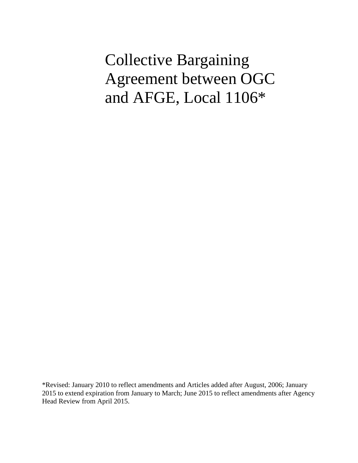Collective Bargaining Agreement between OGC and AFGE, Local 1106\*

\*Revised: January 2010 to reflect amendments and Articles added after August, 2006; January 2015 to extend expiration from January to March; June 2015 to reflect amendments after Agency Head Review from April 2015.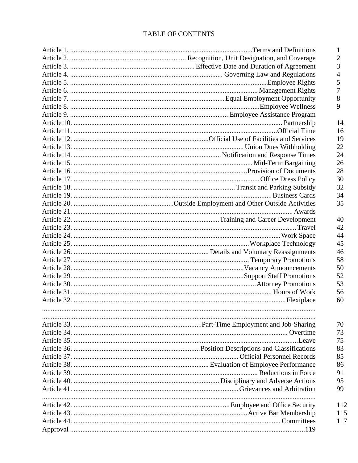# TABLE OF CONTENTS

|  | $\mathbf{1}$   |
|--|----------------|
|  | $\overline{2}$ |
|  | 3              |
|  | 4              |
|  | 5              |
|  | 7              |
|  | 8              |
|  | 9              |
|  |                |
|  | 14             |
|  | 16             |
|  | 19             |
|  | 22             |
|  | 24             |
|  | 26             |
|  | 28             |
|  | 30             |
|  | 32             |
|  | 34             |
|  | 35             |
|  |                |
|  | 40             |
|  | 42             |
|  | 44             |
|  | 45             |
|  | 46             |
|  | 58             |
|  | 50             |
|  | 52             |
|  | 53             |
|  | 56             |
|  | 60             |
|  |                |
|  |                |
|  | 70             |
|  | 73             |
|  | 75             |
|  | 83             |
|  | 85             |
|  | 86             |
|  | 91             |
|  | 95             |
|  | 99             |
|  |                |
|  | 112            |
|  | 115            |
|  | 117            |
|  |                |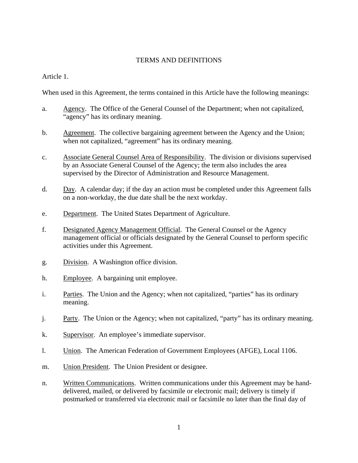### TERMS AND DEFINITIONS

Article 1.

When used in this Agreement, the terms contained in this Article have the following meanings:

- a. Agency. The Office of the General Counsel of the Department; when not capitalized, "agency" has its ordinary meaning.
- b. Agreement. The collective bargaining agreement between the Agency and the Union; when not capitalized, "agreement" has its ordinary meaning.
- c. Associate General Counsel Area of Responsibility. The division or divisions supervised by an Associate General Counsel of the Agency; the term also includes the area supervised by the Director of Administration and Resource Management.
- d. Day. A calendar day; if the day an action must be completed under this Agreement falls on a non-workday, the due date shall be the next workday.
- e. Department. The United States Department of Agriculture.
- f. Designated Agency Management Official. The General Counsel or the Agency management official or officials designated by the General Counsel to perform specific activities under this Agreement.
- g. Division. A Washington office division.
- h. Employee. A bargaining unit employee.
- i. Parties. The Union and the Agency; when not capitalized, "parties" has its ordinary meaning.
- j. Party. The Union or the Agency; when not capitalized, "party" has its ordinary meaning.
- k. Supervisor. An employee's immediate supervisor.
- l. Union. The American Federation of Government Employees (AFGE), Local 1106.
- m. Union President. The Union President or designee.
- n. Written Communications. Written communications under this Agreement may be handdelivered, mailed, or delivered by facsimile or electronic mail; delivery is timely if postmarked or transferred via electronic mail or facsimile no later than the final day of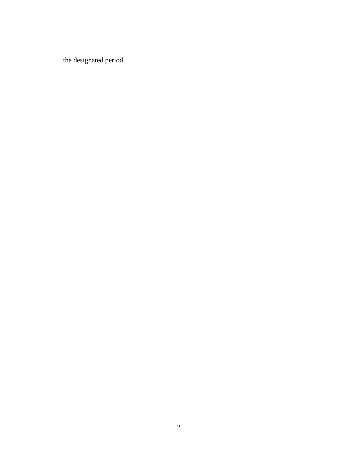the designated period.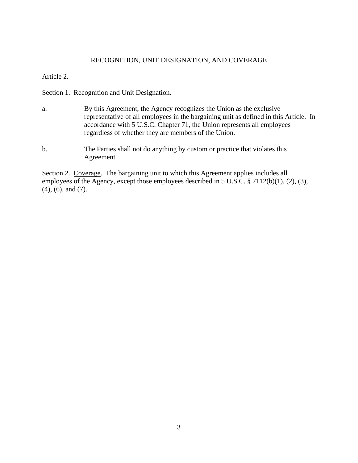#### RECOGNITION, UNIT DESIGNATION, AND COVERAGE

Article 2.

Section 1. Recognition and Unit Designation.

- a. By this Agreement, the Agency recognizes the Union as the exclusive representative of all employees in the bargaining unit as defined in this Article. In accordance with 5 U.S.C. Chapter 71, the Union represents all employees regardless of whether they are members of the Union.
- b. The Parties shall not do anything by custom or practice that violates this Agreement.

Section 2. Coverage. The bargaining unit to which this Agreement applies includes all employees of the Agency, except those employees described in 5 U.S.C. § 7112(b)(1), (2), (3), (4), (6), and (7).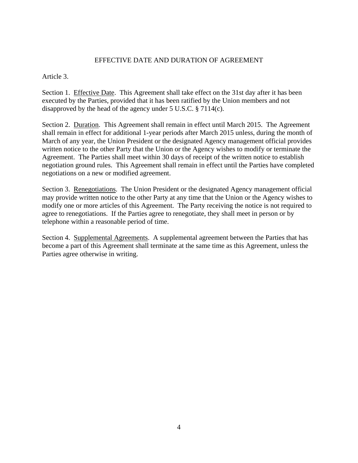# EFFECTIVE DATE AND DURATION OF AGREEMENT

# Article 3.

Section 1. Effective Date. This Agreement shall take effect on the 31st day after it has been executed by the Parties, provided that it has been ratified by the Union members and not disapproved by the head of the agency under 5 U.S.C. § 7114(c).

Section 2. Duration. This Agreement shall remain in effect until March 2015. The Agreement shall remain in effect for additional 1-year periods after March 2015 unless, during the month of March of any year, the Union President or the designated Agency management official provides written notice to the other Party that the Union or the Agency wishes to modify or terminate the Agreement. The Parties shall meet within 30 days of receipt of the written notice to establish negotiation ground rules. This Agreement shall remain in effect until the Parties have completed negotiations on a new or modified agreement.

Section 3. Renegotiations. The Union President or the designated Agency management official may provide written notice to the other Party at any time that the Union or the Agency wishes to modify one or more articles of this Agreement. The Party receiving the notice is not required to agree to renegotiations. If the Parties agree to renegotiate, they shall meet in person or by telephone within a reasonable period of time.

Section 4. Supplemental Agreements. A supplemental agreement between the Parties that has become a part of this Agreement shall terminate at the same time as this Agreement, unless the Parties agree otherwise in writing.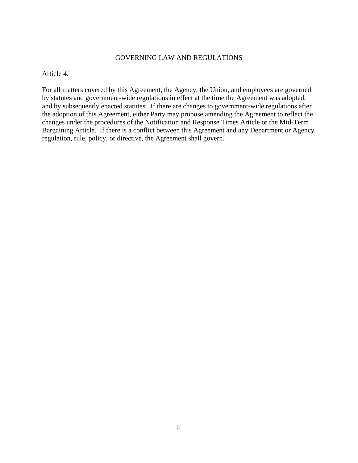# GOVERNING LAW AND REGULATIONS

Article 4.

For all matters covered by this Agreement, the Agency, the Union, and employees are governed by statutes and government-wide regulations in effect at the time the Agreement was adopted, and by subsequently enacted statutes. If there are changes to government-wide regulations after the adoption of this Agreement, either Party may propose amending the Agreement to reflect the changes under the procedures of the Notification and Response Times Article or the Mid-Term Bargaining Article. If there is a conflict between this Agreement and any Department or Agency regulation, rule, policy, or directive, the Agreement shall govern.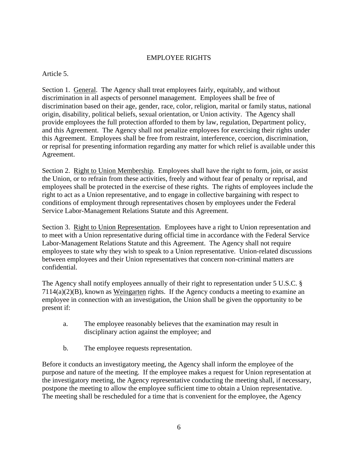# EMPLOYEE RIGHTS

Article 5.

Section 1. General. The Agency shall treat employees fairly, equitably, and without discrimination in all aspects of personnel management. Employees shall be free of discrimination based on their age, gender, race, color, religion, marital or family status, national origin, disability, political beliefs, sexual orientation, or Union activity. The Agency shall provide employees the full protection afforded to them by law, regulation, Department policy, and this Agreement. The Agency shall not penalize employees for exercising their rights under this Agreement. Employees shall be free from restraint, interference, coercion, discrimination, or reprisal for presenting information regarding any matter for which relief is available under this Agreement.

Section 2. Right to Union Membership. Employees shall have the right to form, join, or assist the Union, or to refrain from these activities, freely and without fear of penalty or reprisal, and employees shall be protected in the exercise of these rights. The rights of employees include the right to act as a Union representative, and to engage in collective bargaining with respect to conditions of employment through representatives chosen by employees under the Federal Service Labor-Management Relations Statute and this Agreement.

Section 3. Right to Union Representation. Employees have a right to Union representation and to meet with a Union representative during official time in accordance with the Federal Service Labor-Management Relations Statute and this Agreement. The Agency shall not require employees to state why they wish to speak to a Union representative. Union-related discussions between employees and their Union representatives that concern non-criminal matters are confidential.

The Agency shall notify employees annually of their right to representation under 5 U.S.C. § 7114(a)(2)(B), known as Weingarten rights. If the Agency conducts a meeting to examine an employee in connection with an investigation, the Union shall be given the opportunity to be present if:

- a. The employee reasonably believes that the examination may result in disciplinary action against the employee; and
- b. The employee requests representation.

Before it conducts an investigatory meeting, the Agency shall inform the employee of the purpose and nature of the meeting. If the employee makes a request for Union representation at the investigatory meeting, the Agency representative conducting the meeting shall, if necessary, postpone the meeting to allow the employee sufficient time to obtain a Union representative. The meeting shall be rescheduled for a time that is convenient for the employee, the Agency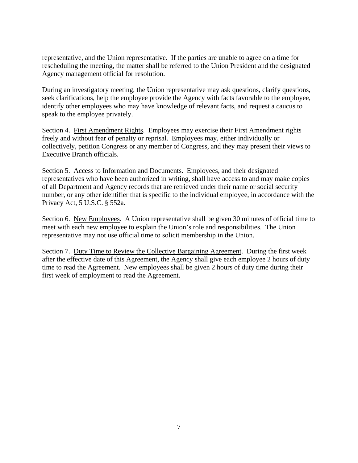representative, and the Union representative. If the parties are unable to agree on a time for rescheduling the meeting, the matter shall be referred to the Union President and the designated Agency management official for resolution.

During an investigatory meeting, the Union representative may ask questions, clarify questions, seek clarifications, help the employee provide the Agency with facts favorable to the employee, identify other employees who may have knowledge of relevant facts, and request a caucus to speak to the employee privately.

Section 4. First Amendment Rights. Employees may exercise their First Amendment rights freely and without fear of penalty or reprisal. Employees may, either individually or collectively, petition Congress or any member of Congress, and they may present their views to Executive Branch officials.

Section 5. Access to Information and Documents. Employees, and their designated representatives who have been authorized in writing, shall have access to and may make copies of all Department and Agency records that are retrieved under their name or social security number, or any other identifier that is specific to the individual employee, in accordance with the Privacy Act, 5 U.S.C. § 552a.

Section 6. New Employees. A Union representative shall be given 30 minutes of official time to meet with each new employee to explain the Union's role and responsibilities. The Union representative may not use official time to solicit membership in the Union.

Section 7. Duty Time to Review the Collective Bargaining Agreement. During the first week after the effective date of this Agreement, the Agency shall give each employee 2 hours of duty time to read the Agreement. New employees shall be given 2 hours of duty time during their first week of employment to read the Agreement.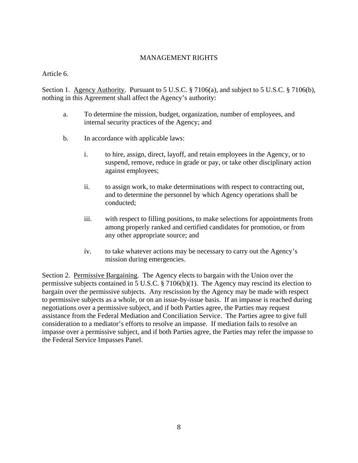# MANAGEMENT RIGHTS

Article 6.

Section 1. Agency Authority. Pursuant to 5 U.S.C. § 7106(a), and subject to 5 U.S.C. § 7106(b), nothing in this Agreement shall affect the Agency's authority:

- a. To determine the mission, budget, organization, number of employees, and internal security practices of the Agency; and
- b. In accordance with applicable laws:
	- i. to hire, assign, direct, layoff, and retain employees in the Agency, or to suspend, remove, reduce in grade or pay, or take other disciplinary action against employees;
	- ii. to assign work, to make determinations with respect to contracting out, and to determine the personnel by which Agency operations shall be conducted;
	- iii. with respect to filling positions, to make selections for appointments from among properly ranked and certified candidates for promotion, or from any other appropriate source; and
	- iv. to take whatever actions may be necessary to carry out the Agency's mission during emergencies.

Section 2. Permissive Bargaining. The Agency elects to bargain with the Union over the permissive subjects contained in 5 U.S.C. § 7106(b)(1). The Agency may rescind its election to bargain over the permissive subjects. Any rescission by the Agency may be made with respect to permissive subjects as a whole, or on an issue-by-issue basis. If an impasse is reached during negotiations over a permissive subject, and if both Parties agree, the Parties may request assistance from the Federal Mediation and Conciliation Service. The Parties agree to give full consideration to a mediator's efforts to resolve an impasse. If mediation fails to resolve an impasse over a permissive subject, and if both Parties agree, the Parties may refer the impasse to the Federal Service Impasses Panel.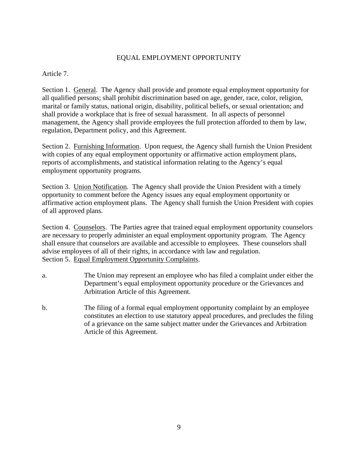# EQUAL EMPLOYMENT OPPORTUNITY

Article 7.

Section 1. General. The Agency shall provide and promote equal employment opportunity for all qualified persons; shall prohibit discrimination based on age, gender, race, color, religion, marital or family status, national origin, disability, political beliefs, or sexual orientation; and shall provide a workplace that is free of sexual harassment. In all aspects of personnel management, the Agency shall provide employees the full protection afforded to them by law, regulation, Department policy, and this Agreement.

Section 2. Furnishing Information. Upon request, the Agency shall furnish the Union President with copies of any equal employment opportunity or affirmative action employment plans, reports of accomplishments, and statistical information relating to the Agency's equal employment opportunity programs.

Section 3. Union Notification. The Agency shall provide the Union President with a timely opportunity to comment before the Agency issues any equal employment opportunity or affirmative action employment plans. The Agency shall furnish the Union President with copies of all approved plans.

Section 4. Counselors. The Parties agree that trained equal employment opportunity counselors are necessary to properly administer an equal employment opportunity program. The Agency shall ensure that counselors are available and accessible to employees. These counselors shall advise employees of all of their rights, in accordance with law and regulation. Section 5. Equal Employment Opportunity Complaints.

- a. The Union may represent an employee who has filed a complaint under either the Department's equal employment opportunity procedure or the Grievances and Arbitration Article of this Agreement.
- b. The filing of a formal equal employment opportunity complaint by an employee constitutes an election to use statutory appeal procedures, and precludes the filing of a grievance on the same subject matter under the Grievances and Arbitration Article of this Agreement.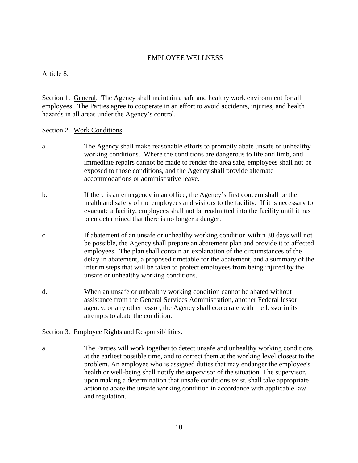# EMPLOYEE WELLNESS

Article 8.

Section 1. General. The Agency shall maintain a safe and healthy work environment for all employees. The Parties agree to cooperate in an effort to avoid accidents, injuries, and health hazards in all areas under the Agency's control.

# Section 2. Work Conditions.

- a. The Agency shall make reasonable efforts to promptly abate unsafe or unhealthy working conditions. Where the conditions are dangerous to life and limb, and immediate repairs cannot be made to render the area safe, employees shall not be exposed to those conditions, and the Agency shall provide alternate accommodations or administrative leave.
- b. If there is an emergency in an office, the Agency's first concern shall be the health and safety of the employees and visitors to the facility. If it is necessary to evacuate a facility, employees shall not be readmitted into the facility until it has been determined that there is no longer a danger.
- c. If abatement of an unsafe or unhealthy working condition within 30 days will not be possible, the Agency shall prepare an abatement plan and provide it to affected employees. The plan shall contain an explanation of the circumstances of the delay in abatement, a proposed timetable for the abatement, and a summary of the interim steps that will be taken to protect employees from being injured by the unsafe or unhealthy working conditions.
- d. When an unsafe or unhealthy working condition cannot be abated without assistance from the General Services Administration, another Federal lessor agency, or any other lessor, the Agency shall cooperate with the lessor in its attempts to abate the condition.

# Section 3. Employee Rights and Responsibilities.

a. The Parties will work together to detect unsafe and unhealthy working conditions at the earliest possible time, and to correct them at the working level closest to the problem. An employee who is assigned duties that may endanger the employee's health or well-being shall notify the supervisor of the situation. The supervisor, upon making a determination that unsafe conditions exist, shall take appropriate action to abate the unsafe working condition in accordance with applicable law and regulation.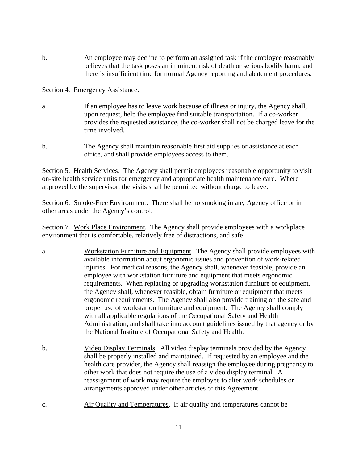b. An employee may decline to perform an assigned task if the employee reasonably believes that the task poses an imminent risk of death or serious bodily harm, and there is insufficient time for normal Agency reporting and abatement procedures.

Section 4. Emergency Assistance.

- a. If an employee has to leave work because of illness or injury, the Agency shall, upon request, help the employee find suitable transportation. If a co-worker provides the requested assistance, the co-worker shall not be charged leave for the time involved.
- b. The Agency shall maintain reasonable first aid supplies or assistance at each office, and shall provide employees access to them.

Section 5. Health Services. The Agency shall permit employees reasonable opportunity to visit on-site health service units for emergency and appropriate health maintenance care. Where approved by the supervisor, the visits shall be permitted without charge to leave.

Section 6. Smoke-Free Environment. There shall be no smoking in any Agency office or in other areas under the Agency's control.

Section 7. Work Place Environment. The Agency shall provide employees with a workplace environment that is comfortable, relatively free of distractions, and safe.

- a. Workstation Furniture and Equipment. The Agency shall provide employees with available information about ergonomic issues and prevention of work-related injuries. For medical reasons, the Agency shall, whenever feasible, provide an employee with workstation furniture and equipment that meets ergonomic requirements. When replacing or upgrading workstation furniture or equipment, the Agency shall, whenever feasible, obtain furniture or equipment that meets ergonomic requirements. The Agency shall also provide training on the safe and proper use of workstation furniture and equipment. The Agency shall comply with all applicable regulations of the Occupational Safety and Health Administration, and shall take into account guidelines issued by that agency or by the National Institute of Occupational Safety and Health.
- b. Video Display Terminals. All video display terminals provided by the Agency shall be properly installed and maintained. If requested by an employee and the health care provider, the Agency shall reassign the employee during pregnancy to other work that does not require the use of a video display terminal. A reassignment of work may require the employee to alter work schedules or arrangements approved under other articles of this Agreement.
- c. Air Quality and Temperatures. If air quality and temperatures cannot be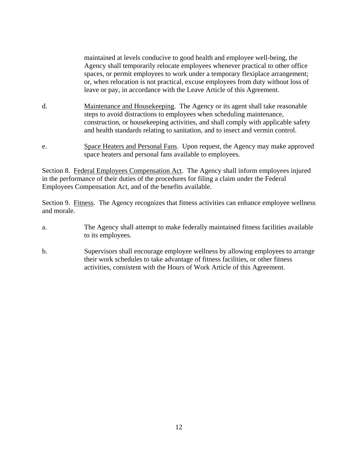maintained at levels conducive to good health and employee well-being, the Agency shall temporarily relocate employees whenever practical to other office spaces, or permit employees to work under a temporary flexiplace arrangement; or, when relocation is not practical, excuse employees from duty without loss of leave or pay, in accordance with the Leave Article of this Agreement.

- d. Maintenance and Housekeeping. The Agency or its agent shall take reasonable steps to avoid distractions to employees when scheduling maintenance, construction, or housekeeping activities, and shall comply with applicable safety and health standards relating to sanitation, and to insect and vermin control.
- e. Space Heaters and Personal Fans. Upon request, the Agency may make approved space heaters and personal fans available to employees.

Section 8. Federal Employees Compensation Act. The Agency shall inform employees injured in the performance of their duties of the procedures for filing a claim under the Federal Employees Compensation Act, and of the benefits available.

Section 9. Fitness. The Agency recognizes that fitness activities can enhance employee wellness and morale.

- a. The Agency shall attempt to make federally maintained fitness facilities available to its employees.
- b. Supervisors shall encourage employee wellness by allowing employees to arrange their work schedules to take advantage of fitness facilities, or other fitness activities, consistent with the Hours of Work Article of this Agreement.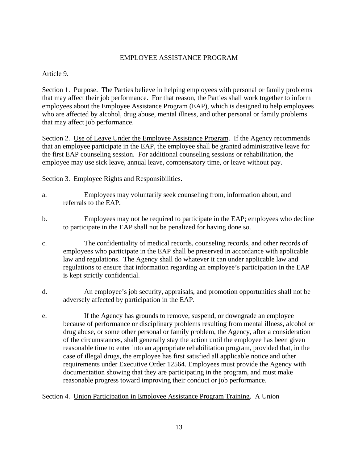# EMPLOYEE ASSISTANCE PROGRAM

Article 9.

Section 1. Purpose. The Parties believe in helping employees with personal or family problems that may affect their job performance. For that reason, the Parties shall work together to inform employees about the Employee Assistance Program (EAP), which is designed to help employees who are affected by alcohol, drug abuse, mental illness, and other personal or family problems that may affect job performance.

Section 2. Use of Leave Under the Employee Assistance Program. If the Agency recommends that an employee participate in the EAP, the employee shall be granted administrative leave for the first EAP counseling session. For additional counseling sessions or rehabilitation, the employee may use sick leave, annual leave, compensatory time, or leave without pay.

Section 3. Employee Rights and Responsibilities.

- a. Employees may voluntarily seek counseling from, information about, and referrals to the EAP.
- b. Employees may not be required to participate in the EAP; employees who decline to participate in the EAP shall not be penalized for having done so.
- c. The confidentiality of medical records, counseling records, and other records of employees who participate in the EAP shall be preserved in accordance with applicable law and regulations. The Agency shall do whatever it can under applicable law and regulations to ensure that information regarding an employee's participation in the EAP is kept strictly confidential.
- d. An employee's job security, appraisals, and promotion opportunities shall not be adversely affected by participation in the EAP.
- e. If the Agency has grounds to remove, suspend, or downgrade an employee because of performance or disciplinary problems resulting from mental illness, alcohol or drug abuse, or some other personal or family problem, the Agency, after a consideration of the circumstances, shall generally stay the action until the employee has been given reasonable time to enter into an appropriate rehabilitation program, provided that, in the case of illegal drugs, the employee has first satisfied all applicable notice and other requirements under Executive Order 12564. Employees must provide the Agency with documentation showing that they are participating in the program, and must make reasonable progress toward improving their conduct or job performance.

Section 4. Union Participation in Employee Assistance Program Training. A Union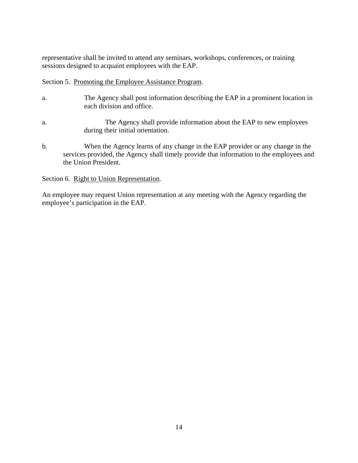representative shall be invited to attend any seminars, workshops, conferences, or training sessions designed to acquaint employees with the EAP.

### Section 5. Promoting the Employee Assistance Program.

- a. The Agency shall post information describing the EAP in a prominent location in each division and office.
- a. The Agency shall provide information about the EAP to new employees during their initial orientation.
- b. When the Agency learns of any change in the EAP provider or any change in the services provided, the Agency shall timely provide that information to the employees and the Union President.

# Section 6. Right to Union Representation.

An employee may request Union representation at any meeting with the Agency regarding the employee's participation in the EAP.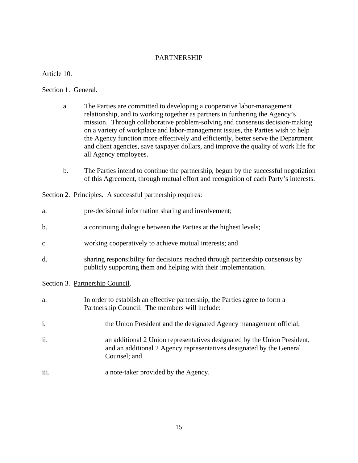# PARTNERSHIP

Article 10.

Section 1. General.

- a. The Parties are committed to developing a cooperative labor-management relationship, and to working together as partners in furthering the Agency's mission. Through collaborative problem-solving and consensus decision-making on a variety of workplace and labor-management issues, the Parties wish to help the Agency function more effectively and efficiently, better serve the Department and client agencies, save taxpayer dollars, and improve the quality of work life for all Agency employees.
- b. The Parties intend to continue the partnership, begun by the successful negotiation of this Agreement, through mutual effort and recognition of each Party's interests.

Section 2. Principles. A successful partnership requires:

| a.             | pre-decisional information sharing and involvement;                                                                                                              |
|----------------|------------------------------------------------------------------------------------------------------------------------------------------------------------------|
| b.             | a continuing dialogue between the Parties at the highest levels;                                                                                                 |
| $\mathbf{c}$ . | working cooperatively to achieve mutual interests; and                                                                                                           |
| d.             | sharing responsibility for decisions reached through partnership consensus by<br>publicly supporting them and helping with their implementation.                 |
|                | Section 3. Partnership Council.                                                                                                                                  |
| a.             | In order to establish an effective partnership, the Parties agree to form a<br>Partnership Council. The members will include:                                    |
| i.             | the Union President and the designated Agency management official;                                                                                               |
| ii.            | an additional 2 Union representatives designated by the Union President,<br>and an additional 2 Agency representatives designated by the General<br>Counsel; and |
| iii.           | a note-taker provided by the Agency.                                                                                                                             |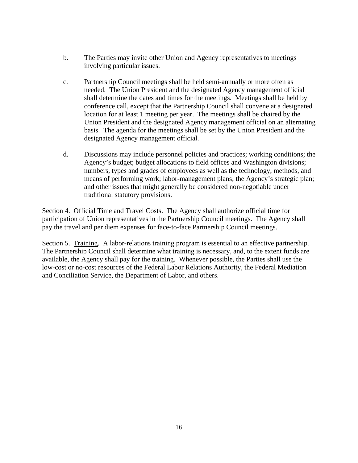- b. The Parties may invite other Union and Agency representatives to meetings involving particular issues.
- c. Partnership Council meetings shall be held semi-annually or more often as needed.The Union President and the designated Agency management official shall determine the dates and times for the meetings. Meetings shall be held by conference call, except that the Partnership Council shall convene at a designated location for at least 1 meeting per year. The meetings shall be chaired by the Union President and the designated Agency management official on an alternating basis. The agenda for the meetings shall be set by the Union President and the designated Agency management official.
- d. Discussions may include personnel policies and practices; working conditions; the Agency's budget; budget allocations to field offices and Washington divisions; numbers, types and grades of employees as well as the technology, methods, and means of performing work; labor-management plans; the Agency's strategic plan; and other issues that might generally be considered non-negotiable under traditional statutory provisions.

Section 4. Official Time and Travel Costs. The Agency shall authorize official time for participation of Union representatives in the Partnership Council meetings. The Agency shall pay the travel and per diem expenses for face-to-face Partnership Council meetings.

Section 5. Training. A labor-relations training program is essential to an effective partnership. The Partnership Council shall determine what training is necessary, and, to the extent funds are available, the Agency shall pay for the training. Whenever possible, the Parties shall use the low-cost or no-cost resources of the Federal Labor Relations Authority, the Federal Mediation and Conciliation Service, the Department of Labor, and others.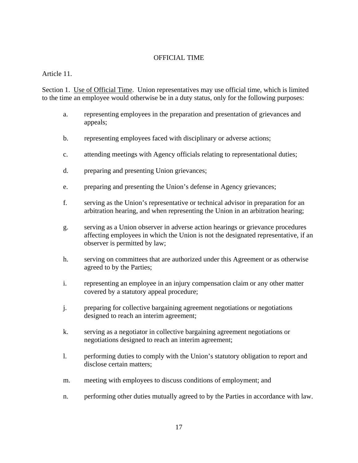# OFFICIAL TIME

Article 11.

Section 1. Use of Official Time. Union representatives may use official time, which is limited to the time an employee would otherwise be in a duty status, only for the following purposes:

- a. representing employees in the preparation and presentation of grievances and appeals;
- b. representing employees faced with disciplinary or adverse actions;
- c. attending meetings with Agency officials relating to representational duties;
- d. preparing and presenting Union grievances;
- e. preparing and presenting the Union's defense in Agency grievances;
- f. serving as the Union's representative or technical advisor in preparation for an arbitration hearing, and when representing the Union in an arbitration hearing;
- g. serving as a Union observer in adverse action hearings or grievance procedures affecting employees in which the Union is not the designated representative, if an observer is permitted by law;
- h. serving on committees that are authorized under this Agreement or as otherwise agreed to by the Parties;
- i. representing an employee in an injury compensation claim or any other matter covered by a statutory appeal procedure;
- j. preparing for collective bargaining agreement negotiations or negotiations designed to reach an interim agreement;
- k. serving as a negotiator in collective bargaining agreement negotiations or negotiations designed to reach an interim agreement;
- l. performing duties to comply with the Union's statutory obligation to report and disclose certain matters;
- m. meeting with employees to discuss conditions of employment; and
- n. performing other duties mutually agreed to by the Parties in accordance with law.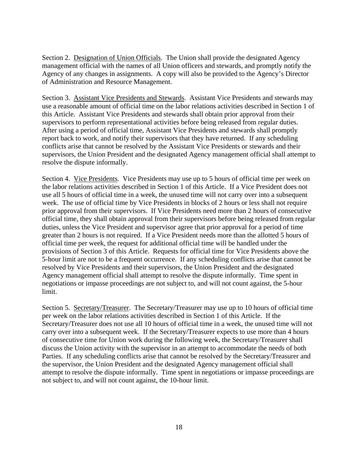Section 2. Designation of Union Officials. The Union shall provide the designated Agency management official with the names of all Union officers and stewards, and promptly notify the Agency of any changes in assignments. A copy will also be provided to the Agency's Director of Administration and Resource Management.

Section 3. Assistant Vice Presidents and Stewards. Assistant Vice Presidents and stewards may use a reasonable amount of official time on the labor relations activities described in Section 1 of this Article. Assistant Vice Presidents and stewards shall obtain prior approval from their supervisors to perform representational activities before being released from regular duties. After using a period of official time, Assistant Vice Presidents and stewards shall promptly report back to work, and notify their supervisors that they have returned. If any scheduling conflicts arise that cannot be resolved by the Assistant Vice Presidents or stewards and their supervisors, the Union President and the designated Agency management official shall attempt to resolve the dispute informally.

Section 4. Vice Presidents. Vice Presidents may use up to 5 hours of official time per week on the labor relations activities described in Section 1 of this Article. If a Vice President does not use all 5 hours of official time in a week, the unused time will not carry over into a subsequent week. The use of official time by Vice Presidents in blocks of 2 hours or less shall not require prior approval from their supervisors. If Vice Presidents need more than 2 hours of consecutive official time, they shall obtain approval from their supervisors before being released from regular duties, unless the Vice President and supervisor agree that prior approval for a period of time greater than 2 hours is not required. If a Vice President needs more than the allotted 5 hours of official time per week, the request for additional official time will be handled under the provisions of Section 3 of this Article. Requests for official time for Vice Presidents above the 5-hour limit are not to be a frequent occurrence. If any scheduling conflicts arise that cannot be resolved by Vice Presidents and their supervisors, the Union President and the designated Agency management official shall attempt to resolve the dispute informally. Time spent in negotiations or impasse proceedings are not subject to, and will not count against, the 5-hour limit.

Section 5. Secretary/Treasurer. The Secretary/Treasurer may use up to 10 hours of official time per week on the labor relations activities described in Section 1 of this Article. If the Secretary/Treasurer does not use all 10 hours of official time in a week, the unused time will not carry over into a subsequent week. If the Secretary/Treasurer expects to use more than 4 hours of consecutive time for Union work during the following week, the Secretary/Treasurer shall discuss the Union activity with the supervisor in an attempt to accommodate the needs of both Parties. If any scheduling conflicts arise that cannot be resolved by the Secretary/Treasurer and the supervisor, the Union President and the designated Agency management official shall attempt to resolve the dispute informally. Time spent in negotiations or impasse proceedings are not subject to, and will not count against, the 10-hour limit.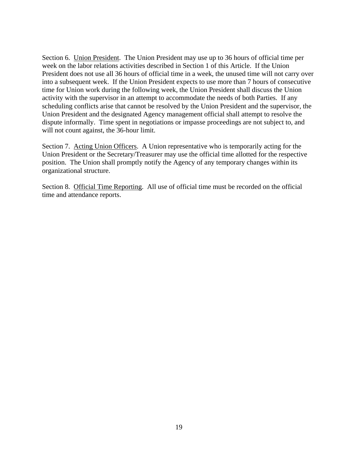Section 6. Union President. The Union President may use up to 36 hours of official time per week on the labor relations activities described in Section 1 of this Article. If the Union President does not use all 36 hours of official time in a week, the unused time will not carry over into a subsequent week. If the Union President expects to use more than 7 hours of consecutive time for Union work during the following week, the Union President shall discuss the Union activity with the supervisor in an attempt to accommodate the needs of both Parties. If any scheduling conflicts arise that cannot be resolved by the Union President and the supervisor, the Union President and the designated Agency management official shall attempt to resolve the dispute informally. Time spent in negotiations or impasse proceedings are not subject to, and will not count against, the 36-hour limit.

Section 7. Acting Union Officers. A Union representative who is temporarily acting for the Union President or the Secretary/Treasurer may use the official time allotted for the respective position. The Union shall promptly notify the Agency of any temporary changes within its organizational structure.

Section 8. Official Time Reporting. All use of official time must be recorded on the official time and attendance reports.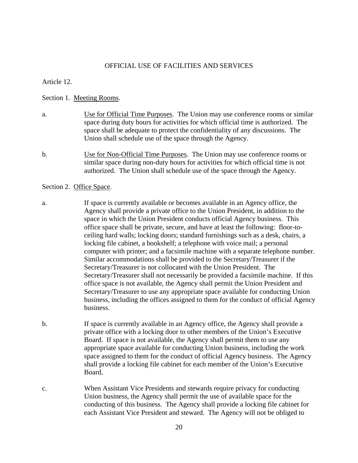#### OFFICIAL USE OF FACILITIES AND SERVICES

Article 12.

#### Section 1. Meeting Rooms.

- a. Use for Official Time Purposes. The Union may use conference rooms or similar space during duty hours for activities for which official time is authorized. The space shall be adequate to protect the confidentiality of any discussions. The Union shall schedule use of the space through the Agency.
- b. Use for Non-Official Time Purposes. The Union may use conference rooms or similar space during non-duty hours for activities for which official time is not authorized. The Union shall schedule use of the space through the Agency.

#### Section 2. Office Space.

- a. If space is currently available or becomes available in an Agency office, the Agency shall provide a private office to the Union President, in addition to the space in which the Union President conducts official Agency business. This office space shall be private, secure, and have at least the following: floor-toceiling hard walls; locking doors; standard furnishings such as a desk, chairs, a locking file cabinet, a bookshelf; a telephone with voice mail; a personal computer with printer; and a facsimile machine with a separate telephone number. Similar accommodations shall be provided to the Secretary/Treasurer if the Secretary/Treasurer is not collocated with the Union President. The Secretary/Treasurer shall not necessarily be provided a facsimile machine. If this office space is not available, the Agency shall permit the Union President and Secretary/Treasurer to use any appropriate space available for conducting Union business, including the offices assigned to them for the conduct of official Agency business.
- b. If space is currently available in an Agency office, the Agency shall provide a private office with a locking door to other members of the Union's Executive Board. If space is not available, the Agency shall permit them to use any appropriate space available for conducting Union business, including the work space assigned to them for the conduct of official Agency business. The Agency shall provide a locking file cabinet for each member of the Union's Executive Board.
- c. When Assistant Vice Presidents and stewards require privacy for conducting Union business, the Agency shall permit the use of available space for the conducting of this business. The Agency shall provide a locking file cabinet for each Assistant Vice President and steward. The Agency will not be obliged to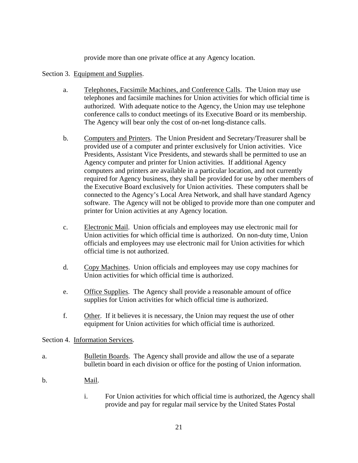provide more than one private office at any Agency location.

### Section 3. Equipment and Supplies.

- a. Telephones, Facsimile Machines, and Conference Calls. The Union may use telephones and facsimile machines for Union activities for which official time is authorized. With adequate notice to the Agency, the Union may use telephone conference calls to conduct meetings of its Executive Board or its membership. The Agency will bear only the cost of on-net long-distance calls.
- b. Computers and Printers. The Union President and Secretary/Treasurer shall be provided use of a computer and printer exclusively for Union activities. Vice Presidents, Assistant Vice Presidents, and stewards shall be permitted to use an Agency computer and printer for Union activities. If additional Agency computers and printers are available in a particular location, and not currently required for Agency business, they shall be provided for use by other members of the Executive Board exclusively for Union activities. These computers shall be connected to the Agency's Local Area Network, and shall have standard Agency software. The Agency will not be obliged to provide more than one computer and printer for Union activities at any Agency location.
- c. Electronic Mail. Union officials and employees may use electronic mail for Union activities for which official time is authorized. On non-duty time, Union officials and employees may use electronic mail for Union activities for which official time is not authorized.
- d. Copy Machines. Union officials and employees may use copy machines for Union activities for which official time is authorized.
- e. Office Supplies. The Agency shall provide a reasonable amount of office supplies for Union activities for which official time is authorized.
- f. Other. If it believes it is necessary, the Union may request the use of other equipment for Union activities for which official time is authorized.

#### Section 4. Information Services.

- a. Bulletin Boards. The Agency shall provide and allow the use of a separate bulletin board in each division or office for the posting of Union information.
- b. Mail.
	- i. For Union activities for which official time is authorized, the Agency shall provide and pay for regular mail service by the United States Postal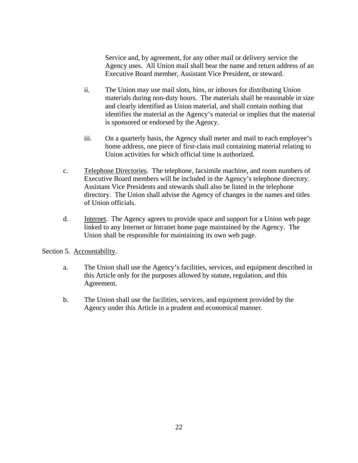Service and, by agreement, for any other mail or delivery service the Agency uses. All Union mail shall bear the name and return address of an Executive Board member, Assistant Vice President, or steward.

- ii. The Union may use mail slots, bins, or inboxes for distributing Union materials during non-duty hours. The materials shall be reasonable in size and clearly identified as Union material, and shall contain nothing that identifies the material as the Agency's material or implies that the material is sponsored or endorsed by the Agency.
- iii. On a quarterly basis, the Agency shall meter and mail to each employee's home address, one piece of first-class mail containing material relating to Union activities for which official time is authorized.
- c. Telephone Directories. The telephone, facsimile machine, and room numbers of Executive Board members will be included in the Agency's telephone directory. Assistant Vice Presidents and stewards shall also be listed in the telephone directory. The Union shall advise the Agency of changes in the names and titles of Union officials.
- d. Internet. The Agency agrees to provide space and support for a Union web page linked to any Internet or Intranet home page maintained by the Agency. The Union shall be responsible for maintaining its own web page.

# Section 5. Accountability.

- a. The Union shall use the Agency's facilities, services, and equipment described in this Article only for the purposes allowed by statute, regulation, and this Agreement.
- b. The Union shall use the facilities, services, and equipment provided by the Agency under this Article in a prudent and economical manner.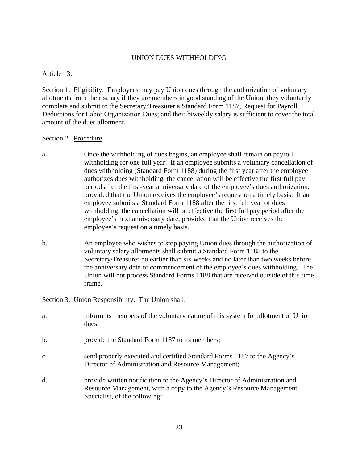### UNION DUES WITHHOLDING

Article 13.

Section 1. Eligibility. Employees may pay Union dues through the authorization of voluntary allotments from their salary if they are members in good standing of the Union; they voluntarily complete and submit to the Secretary/Treasurer a Standard Form 1187, Request for Payroll Deductions for Labor Organization Dues; and their biweekly salary is sufficient to cover the total amount of the dues allotment.

### Section 2. Procedure.

- a. Once the withholding of dues begins, an employee shall remain on payroll withholding for one full year. If an employee submits a voluntary cancellation of dues withholding (Standard Form 1188) during the first year after the employee authorizes dues withholding, the cancellation will be effective the first full pay period after the first-year anniversary date of the employee's dues authorization, provided that the Union receives the employee's request on a timely basis. If an employee submits a Standard Form 1188 after the first full year of dues withholding, the cancellation will be effective the first full pay period after the employee's next anniversary date, provided that the Union receives the employee's request on a timely basis.
- b. An employee who wishes to stop paying Union dues through the authorization of voluntary salary allotments shall submit a Standard Form 1188 to the Secretary/Treasurer no earlier than six weeks and no later than two weeks before the anniversary date of commencement of the employee's dues withholding. The Union will not process Standard Forms 1188 that are received outside of this time frame.

Section 3. Union Responsibility. The Union shall:

Specialist, of the following:

| a.             | inform its members of the voluntary nature of this system for allotment of Union<br>dues;                                                           |
|----------------|-----------------------------------------------------------------------------------------------------------------------------------------------------|
| b.             | provide the Standard Form 1187 to its members;                                                                                                      |
| $\mathbf{C}$ . | send properly executed and certified Standard Forms 1187 to the Agency's<br>Director of Administration and Resource Management;                     |
| d.             | provide written notification to the Agency's Director of Administration and<br>Resource Management, with a copy to the Agency's Resource Management |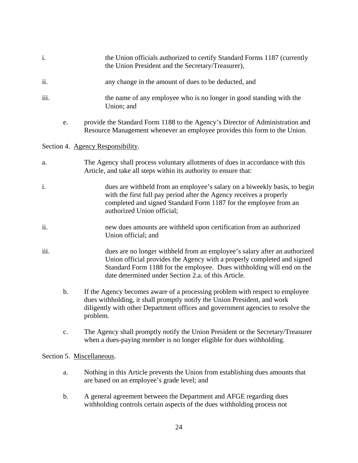- i. the Union officials authorized to certify Standard Forms 1187 (currently the Union President and the Secretary/Treasurer),
- ii. any change in the amount of dues to be deducted, and
- iii. the name of any employee who is no longer in good standing with the Union; and
	- e. provide the Standard Form 1188 to the Agency's Director of Administration and Resource Management whenever an employee provides this form to the Union.

### Section 4. Agency Responsibility.

- a. The Agency shall process voluntary allotments of dues in accordance with this Article, and take all steps within its authority to ensure that:
- i. dues are withheld from an employee's salary on a biweekly basis, to begin with the first full pay period after the Agency receives a properly completed and signed Standard Form 1187 for the employee from an authorized Union official;
- ii. new dues amounts are withheld upon certification from an authorized Union official; and
- iii. dues are no longer withheld from an employee's salary after an authorized Union official provides the Agency with a properly completed and signed Standard Form 1188 for the employee. Dues withholding will end on the date determined under Section 2.a. of this Article.
	- b. If the Agency becomes aware of a processing problem with respect to employee dues withholding, it shall promptly notify the Union President, and work diligently with other Department offices and government agencies to resolve the problem.
	- c. The Agency shall promptly notify the Union President or the Secretary/Treasurer when a dues-paying member is no longer eligible for dues withholding.

#### Section 5. Miscellaneous.

- a. Nothing in this Article prevents the Union from establishing dues amounts that are based on an employee's grade level; and
- b. A general agreement between the Department and AFGE regarding dues withholding controls certain aspects of the dues withholding process not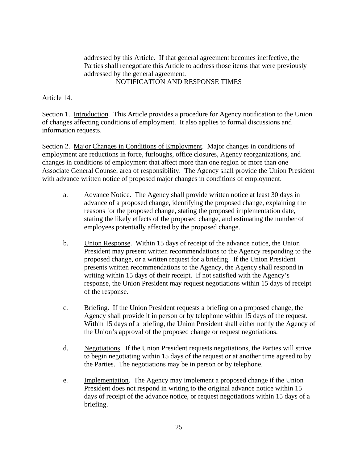addressed by this Article. If that general agreement becomes ineffective, the Parties shall renegotiate this Article to address those items that were previously addressed by the general agreement. NOTIFICATION AND RESPONSE TIMES

Article 14.

Section 1. Introduction. This Article provides a procedure for Agency notification to the Union of changes affecting conditions of employment. It also applies to formal discussions and information requests.

Section 2. Major Changes in Conditions of Employment. Major changes in conditions of employment are reductions in force, furloughs, office closures, Agency reorganizations, and changes in conditions of employment that affect more than one region or more than one Associate General Counsel area of responsibility. The Agency shall provide the Union President with advance written notice of proposed major changes in conditions of employment.

- a. Advance Notice. The Agency shall provide written notice at least 30 days in advance of a proposed change, identifying the proposed change, explaining the reasons for the proposed change, stating the proposed implementation date, stating the likely effects of the proposed change, and estimating the number of employees potentially affected by the proposed change.
- b. Union Response. Within 15 days of receipt of the advance notice, the Union President may present written recommendations to the Agency responding to the proposed change, or a written request for a briefing. If the Union President presents written recommendations to the Agency, the Agency shall respond in writing within 15 days of their receipt. If not satisfied with the Agency's response, the Union President may request negotiations within 15 days of receipt of the response.
- c. Briefing. If the Union President requests a briefing on a proposed change, the Agency shall provide it in person or by telephone within 15 days of the request. Within 15 days of a briefing, the Union President shall either notify the Agency of the Union's approval of the proposed change or request negotiations.
- d. Negotiations. If the Union President requests negotiations, the Parties will strive to begin negotiating within 15 days of the request or at another time agreed to by the Parties. The negotiations may be in person or by telephone.
- e. Implementation. The Agency may implement a proposed change if the Union President does not respond in writing to the original advance notice within 15 days of receipt of the advance notice, or request negotiations within 15 days of a briefing.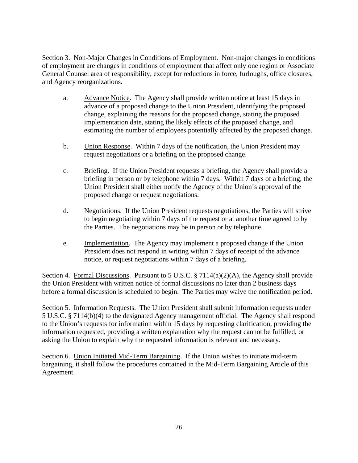Section 3. Non-Major Changes in Conditions of Employment.Non-major changes in conditions of employment are changes in conditions of employment that affect only one region or Associate General Counsel area of responsibility, except for reductions in force, furloughs, office closures, and Agency reorganizations.

- a. Advance Notice. The Agency shall provide written notice at least 15 days in advance of a proposed change to the Union President, identifying the proposed change, explaining the reasons for the proposed change, stating the proposed implementation date, stating the likely effects of the proposed change, and estimating the number of employees potentially affected by the proposed change.
- b. Union Response. Within 7 days of the notification, the Union President may request negotiations or a briefing on the proposed change.
- c. Briefing. If the Union President requests a briefing, the Agency shall provide a briefing in person or by telephone within 7 days. Within 7 days of a briefing, the Union President shall either notify the Agency of the Union's approval of the proposed change or request negotiations.
- d. Negotiations. If the Union President requests negotiations, the Parties will strive to begin negotiating within 7 days of the request or at another time agreed to by the Parties. The negotiations may be in person or by telephone.
- e. Implementation. The Agency may implement a proposed change if the Union President does not respond in writing within 7 days of receipt of the advance notice, or request negotiations within 7 days of a briefing.

Section 4. Formal Discussions. Pursuant to 5 U.S.C. § 7114(a)(2)(A), the Agency shall provide the Union President with written notice of formal discussions no later than 2 business days before a formal discussion is scheduled to begin. The Parties may waive the notification period.

Section 5. Information Requests. The Union President shall submit information requests under 5 U.S.C. § 7114(b)(4) to the designated Agency management official. The Agency shall respond to the Union's requests for information within 15 days by requesting clarification, providing the information requested, providing a written explanation why the request cannot be fulfilled, or asking the Union to explain why the requested information is relevant and necessary.

Section 6. Union Initiated Mid-Term Bargaining. If the Union wishes to initiate mid-term bargaining, it shall follow the procedures contained in the Mid-Term Bargaining Article of this Agreement.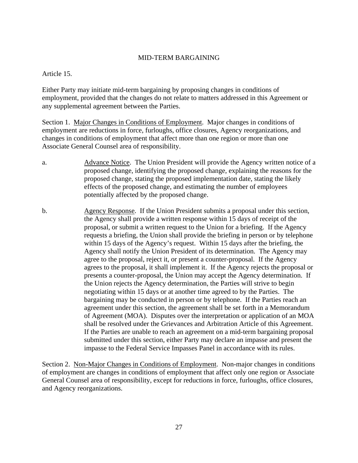# MID-TERM BARGAINING

Article 15.

Either Party may initiate mid-term bargaining by proposing changes in conditions of employment, provided that the changes do not relate to matters addressed in this Agreement or any supplemental agreement between the Parties.

Section 1. Major Changes in Conditions of Employment. Major changes in conditions of employment are reductions in force, furloughs, office closures, Agency reorganizations, and changes in conditions of employment that affect more than one region or more than one Associate General Counsel area of responsibility.

- a. Advance Notice. The Union President will provide the Agency written notice of a proposed change, identifying the proposed change, explaining the reasons for the proposed change, stating the proposed implementation date, stating the likely effects of the proposed change, and estimating the number of employees potentially affected by the proposed change.
- b. Agency Response. If the Union President submits a proposal under this section, the Agency shall provide a written response within 15 days of receipt of the proposal, or submit a written request to the Union for a briefing. If the Agency requests a briefing, the Union shall provide the briefing in person or by telephone within 15 days of the Agency's request. Within 15 days after the briefing, the Agency shall notify the Union President of its determination. The Agency may agree to the proposal, reject it, or present a counter-proposal. If the Agency agrees to the proposal, it shall implement it. If the Agency rejects the proposal or presents a counter-proposal, the Union may accept the Agency determination. If the Union rejects the Agency determination, the Parties will strive to begin negotiating within 15 days or at another time agreed to by the Parties. The bargaining may be conducted in person or by telephone. If the Parties reach an agreement under this section, the agreement shall be set forth in a Memorandum of Agreement (MOA). Disputes over the interpretation or application of an MOA shall be resolved under the Grievances and Arbitration Article of this Agreement. If the Parties are unable to reach an agreement on a mid-term bargaining proposal submitted under this section, either Party may declare an impasse and present the impasse to the Federal Service Impasses Panel in accordance with its rules.

Section 2. Non-Major Changes in Conditions of Employment. Non-major changes in conditions of employment are changes in conditions of employment that affect only one region or Associate General Counsel area of responsibility, except for reductions in force, furloughs, office closures, and Agency reorganizations.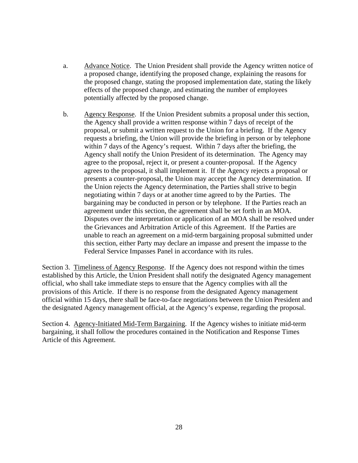- a. Advance Notice. The Union President shall provide the Agency written notice of a proposed change, identifying the proposed change, explaining the reasons for the proposed change, stating the proposed implementation date, stating the likely effects of the proposed change, and estimating the number of employees potentially affected by the proposed change.
- b. Agency Response. If the Union President submits a proposal under this section, the Agency shall provide a written response within 7 days of receipt of the proposal, or submit a written request to the Union for a briefing. If the Agency requests a briefing, the Union will provide the briefing in person or by telephone within 7 days of the Agency's request. Within 7 days after the briefing, the Agency shall notify the Union President of its determination. The Agency may agree to the proposal, reject it, or present a counter-proposal. If the Agency agrees to the proposal, it shall implement it. If the Agency rejects a proposal or presents a counter-proposal, the Union may accept the Agency determination. If the Union rejects the Agency determination, the Parties shall strive to begin negotiating within 7 days or at another time agreed to by the Parties. The bargaining may be conducted in person or by telephone. If the Parties reach an agreement under this section, the agreement shall be set forth in an MOA. Disputes over the interpretation or application of an MOA shall be resolved under the Grievances and Arbitration Article of this Agreement. If the Parties are unable to reach an agreement on a mid-term bargaining proposal submitted under this section, either Party may declare an impasse and present the impasse to the Federal Service Impasses Panel in accordance with its rules.

Section 3. Timeliness of Agency Response. If the Agency does not respond within the times established by this Article, the Union President shall notify the designated Agency management official, who shall take immediate steps to ensure that the Agency complies with all the provisions of this Article. If there is no response from the designated Agency management official within 15 days, there shall be face-to-face negotiations between the Union President and the designated Agency management official, at the Agency's expense, regarding the proposal.

Section 4. Agency-Initiated Mid-Term Bargaining. If the Agency wishes to initiate mid-term bargaining, it shall follow the procedures contained in the Notification and Response Times Article of this Agreement.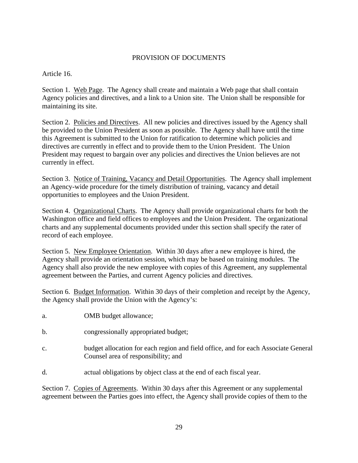# PROVISION OF DOCUMENTS

Article 16.

Section 1. Web Page. The Agency shall create and maintain a Web page that shall contain Agency policies and directives, and a link to a Union site. The Union shall be responsible for maintaining its site.

Section 2. Policies and Directives. All new policies and directives issued by the Agency shall be provided to the Union President as soon as possible. The Agency shall have until the time this Agreement is submitted to the Union for ratification to determine which policies and directives are currently in effect and to provide them to the Union President. The Union President may request to bargain over any policies and directives the Union believes are not currently in effect.

Section 3. Notice of Training, Vacancy and Detail Opportunities. The Agency shall implement an Agency-wide procedure for the timely distribution of training, vacancy and detail opportunities to employees and the Union President.

Section 4. Organizational Charts. The Agency shall provide organizational charts for both the Washington office and field offices to employees and the Union President. The organizational charts and any supplemental documents provided under this section shall specify the rater of record of each employee.

Section 5. New Employee Orientation. Within 30 days after a new employee is hired, the Agency shall provide an orientation session, which may be based on training modules. The Agency shall also provide the new employee with copies of this Agreement, any supplemental agreement between the Parties, and current Agency policies and directives.

Section 6. Budget Information. Within 30 days of their completion and receipt by the Agency, the Agency shall provide the Union with the Agency's:

- a. OMB budget allowance;
- b. congressionally appropriated budget;
- c. budget allocation for each region and field office, and for each Associate General Counsel area of responsibility; and
- d. actual obligations by object class at the end of each fiscal year.

Section 7. Copies of Agreements. Within 30 days after this Agreement or any supplemental agreement between the Parties goes into effect, the Agency shall provide copies of them to the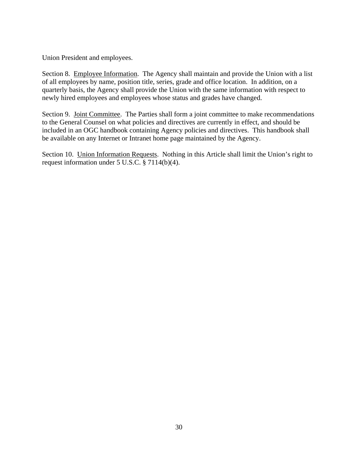Union President and employees.

Section 8. Employee Information. The Agency shall maintain and provide the Union with a list of all employees by name, position title, series, grade and office location. In addition, on a quarterly basis, the Agency shall provide the Union with the same information with respect to newly hired employees and employees whose status and grades have changed.

Section 9. Joint Committee. The Parties shall form a joint committee to make recommendations to the General Counsel on what policies and directives are currently in effect, and should be included in an OGC handbook containing Agency policies and directives. This handbook shall be available on any Internet or Intranet home page maintained by the Agency.

Section 10. Union Information Requests. Nothing in this Article shall limit the Union's right to request information under 5 U.S.C. § 7114(b)(4).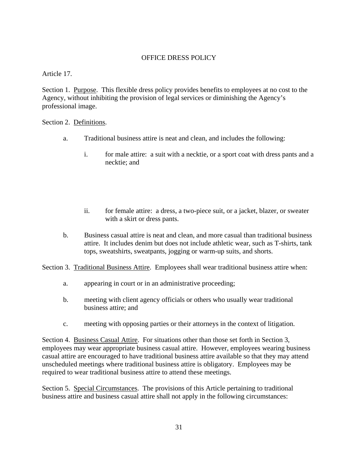# OFFICE DRESS POLICY

Article 17.

Section 1. Purpose. This flexible dress policy provides benefits to employees at no cost to the Agency, without inhibiting the provision of legal services or diminishing the Agency's professional image.

Section 2. Definitions.

- a. Traditional business attire is neat and clean, and includes the following:
	- i. for male attire: a suit with a necktie, or a sport coat with dress pants and a necktie; and
	- ii. for female attire: a dress, a two-piece suit, or a jacket, blazer, or sweater with a skirt or dress pants.
- b. Business casual attire is neat and clean, and more casual than traditional business attire. It includes denim but does not include athletic wear, such as T-shirts, tank tops, sweatshirts, sweatpants, jogging or warm-up suits, and shorts.

Section 3. Traditional Business Attire. Employees shall wear traditional business attire when:

- a. appearing in court or in an administrative proceeding;
- b. meeting with client agency officials or others who usually wear traditional business attire; and
- c. meeting with opposing parties or their attorneys in the context of litigation.

Section 4. Business Casual Attire. For situations other than those set forth in Section 3, employees may wear appropriate business casual attire. However, employees wearing business casual attire are encouraged to have traditional business attire available so that they may attend unscheduled meetings where traditional business attire is obligatory. Employees may be required to wear traditional business attire to attend these meetings.

Section 5. Special Circumstances. The provisions of this Article pertaining to traditional business attire and business casual attire shall not apply in the following circumstances: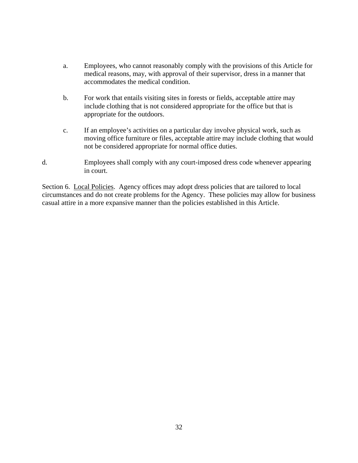- a. Employees, who cannot reasonably comply with the provisions of this Article for medical reasons, may, with approval of their supervisor, dress in a manner that accommodates the medical condition.
- b. For work that entails visiting sites in forests or fields, acceptable attire may include clothing that is not considered appropriate for the office but that is appropriate for the outdoors.
- c. If an employee's activities on a particular day involve physical work, such as moving office furniture or files, acceptable attire may include clothing that would not be considered appropriate for normal office duties.
- d. Employees shall comply with any court-imposed dress code whenever appearing in court.

Section 6. Local Policies. Agency offices may adopt dress policies that are tailored to local circumstances and do not create problems for the Agency. These policies may allow for business casual attire in a more expansive manner than the policies established in this Article.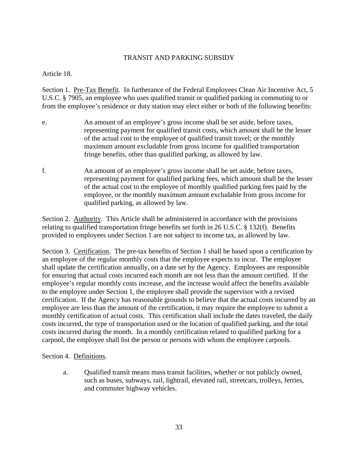# TRANSIT AND PARKING SUBSIDY

Article 18.

Section 1. Pre-Tax Benefit. In furtherance of the Federal Employees Clean Air Incentive Act, 5 U.S.C. § 7905, an employee who uses qualified transit or qualified parking in commuting to or from the employee's residence or duty station may elect either or both of the following benefits:

- e. An amount of an employee's gross income shall be set aside, before taxes, representing payment for qualified transit costs, which amount shall be the lesser of the actual cost to the employee of qualified transit travel; or the monthly maximum amount excludable from gross income for qualified transportation fringe benefits, other than qualified parking, as allowed by law.
- f. An amount of an employee's gross income shall be set aside, before taxes, representing payment for qualified parking fees, which amount shall be the lesser of the actual cost to the employee of monthly qualified parking fees paid by the employee, or the monthly maximum amount excludable from gross income for qualified parking, as allowed by law.

Section 2. Authority. This Article shall be administered in accordance with the provisions relating to qualified transportation fringe benefits set forth in 26 U.S.C. § 132(f). Benefits provided to employees under Section 1 are not subject to income tax, as allowed by law.

Section 3. Certification. The pre-tax benefits of Section 1 shall be based upon a certification by an employee of the regular monthly costs that the employee expects to incur. The employee shall update the certification annually, on a date set by the Agency. Employees are responsible for ensuring that actual costs incurred each month are not less than the amount certified. If the employee's regular monthly costs increase, and the increase would affect the benefits available to the employee under Section 1, the employee shall provide the supervisor with a revised certification. If the Agency has reasonable grounds to believe that the actual costs incurred by an employee are less than the amount of the certification, it may require the employee to submit a monthly certification of actual costs. This certification shall include the dates traveled, the daily costs incurred, the type of transportation used or the location of qualified parking, and the total costs incurred during the month. In a monthly certification related to qualified parking for a carpool, the employee shall list the person or persons with whom the employee carpools.

Section 4. Definitions.

a. Qualified transit means mass transit facilities, whether or not publicly owned, such as buses, subways, rail, lightrail, elevated rail, streetcars, trolleys, ferries, and commuter highway vehicles.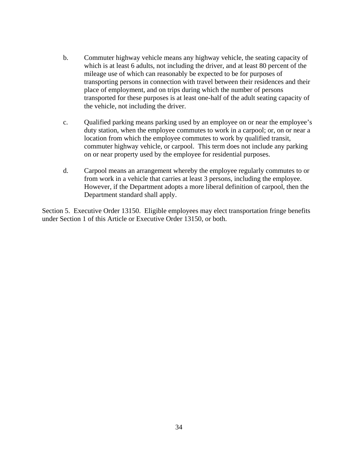- b. Commuter highway vehicle means any highway vehicle, the seating capacity of which is at least 6 adults, not including the driver, and at least 80 percent of the mileage use of which can reasonably be expected to be for purposes of transporting persons in connection with travel between their residences and their place of employment, and on trips during which the number of persons transported for these purposes is at least one-half of the adult seating capacity of the vehicle, not including the driver.
- c. Qualified parking means parking used by an employee on or near the employee's duty station, when the employee commutes to work in a carpool; or, on or near a location from which the employee commutes to work by qualified transit, commuter highway vehicle, or carpool. This term does not include any parking on or near property used by the employee for residential purposes.
- d. Carpool means an arrangement whereby the employee regularly commutes to or from work in a vehicle that carries at least 3 persons, including the employee. However, if the Department adopts a more liberal definition of carpool, then the Department standard shall apply.

Section 5. Executive Order 13150. Eligible employees may elect transportation fringe benefits under Section 1 of this Article or Executive Order 13150, or both.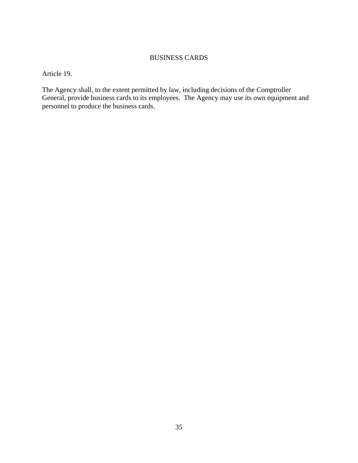## BUSINESS CARDS

Article 19.

The Agency shall, to the extent permitted by law, including decisions of the Comptroller General, provide business cards to its employees. The Agency may use its own equipment and personnel to produce the business cards.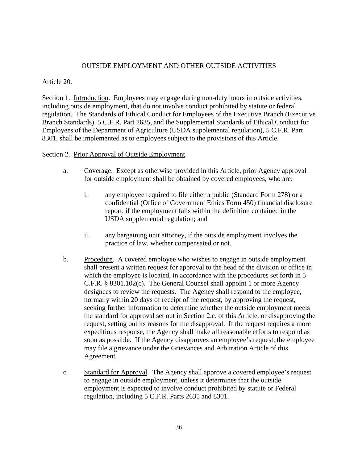## OUTSIDE EMPLOYMENT AND OTHER OUTSIDE ACTIVITIES

### Article 20.

Section 1. Introduction. Employees may engage during non-duty hours in outside activities, including outside employment, that do not involve conduct prohibited by statute or federal regulation. The Standards of Ethical Conduct for Employees of the Executive Branch (Executive Branch Standards), 5 C.F.R. Part 2635, and the Supplemental Standards of Ethical Conduct for Employees of the Department of Agriculture (USDA supplemental regulation), 5 C.F.R. Part 8301, shall be implemented as to employees subject to the provisions of this Article.

#### Section 2. Prior Approval of Outside Employment.

- a. Coverage. Except as otherwise provided in this Article, prior Agency approval for outside employment shall be obtained by covered employees, who are:
	- i. any employee required to file either a public (Standard Form 278) or a confidential (Office of Government Ethics Form 450) financial disclosure report, if the employment falls within the definition contained in the USDA supplemental regulation; and
	- ii. any bargaining unit attorney, if the outside employment involves the practice of law, whether compensated or not.
- b. Procedure. A covered employee who wishes to engage in outside employment shall present a written request for approval to the head of the division or office in which the employee is located, in accordance with the procedures set forth in 5 C.F.R. § 8301.102(c). The General Counsel shall appoint 1 or more Agency designees to review the requests. The Agency shall respond to the employee, normally within 20 days of receipt of the request, by approving the request, seeking further information to determine whether the outside employment meets the standard for approval set out in Section 2.c. of this Article, or disapproving the request, setting out its reasons for the disapproval. If the request requires a more expeditious response, the Agency shall make all reasonable efforts to respond as soon as possible. If the Agency disapproves an employee's request, the employee may file a grievance under the Grievances and Arbitration Article of this Agreement.
- c. Standard for Approval. The Agency shall approve a covered employee's request to engage in outside employment, unless it determines that the outside employment is expected to involve conduct prohibited by statute or Federal regulation, including 5 C.F.R. Parts 2635 and 8301.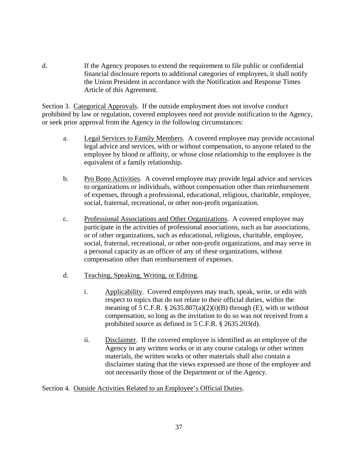d. If the Agency proposes to extend the requirement to file public or confidential financial disclosure reports to additional categories of employees, it shall notify the Union President in accordance with the Notification and Response Times Article of this Agreement.

Section 3. Categorical Approvals. If the outside employment does not involve conduct prohibited by law or regulation, covered employees need not provide notification to the Agency, or seek prior approval from the Agency in the following circumstances:

- a. Legal Services to Family Members. A covered employee may provide occasional legal advice and services, with or without compensation, to anyone related to the employee by blood or affinity, or whose close relationship to the employee is the equivalent of a family relationship.
- b. Pro Bono Activities. A covered employee may provide legal advice and services to organizations or individuals, without compensation other than reimbursement of expenses, through a professional, educational, religious, charitable, employee, social, fraternal, recreational, or other non-profit organization.
- c. Professional Associations and Other Organizations. A covered employee may participate in the activities of professional associations, such as bar associations, or of other organizations, such as educational, religious, charitable, employee, social, fraternal, recreational, or other non-profit organizations, and may serve in a personal capacity as an officer of any of these organizations, without compensation other than reimbursement of expenses.
- d. Teaching, Speaking, Writing, or Editing.
	- i. Applicability. Covered employees may teach, speak, write, or edit with respect to topics that do not relate to their official duties, within the meaning of 5 C.F.R.  $\S 2635.807(a)(2)(i)(B)$  through (E), with or without compensation, so long as the invitation to do so was not received from a prohibited source as defined in 5 C.F.R. § 2635.203(d).
	- ii. Disclaimer. If the covered employee is identified as an employee of the Agency in any written works or in any course catalogs or other written materials, the written works or other materials shall also contain a disclaimer stating that the views expressed are those of the employee and not necessarily those of the Department or of the Agency.

### Section 4. Outside Activities Related to an Employee's Official Duties.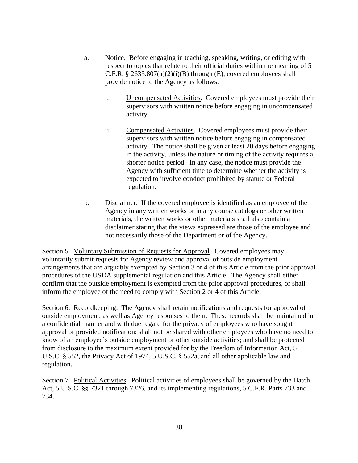- a. Notice. Before engaging in teaching, speaking, writing, or editing with respect to topics that relate to their official duties within the meaning of 5 C.F.R.  $\S 2635.807(a)(2)(i)(B)$  through (E), covered employees shall provide notice to the Agency as follows:
	- i. Uncompensated Activities. Covered employees must provide their supervisors with written notice before engaging in uncompensated activity.
	- ii. Compensated Activities. Covered employees must provide their supervisors with written notice before engaging in compensated activity. The notice shall be given at least 20 days before engaging in the activity, unless the nature or timing of the activity requires a shorter notice period. In any case, the notice must provide the Agency with sufficient time to determine whether the activity is expected to involve conduct prohibited by statute or Federal regulation.
- b. Disclaimer. If the covered employee is identified as an employee of the Agency in any written works or in any course catalogs or other written materials, the written works or other materials shall also contain a disclaimer stating that the views expressed are those of the employee and not necessarily those of the Department or of the Agency.

Section 5. Voluntary Submission of Requests for Approval. Covered employees may voluntarily submit requests for Agency review and approval of outside employment arrangements that are arguably exempted by Section 3 or 4 of this Article from the prior approval procedures of the USDA supplemental regulation and this Article. The Agency shall either confirm that the outside employment is exempted from the prior approval procedures, or shall inform the employee of the need to comply with Section 2 or 4 of this Article.

Section 6. Recordkeeping. The Agency shall retain notifications and requests for approval of outside employment, as well as Agency responses to them. These records shall be maintained in a confidential manner and with due regard for the privacy of employees who have sought approval or provided notification; shall not be shared with other employees who have no need to know of an employee's outside employment or other outside activities; and shall be protected from disclosure to the maximum extent provided for by the Freedom of Information Act, 5 U.S.C. § 552, the Privacy Act of 1974, 5 U.S.C. § 552a, and all other applicable law and regulation.

Section 7. Political Activities. Political activities of employees shall be governed by the Hatch Act, 5 U.S.C. §§ 7321 through 7326, and its implementing regulations, 5 C.F.R. Parts 733 and 734.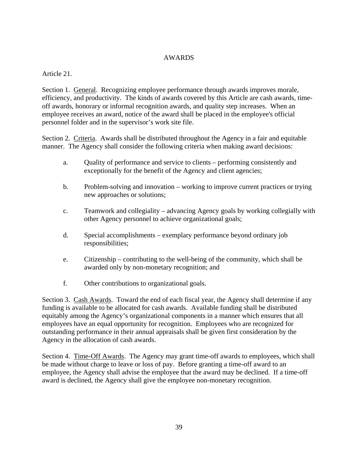## AWARDS

## Article 21.

Section 1. General. Recognizing employee performance through awards improves morale, efficiency, and productivity. The kinds of awards covered by this Article are cash awards, timeoff awards, honorary or informal recognition awards, and quality step increases. When an employee receives an award, notice of the award shall be placed in the employee's official personnel folder and in the supervisor's work site file.

Section 2. Criteria. Awards shall be distributed throughout the Agency in a fair and equitable manner. The Agency shall consider the following criteria when making award decisions:

- a. Quality of performance and service to clients performing consistently and exceptionally for the benefit of the Agency and client agencies;
- b. Problem-solving and innovation working to improve current practices or trying new approaches or solutions;
- c. Teamwork and collegiality advancing Agency goals by working collegially with other Agency personnel to achieve organizational goals;
- d. Special accomplishments exemplary performance beyond ordinary job responsibilities;
- e. Citizenship contributing to the well-being of the community, which shall be awarded only by non-monetary recognition; and
- f. Other contributions to organizational goals.

Section 3. Cash Awards. Toward the end of each fiscal year, the Agency shall determine if any funding is available to be allocated for cash awards. Available funding shall be distributed equitably among the Agency's organizational components in a manner which ensures that all employees have an equal opportunity for recognition. Employees who are recognized for outstanding performance in their annual appraisals shall be given first consideration by the Agency in the allocation of cash awards.

Section 4. Time-Off Awards. The Agency may grant time-off awards to employees, which shall be made without charge to leave or loss of pay. Before granting a time-off award to an employee, the Agency shall advise the employee that the award may be declined. If a time-off award is declined, the Agency shall give the employee non-monetary recognition.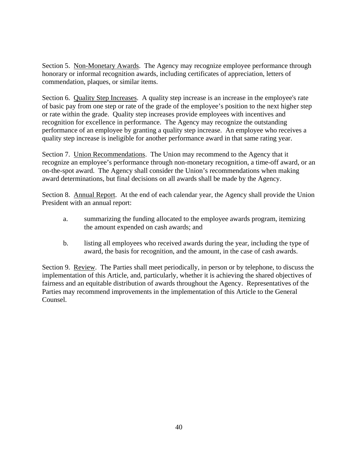Section 5. Non-Monetary Awards. The Agency may recognize employee performance through honorary or informal recognition awards, including certificates of appreciation, letters of commendation, plaques, or similar items.

Section 6. Quality Step Increases. A quality step increase is an increase in the employee's rate of basic pay from one step or rate of the grade of the employee's position to the next higher step or rate within the grade. Quality step increases provide employees with incentives and recognition for excellence in performance. The Agency may recognize the outstanding performance of an employee by granting a quality step increase. An employee who receives a quality step increase is ineligible for another performance award in that same rating year.

Section 7. Union Recommendations. The Union may recommend to the Agency that it recognize an employee's performance through non-monetary recognition, a time-off award, or an on-the-spot award. The Agency shall consider the Union's recommendations when making award determinations, but final decisions on all awards shall be made by the Agency.

Section 8. Annual Report. At the end of each calendar year, the Agency shall provide the Union President with an annual report:

- a. summarizing the funding allocated to the employee awards program, itemizing the amount expended on cash awards; and
- b. listing all employees who received awards during the year, including the type of award, the basis for recognition, and the amount, in the case of cash awards.

Section 9. Review. The Parties shall meet periodically, in person or by telephone, to discuss the implementation of this Article, and, particularly, whether it is achieving the shared objectives of fairness and an equitable distribution of awards throughout the Agency. Representatives of the Parties may recommend improvements in the implementation of this Article to the General Counsel.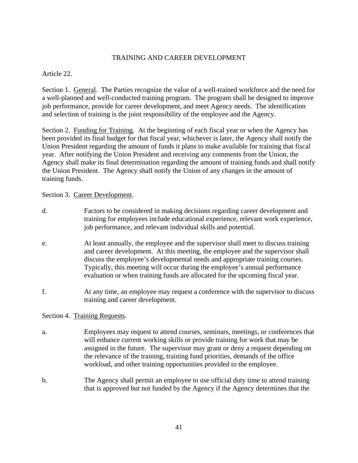## TRAINING AND CAREER DEVELOPMENT

Article 22.

Section 1. General. The Parties recognize the value of a well-trained workforce and the need for a well-planned and well-conducted training program. The program shall be designed to improve job performance, provide for career development, and meet Agency needs. The identification and selection of training is the joint responsibility of the employee and the Agency.

Section 2. Funding for Training. At the beginning of each fiscal year or when the Agency has been provided its final budget for that fiscal year, whichever is later, the Agency shall notify the Union President regarding the amount of funds it plans to make available for training that fiscal year. After notifying the Union President and receiving any comments from the Union, the Agency shall make its final determination regarding the amount of training funds and shall notify the Union President. The Agency shall notify the Union of any changes in the amount of training funds.

Section 3. Career Development.

- d. Factors to be considered in making decisions regarding career development and training for employees include educational experience, relevant work experience, job performance, and relevant individual skills and potential.
- e. At least annually, the employee and the supervisor shall meet to discuss training and career development. At this meeting, the employee and the supervisor shall discuss the employee's developmental needs and appropriate training courses. Typically, this meeting will occur during the employee's annual performance evaluation or when training funds are allocated for the upcoming fiscal year.
- f. At any time, an employee may request a conference with the supervisor to discuss training and career development.

# Section 4. Training Requests.

- a. Employees may request to attend courses, seminars, meetings, or conferences that will enhance current working skills or provide training for work that may be assigned in the future. The supervisor may grant or deny a request depending on the relevance of the training, training fund priorities, demands of the office workload, and other training opportunities provided to the employee.
- b. The Agency shall permit an employee to use official duty time to attend training that is approved but not funded by the Agency if the Agency determines that the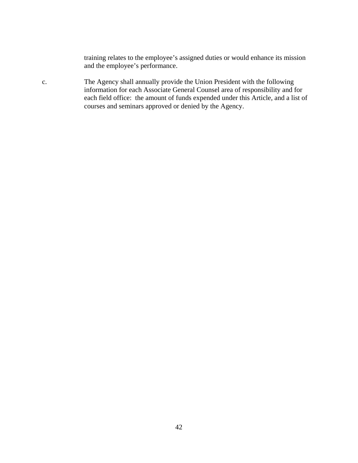training relates to the employee's assigned duties or would enhance its mission and the employee's performance.

c. The Agency shall annually provide the Union President with the following information for each Associate General Counsel area of responsibility and for each field office: the amount of funds expended under this Article, and a list of courses and seminars approved or denied by the Agency.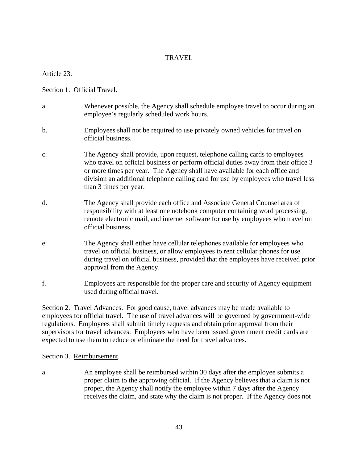## **TRAVEL**

Article 23.

Section 1. Official Travel.

- a. Whenever possible, the Agency shall schedule employee travel to occur during an employee's regularly scheduled work hours.
- b. Employees shall not be required to use privately owned vehicles for travel on official business.
- c. The Agency shall provide, upon request, telephone calling cards to employees who travel on official business or perform official duties away from their office 3 or more times per year. The Agency shall have available for each office and division an additional telephone calling card for use by employees who travel less than 3 times per year.
- d. The Agency shall provide each office and Associate General Counsel area of responsibility with at least one notebook computer containing word processing, remote electronic mail, and internet software for use by employees who travel on official business.
- e. The Agency shall either have cellular telephones available for employees who travel on official business, or allow employees to rent cellular phones for use during travel on official business, provided that the employees have received prior approval from the Agency.
- f. Employees are responsible for the proper care and security of Agency equipment used during official travel.

Section 2. Travel Advances. For good cause, travel advances may be made available to employees for official travel. The use of travel advances will be governed by government-wide regulations. Employees shall submit timely requests and obtain prior approval from their supervisors for travel advances. Employees who have been issued government credit cards are expected to use them to reduce or eliminate the need for travel advances.

### Section 3. Reimbursement.

a. An employee shall be reimbursed within 30 days after the employee submits a proper claim to the approving official. If the Agency believes that a claim is not proper, the Agency shall notify the employee within 7 days after the Agency receives the claim, and state why the claim is not proper. If the Agency does not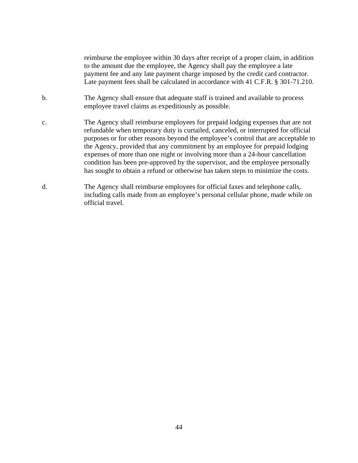reimburse the employee within 30 days after receipt of a proper claim, in addition to the amount due the employee, the Agency shall pay the employee a late payment fee and any late payment charge imposed by the credit card contractor. Late payment fees shall be calculated in accordance with 41 C.F.R. § 301-71.210.

- b. The Agency shall ensure that adequate staff is trained and available to process employee travel claims as expeditiously as possible.
- c. The Agency shall reimburse employees for prepaid lodging expenses that are not refundable when temporary duty is curtailed, canceled, or interrupted for official purposes or for other reasons beyond the employee's control that are acceptable to the Agency, provided that any commitment by an employee for prepaid lodging expenses of more than one night or involving more than a 24-hour cancellation condition has been pre-approved by the supervisor, and the employee personally has sought to obtain a refund or otherwise has taken steps to minimize the costs.
- d. The Agency shall reimburse employees for official faxes and telephone calls, including calls made from an employee's personal cellular phone, made while on official travel.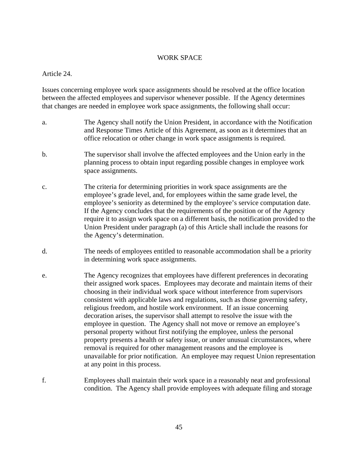#### WORK SPACE

Article 24.

Issues concerning employee work space assignments should be resolved at the office location between the affected employees and supervisor whenever possible. If the Agency determines that changes are needed in employee work space assignments, the following shall occur:

- a. The Agency shall notify the Union President, in accordance with the Notification and Response Times Article of this Agreement, as soon as it determines that an office relocation or other change in work space assignments is required.
- b. The supervisor shall involve the affected employees and the Union early in the planning process to obtain input regarding possible changes in employee work space assignments.
- c. The criteria for determining priorities in work space assignments are the employee's grade level, and, for employees within the same grade level, the employee's seniority as determined by the employee's service computation date. If the Agency concludes that the requirements of the position or of the Agency require it to assign work space on a different basis, the notification provided to the Union President under paragraph (a) of this Article shall include the reasons for the Agency's determination.
- d. The needs of employees entitled to reasonable accommodation shall be a priority in determining work space assignments.
- e. The Agency recognizes that employees have different preferences in decorating their assigned work spaces. Employees may decorate and maintain items of their choosing in their individual work space without interference from supervisors consistent with applicable laws and regulations, such as those governing safety, religious freedom, and hostile work environment. If an issue concerning decoration arises, the supervisor shall attempt to resolve the issue with the employee in question. The Agency shall not move or remove an employee's personal property without first notifying the employee, unless the personal property presents a health or safety issue, or under unusual circumstances, where removal is required for other management reasons and the employee is unavailable for prior notification. An employee may request Union representation at any point in this process.
- f. Employees shall maintain their work space in a reasonably neat and professional condition. The Agency shall provide employees with adequate filing and storage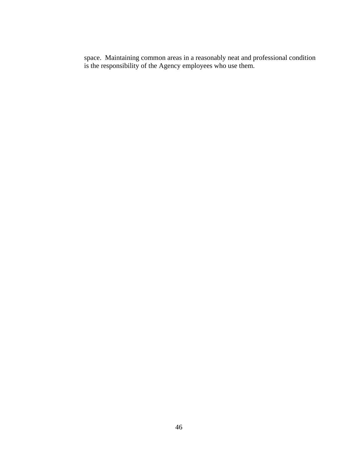space. Maintaining common areas in a reasonably neat and professional condition is the responsibility of the Agency employees who use them.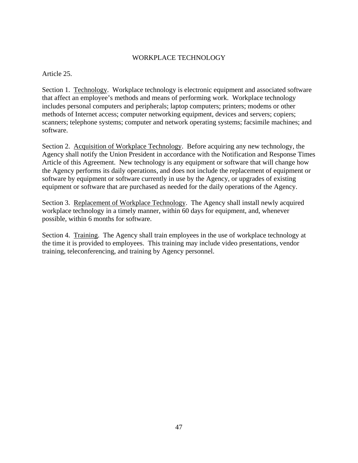## WORKPLACE TECHNOLOGY

Article 25.

Section 1. Technology. Workplace technology is electronic equipment and associated software that affect an employee's methods and means of performing work. Workplace technology includes personal computers and peripherals; laptop computers; printers; modems or other methods of Internet access; computer networking equipment, devices and servers; copiers; scanners; telephone systems; computer and network operating systems; facsimile machines; and software.

Section 2. Acquisition of Workplace Technology. Before acquiring any new technology, the Agency shall notify the Union President in accordance with the Notification and Response Times Article of this Agreement. New technology is any equipment or software that will change how the Agency performs its daily operations, and does not include the replacement of equipment or software by equipment or software currently in use by the Agency, or upgrades of existing equipment or software that are purchased as needed for the daily operations of the Agency.

Section 3. Replacement of Workplace Technology. The Agency shall install newly acquired workplace technology in a timely manner, within 60 days for equipment, and, whenever possible, within 6 months for software.

Section 4. Training. The Agency shall train employees in the use of workplace technology at the time it is provided to employees. This training may include video presentations, vendor training, teleconferencing, and training by Agency personnel.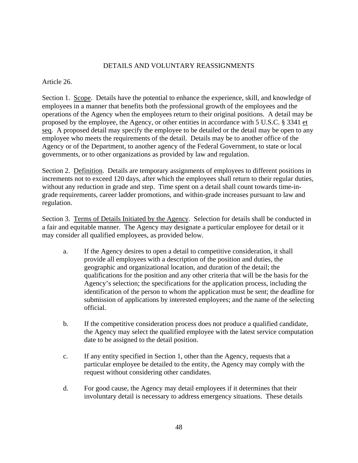## DETAILS AND VOLUNTARY REASSIGNMENTS

## Article 26.

Section 1. Scope. Details have the potential to enhance the experience, skill, and knowledge of employees in a manner that benefits both the professional growth of the employees and the operations of the Agency when the employees return to their original positions. A detail may be proposed by the employee, the Agency, or other entities in accordance with 5 U.S.C. § 3341 et seq. A proposed detail may specify the employee to be detailed or the detail may be open to any employee who meets the requirements of the detail. Details may be to another office of the Agency or of the Department, to another agency of the Federal Government, to state or local governments, or to other organizations as provided by law and regulation.

Section 2. Definition. Details are temporary assignments of employees to different positions in increments not to exceed 120 days, after which the employees shall return to their regular duties, without any reduction in grade and step. Time spent on a detail shall count towards time-ingrade requirements, career ladder promotions, and within-grade increases pursuant to law and regulation.

Section 3. Terms of Details Initiated by the Agency. Selection for details shall be conducted in a fair and equitable manner. The Agency may designate a particular employee for detail or it may consider all qualified employees, as provided below.

- a. If the Agency desires to open a detail to competitive consideration, it shall provide all employees with a description of the position and duties, the geographic and organizational location, and duration of the detail; the qualifications for the position and any other criteria that will be the basis for the Agency's selection; the specifications for the application process, including the identification of the person to whom the application must be sent; the deadline for submission of applications by interested employees; and the name of the selecting official.
- b. If the competitive consideration process does not produce a qualified candidate, the Agency may select the qualified employee with the latest service computation date to be assigned to the detail position.
- c. If any entity specified in Section 1, other than the Agency, requests that a particular employee be detailed to the entity, the Agency may comply with the request without considering other candidates.
- d. For good cause, the Agency may detail employees if it determines that their involuntary detail is necessary to address emergency situations. These details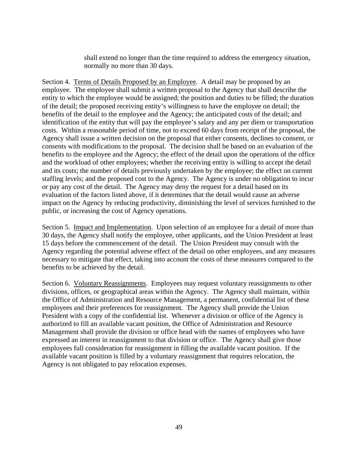shall extend no longer than the time required to address the emergency situation, normally no more than 30 days.

Section 4. Terms of Details Proposed by an Employee. A detail may be proposed by an employee. The employee shall submit a written proposal to the Agency that shall describe the entity to which the employee would be assigned; the position and duties to be filled; the duration of the detail; the proposed receiving entity's willingness to have the employee on detail; the benefits of the detail to the employee and the Agency; the anticipated costs of the detail; and identification of the entity that will pay the employee's salary and any per diem or transportation costs. Within a reasonable period of time, not to exceed 60 days from receipt of the proposal, the Agency shall issue a written decision on the proposal that either consents, declines to consent, or consents with modifications to the proposal. The decision shall be based on an evaluation of the benefits to the employee and the Agency; the effect of the detail upon the operations of the office and the workload of other employees; whether the receiving entity is willing to accept the detail and its costs; the number of details previously undertaken by the employee; the effect on current staffing levels; and the proposed cost to the Agency. The Agency is under no obligation to incur or pay any cost of the detail. The Agency may deny the request for a detail based on its evaluation of the factors listed above, if it determines that the detail would cause an adverse impact on the Agency by reducing productivity, diminishing the level of services furnished to the public, or increasing the cost of Agency operations.

Section 5. Impact and Implementation. Upon selection of an employee for a detail of more than 30 days, the Agency shall notify the employee, other applicants, and the Union President at least 15 days before the commencement of the detail. The Union President may consult with the Agency regarding the potential adverse effect of the detail on other employees, and any measures necessary to mitigate that effect, taking into account the costs of these measures compared to the benefits to be achieved by the detail.

Section 6. Voluntary Reassignments. Employees may request voluntary reassignments to other divisions, offices, or geographical areas within the Agency. The Agency shall maintain, within the Office of Administration and Resource Management, a permanent, confidential list of these employees and their preferences for reassignment. The Agency shall provide the Union President with a copy of the confidential list. Whenever a division or office of the Agency is authorized to fill an available vacant position, the Office of Administration and Resource Management shall provide the division or office head with the names of employees who have expressed an interest in reassignment to that division or office. The Agency shall give those employees full consideration for reassignment in filling the available vacant position. If the available vacant position is filled by a voluntary reassignment that requires relocation, the Agency is not obligated to pay relocation expenses.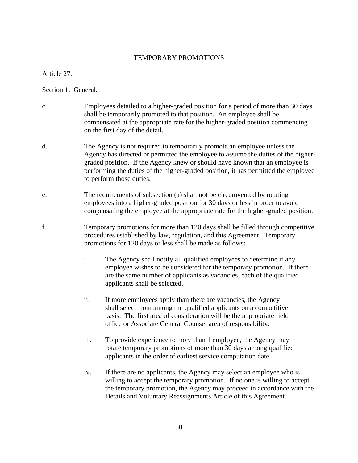### TEMPORARY PROMOTIONS

Article 27.

Section 1. General.

- c. Employees detailed to a higher-graded position for a period of more than 30 days shall be temporarily promoted to that position. An employee shall be compensated at the appropriate rate for the higher-graded position commencing on the first day of the detail.
- d. The Agency is not required to temporarily promote an employee unless the Agency has directed or permitted the employee to assume the duties of the highergraded position. If the Agency knew or should have known that an employee is performing the duties of the higher-graded position, it has permitted the employee to perform those duties.
- e. The requirements of subsection (a) shall not be circumvented by rotating employees into a higher-graded position for 30 days or less in order to avoid compensating the employee at the appropriate rate for the higher-graded position.
- f. Temporary promotions for more than 120 days shall be filled through competitive procedures established by law, regulation, and this Agreement. Temporary promotions for 120 days or less shall be made as follows:
	- i. The Agency shall notify all qualified employees to determine if any employee wishes to be considered for the temporary promotion. If there are the same number of applicants as vacancies, each of the qualified applicants shall be selected.
	- ii. If more employees apply than there are vacancies, the Agency shall select from among the qualified applicants on a competitive basis. The first area of consideration will be the appropriate field office or Associate General Counsel area of responsibility.
	- iii. To provide experience to more than 1 employee, the Agency may rotate temporary promotions of more than 30 days among qualified applicants in the order of earliest service computation date.
	- iv. If there are no applicants, the Agency may select an employee who is willing to accept the temporary promotion. If no one is willing to accept the temporary promotion, the Agency may proceed in accordance with the Details and Voluntary Reassignments Article of this Agreement.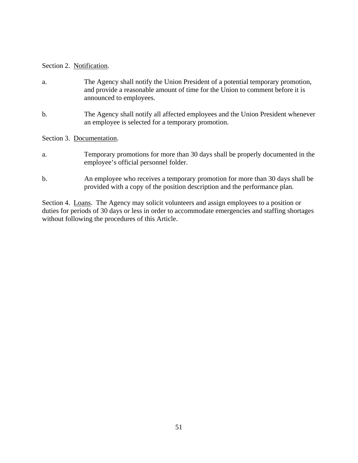### Section 2. Notification.

- a. The Agency shall notify the Union President of a potential temporary promotion, and provide a reasonable amount of time for the Union to comment before it is announced to employees.
- b. The Agency shall notify all affected employees and the Union President whenever an employee is selected for a temporary promotion.

Section 3. Documentation.

- a. Temporary promotions for more than 30 days shall be properly documented in the employee's official personnel folder.
- b. An employee who receives a temporary promotion for more than 30 days shall be provided with a copy of the position description and the performance plan.

Section 4. Loans. The Agency may solicit volunteers and assign employees to a position or duties for periods of 30 days or less in order to accommodate emergencies and staffing shortages without following the procedures of this Article.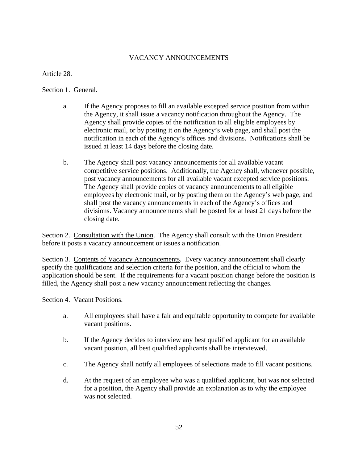# VACANCY ANNOUNCEMENTS

Article 28.

Section 1. General.

- a. If the Agency proposes to fill an available excepted service position from within the Agency, it shall issue a vacancy notification throughout the Agency. The Agency shall provide copies of the notification to all eligible employees by electronic mail, or by posting it on the Agency's web page, and shall post the notification in each of the Agency's offices and divisions. Notifications shall be issued at least 14 days before the closing date.
- b. The Agency shall post vacancy announcements for all available vacant competitive service positions. Additionally, the Agency shall, whenever possible, post vacancy announcements for all available vacant excepted service positions. The Agency shall provide copies of vacancy announcements to all eligible employees by electronic mail, or by posting them on the Agency's web page, and shall post the vacancy announcements in each of the Agency's offices and divisions. Vacancy announcements shall be posted for at least 21 days before the closing date.

Section 2. Consultation with the Union. The Agency shall consult with the Union President before it posts a vacancy announcement or issues a notification.

Section 3. Contents of Vacancy Announcements. Every vacancy announcement shall clearly specify the qualifications and selection criteria for the position, and the official to whom the application should be sent. If the requirements for a vacant position change before the position is filled, the Agency shall post a new vacancy announcement reflecting the changes.

Section 4. Vacant Positions.

- a. All employees shall have a fair and equitable opportunity to compete for available vacant positions.
- b. If the Agency decides to interview any best qualified applicant for an available vacant position, all best qualified applicants shall be interviewed.
- c. The Agency shall notify all employees of selections made to fill vacant positions.
- d. At the request of an employee who was a qualified applicant, but was not selected for a position, the Agency shall provide an explanation as to why the employee was not selected.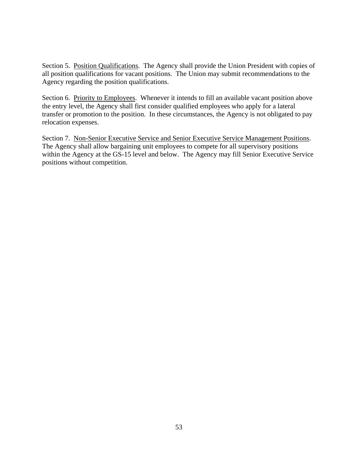Section 5. Position Qualifications. The Agency shall provide the Union President with copies of all position qualifications for vacant positions. The Union may submit recommendations to the Agency regarding the position qualifications.

Section 6. Priority to Employees. Whenever it intends to fill an available vacant position above the entry level, the Agency shall first consider qualified employees who apply for a lateral transfer or promotion to the position. In these circumstances, the Agency is not obligated to pay relocation expenses.

Section 7. Non-Senior Executive Service and Senior Executive Service Management Positions. The Agency shall allow bargaining unit employees to compete for all supervisory positions within the Agency at the GS-15 level and below. The Agency may fill Senior Executive Service positions without competition.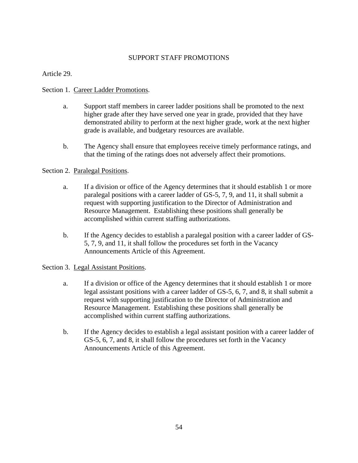## SUPPORT STAFF PROMOTIONS

Article 29.

## Section 1. Career Ladder Promotions.

- a. Support staff members in career ladder positions shall be promoted to the next higher grade after they have served one year in grade, provided that they have demonstrated ability to perform at the next higher grade, work at the next higher grade is available, and budgetary resources are available.
- b. The Agency shall ensure that employees receive timely performance ratings, and that the timing of the ratings does not adversely affect their promotions.

## Section 2. Paralegal Positions.

- a. If a division or office of the Agency determines that it should establish 1 or more paralegal positions with a career ladder of GS-5, 7, 9, and 11, it shall submit a request with supporting justification to the Director of Administration and Resource Management. Establishing these positions shall generally be accomplished within current staffing authorizations.
- b. If the Agency decides to establish a paralegal position with a career ladder of GS-5, 7, 9, and 11, it shall follow the procedures set forth in the Vacancy Announcements Article of this Agreement.

### Section 3. Legal Assistant Positions.

- a. If a division or office of the Agency determines that it should establish 1 or more legal assistant positions with a career ladder of GS-5, 6, 7, and 8, it shall submit a request with supporting justification to the Director of Administration and Resource Management. Establishing these positions shall generally be accomplished within current staffing authorizations.
- b. If the Agency decides to establish a legal assistant position with a career ladder of GS-5, 6, 7, and 8, it shall follow the procedures set forth in the Vacancy Announcements Article of this Agreement.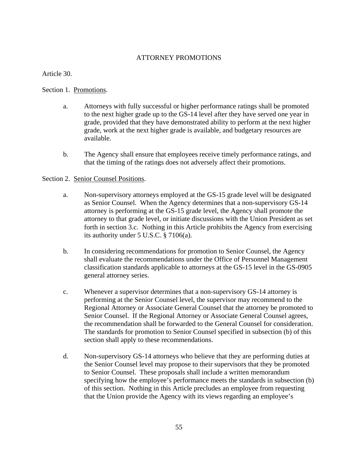## ATTORNEY PROMOTIONS

Article 30.

### Section 1. Promotions.

- a. Attorneys with fully successful or higher performance ratings shall be promoted to the next higher grade up to the GS-14 level after they have served one year in grade, provided that they have demonstrated ability to perform at the next higher grade, work at the next higher grade is available, and budgetary resources are available.
- b. The Agency shall ensure that employees receive timely performance ratings, and that the timing of the ratings does not adversely affect their promotions.

#### Section 2. Senior Counsel Positions.

- a. Non-supervisory attorneys employed at the GS-15 grade level will be designated as Senior Counsel. When the Agency determines that a non-supervisory GS-14 attorney is performing at the GS-15 grade level, the Agency shall promote the attorney to that grade level, or initiate discussions with the Union President as set forth in section 3.c. Nothing in this Article prohibits the Agency from exercising its authority under 5 U.S.C. § 7106(a).
- b. In considering recommendations for promotion to Senior Counsel, the Agency shall evaluate the recommendations under the Office of Personnel Management classification standards applicable to attorneys at the GS-15 level in the GS-0905 general attorney series.
- c. Whenever a supervisor determines that a non-supervisory GS-14 attorney is performing at the Senior Counsel level, the supervisor may recommend to the Regional Attorney or Associate General Counsel that the attorney be promoted to Senior Counsel. If the Regional Attorney or Associate General Counsel agrees, the recommendation shall be forwarded to the General Counsel for consideration. The standards for promotion to Senior Counsel specified in subsection (b) of this section shall apply to these recommendations.
- d. Non-supervisory GS-14 attorneys who believe that they are performing duties at the Senior Counsel level may propose to their supervisors that they be promoted to Senior Counsel. These proposals shall include a written memorandum specifying how the employee's performance meets the standards in subsection (b) of this section. Nothing in this Article precludes an employee from requesting that the Union provide the Agency with its views regarding an employee's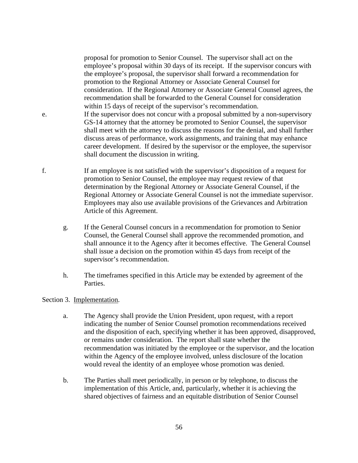proposal for promotion to Senior Counsel. The supervisor shall act on the employee's proposal within 30 days of its receipt. If the supervisor concurs with the employee's proposal, the supervisor shall forward a recommendation for promotion to the Regional Attorney or Associate General Counsel for consideration. If the Regional Attorney or Associate General Counsel agrees, the recommendation shall be forwarded to the General Counsel for consideration within 15 days of receipt of the supervisor's recommendation.

- e. If the supervisor does not concur with a proposal submitted by a non-supervisory GS-14 attorney that the attorney be promoted to Senior Counsel, the supervisor shall meet with the attorney to discuss the reasons for the denial, and shall further discuss areas of performance, work assignments, and training that may enhance career development. If desired by the supervisor or the employee, the supervisor shall document the discussion in writing.
- f. If an employee is not satisfied with the supervisor's disposition of a request for promotion to Senior Counsel, the employee may request review of that determination by the Regional Attorney or Associate General Counsel, if the Regional Attorney or Associate General Counsel is not the immediate supervisor. Employees may also use available provisions of the Grievances and Arbitration Article of this Agreement.
	- g. If the General Counsel concurs in a recommendation for promotion to Senior Counsel, the General Counsel shall approve the recommended promotion, and shall announce it to the Agency after it becomes effective. The General Counsel shall issue a decision on the promotion within 45 days from receipt of the supervisor's recommendation.
	- h. The timeframes specified in this Article may be extended by agreement of the Parties.

### Section 3. Implementation.

- a. The Agency shall provide the Union President, upon request, with a report indicating the number of Senior Counsel promotion recommendations received and the disposition of each, specifying whether it has been approved, disapproved, or remains under consideration. The report shall state whether the recommendation was initiated by the employee or the supervisor, and the location within the Agency of the employee involved, unless disclosure of the location would reveal the identity of an employee whose promotion was denied.
- b. The Parties shall meet periodically, in person or by telephone, to discuss the implementation of this Article, and, particularly, whether it is achieving the shared objectives of fairness and an equitable distribution of Senior Counsel
	- 56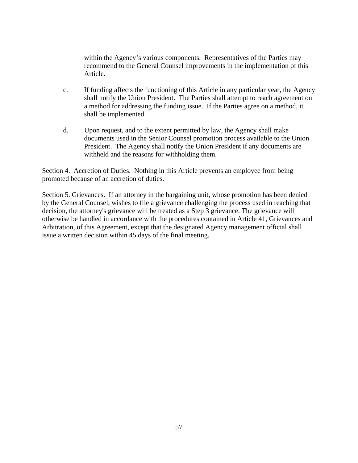within the Agency's various components. Representatives of the Parties may recommend to the General Counsel improvements in the implementation of this Article.

- c. If funding affects the functioning of this Article in any particular year, the Agency shall notify the Union President. The Parties shall attempt to reach agreement on a method for addressing the funding issue. If the Parties agree on a method, it shall be implemented.
- d. Upon request, and to the extent permitted by law, the Agency shall make documents used in the Senior Counsel promotion process available to the Union President. The Agency shall notify the Union President if any documents are withheld and the reasons for withholding them.

Section 4. Accretion of Duties. Nothing in this Article prevents an employee from being promoted because of an accretion of duties.

Section 5. Grievances. If an attorney in the bargaining unit, whose promotion has been denied by the General Counsel, wishes to file a grievance challenging the process used in reaching that decision, the attorney's grievance will be treated as a Step 3 grievance. The grievance will otherwise be handled in accordance with the procedures contained in Article 41, Grievances and Arbitration, of this Agreement, except that the designated Agency management official shall issue a written decision within 45 days of the final meeting.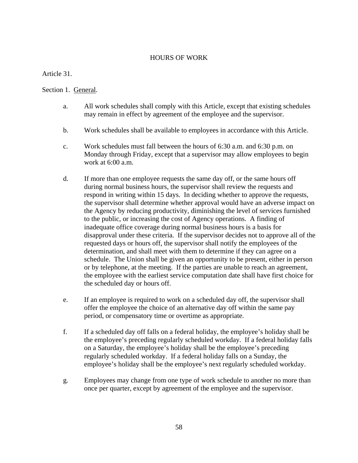## HOURS OF WORK

Article 31.

## Section 1. General.

- a. All work schedules shall comply with this Article, except that existing schedules may remain in effect by agreement of the employee and the supervisor.
- b. Work schedules shall be available to employees in accordance with this Article.
- c. Work schedules must fall between the hours of 6:30 a.m. and 6:30 p.m. on Monday through Friday, except that a supervisor may allow employees to begin work at 6:00 a.m.
- d. If more than one employee requests the same day off, or the same hours off during normal business hours, the supervisor shall review the requests and respond in writing within 15 days. In deciding whether to approve the requests, the supervisor shall determine whether approval would have an adverse impact on the Agency by reducing productivity, diminishing the level of services furnished to the public, or increasing the cost of Agency operations. A finding of inadequate office coverage during normal business hours is a basis for disapproval under these criteria. If the supervisor decides not to approve all of the requested days or hours off, the supervisor shall notify the employees of the determination, and shall meet with them to determine if they can agree on a schedule. The Union shall be given an opportunity to be present, either in person or by telephone, at the meeting. If the parties are unable to reach an agreement, the employee with the earliest service computation date shall have first choice for the scheduled day or hours off.
- e. If an employee is required to work on a scheduled day off, the supervisor shall offer the employee the choice of an alternative day off within the same pay period, or compensatory time or overtime as appropriate.
- f. If a scheduled day off falls on a federal holiday, the employee's holiday shall be the employee's preceding regularly scheduled workday. If a federal holiday falls on a Saturday, the employee's holiday shall be the employee's preceding regularly scheduled workday. If a federal holiday falls on a Sunday, the employee's holiday shall be the employee's next regularly scheduled workday.
- g. Employees may change from one type of work schedule to another no more than once per quarter, except by agreement of the employee and the supervisor.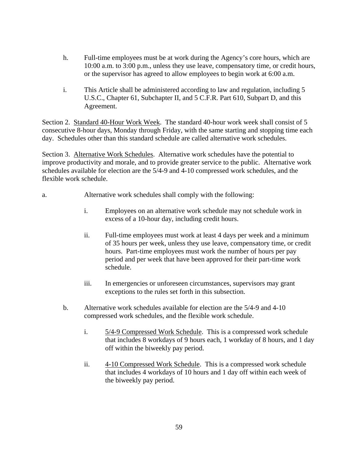- h. Full-time employees must be at work during the Agency's core hours, which are 10:00 a.m. to 3:00 p.m., unless they use leave, compensatory time, or credit hours, or the supervisor has agreed to allow employees to begin work at 6:00 a.m.
- i. This Article shall be administered according to law and regulation, including 5 U.S.C., Chapter 61, Subchapter II, and 5 C.F.R. Part 610, Subpart D, and this Agreement.

Section 2. Standard 40-Hour Work Week. The standard 40-hour work week shall consist of 5 consecutive 8-hour days, Monday through Friday, with the same starting and stopping time each day. Schedules other than this standard schedule are called alternative work schedules.

Section 3. Alternative Work Schedules. Alternative work schedules have the potential to improve productivity and morale, and to provide greater service to the public. Alternative work schedules available for election are the 5/4-9 and 4-10 compressed work schedules, and the flexible work schedule.

- a. Alternative work schedules shall comply with the following:
	- i. Employees on an alternative work schedule may not schedule work in excess of a 10-hour day, including credit hours.
	- ii. Full-time employees must work at least 4 days per week and a minimum of 35 hours per week, unless they use leave, compensatory time, or credit hours. Part-time employees must work the number of hours per pay period and per week that have been approved for their part-time work schedule.
	- iii. In emergencies or unforeseen circumstances, supervisors may grant exceptions to the rules set forth in this subsection.
	- b. Alternative work schedules available for election are the 5/4-9 and 4-10 compressed work schedules, and the flexible work schedule.
		- i. 5/4-9 Compressed Work Schedule. This is a compressed work schedule that includes 8 workdays of 9 hours each, 1 workday of 8 hours, and 1 day off within the biweekly pay period.
		- ii. 4-10 Compressed Work Schedule. This is a compressed work schedule that includes 4 workdays of 10 hours and 1 day off within each week of the biweekly pay period.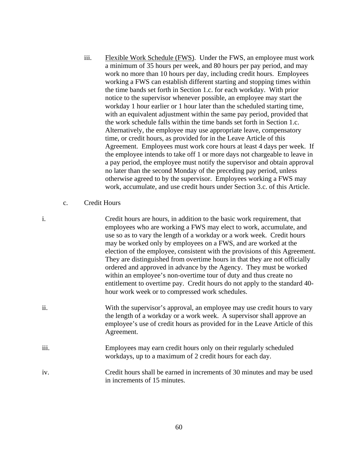- iii. Flexible Work Schedule (FWS). Under the FWS, an employee must work a minimum of 35 hours per week, and 80 hours per pay period, and may work no more than 10 hours per day, including credit hours. Employees working a FWS can establish different starting and stopping times within the time bands set forth in Section 1.c. for each workday. With prior notice to the supervisor whenever possible, an employee may start the workday 1 hour earlier or 1 hour later than the scheduled starting time, with an equivalent adjustment within the same pay period, provided that the work schedule falls within the time bands set forth in Section 1.c. Alternatively, the employee may use appropriate leave, compensatory time, or credit hours, as provided for in the Leave Article of this Agreement. Employees must work core hours at least 4 days per week. If the employee intends to take off 1 or more days not chargeable to leave in a pay period, the employee must notify the supervisor and obtain approval no later than the second Monday of the preceding pay period, unless otherwise agreed to by the supervisor. Employees working a FWS may work, accumulate, and use credit hours under Section 3.c. of this Article.
- c. Credit Hours
- i. Credit hours are hours, in addition to the basic work requirement, that employees who are working a FWS may elect to work, accumulate, and use so as to vary the length of a workday or a work week. Credit hours may be worked only by employees on a FWS, and are worked at the election of the employee, consistent with the provisions of this Agreement. They are distinguished from overtime hours in that they are not officially ordered and approved in advance by the Agency. They must be worked within an employee's non-overtime tour of duty and thus create no entitlement to overtime pay. Credit hours do not apply to the standard 40 hour work week or to compressed work schedules.
- ii. With the supervisor's approval, an employee may use credit hours to vary the length of a workday or a work week. A supervisor shall approve an employee's use of credit hours as provided for in the Leave Article of this Agreement.
- iii. Employees may earn credit hours only on their regularly scheduled workdays, up to a maximum of 2 credit hours for each day.
- iv. Credit hours shall be earned in increments of 30 minutes and may be used in increments of 15 minutes.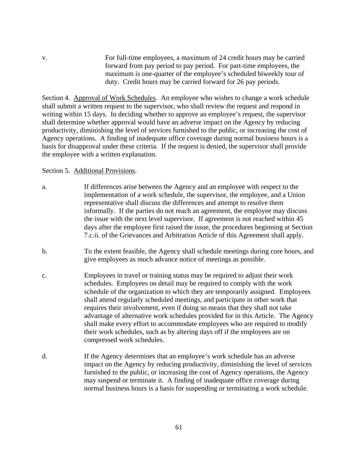v. For full-time employees, a maximum of 24 credit hours may be carried forward from pay period to pay period. For part-time employees, the maximum is one-quarter of the employee's scheduled biweekly tour of duty. Credit hours may be carried forward for 26 pay periods.

Section 4. Approval of Work Schedules. An employee who wishes to change a work schedule shall submit a written request to the supervisor, who shall review the request and respond in writing within 15 days. In deciding whether to approve an employee's request, the supervisor shall determine whether approval would have an adverse impact on the Agency by reducing productivity, diminishing the level of services furnished to the public, or increasing the cost of Agency operations. A finding of inadequate office coverage during normal business hours is a basis for disapproval under these criteria. If the request is denied, the supervisor shall provide the employee with a written explanation.

### Section 5. Additional Provisions.

- a. If differences arise between the Agency and an employee with respect to the implementation of a work schedule, the supervisor, the employee, and a Union representative shall discuss the differences and attempt to resolve them informally. If the parties do not reach an agreement, the employee may discuss the issue with the next level supervisor. If agreement is not reached within 45 days after the employee first raised the issue, the procedures beginning at Section 7.c.ii. of the Grievances and Arbitration Article of this Agreement shall apply.
- b. To the extent feasible, the Agency shall schedule meetings during core hours, and give employees as much advance notice of meetings as possible.
- c. Employees in travel or training status may be required to adjust their work schedules. Employees on detail may be required to comply with the work schedule of the organization to which they are temporarily assigned. Employees shall attend regularly scheduled meetings, and participate in other work that requires their involvement, even if doing so means that they shall not take advantage of alternative work schedules provided for in this Article. The Agency shall make every effort to accommodate employees who are required to modify their work schedules, such as by altering days off if the employees are on compressed work schedules.
- d. If the Agency determines that an employee's work schedule has an adverse impact on the Agency by reducing productivity, diminishing the level of services furnished to the public, or increasing the cost of Agency operations, the Agency may suspend or terminate it. A finding of inadequate office coverage during normal business hours is a basis for suspending or terminating a work schedule.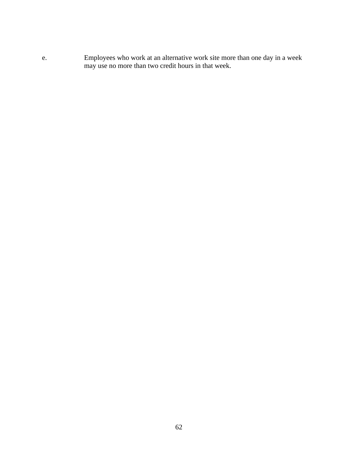e. Employees who work at an alternative work site more than one day in a week may use no more than two credit hours in that week.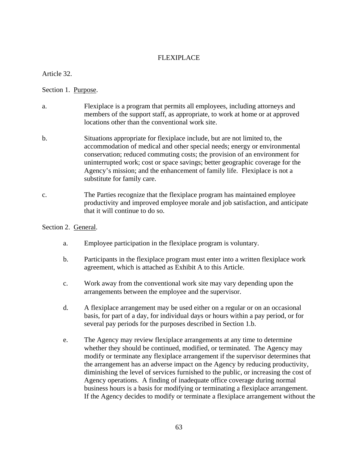## FLEXIPLACE

Article 32.

### Section 1. Purpose.

- a. Flexiplace is a program that permits all employees, including attorneys and members of the support staff, as appropriate, to work at home or at approved locations other than the conventional work site.
- b. Situations appropriate for flexiplace include, but are not limited to, the accommodation of medical and other special needs; energy or environmental conservation; reduced commuting costs; the provision of an environment for uninterrupted work; cost or space savings; better geographic coverage for the Agency's mission; and the enhancement of family life. Flexiplace is not a substitute for family care.
- c. The Parties recognize that the flexiplace program has maintained employee productivity and improved employee morale and job satisfaction, and anticipate that it will continue to do so.

#### Section 2. General.

- a. Employee participation in the flexiplace program is voluntary.
- b. Participants in the flexiplace program must enter into a written flexiplace work agreement, which is attached as Exhibit A to this Article.
- c. Work away from the conventional work site may vary depending upon the arrangements between the employee and the supervisor.
- d. A flexiplace arrangement may be used either on a regular or on an occasional basis, for part of a day, for individual days or hours within a pay period, or for several pay periods for the purposes described in Section 1.b.
- e. The Agency may review flexiplace arrangements at any time to determine whether they should be continued, modified, or terminated. The Agency may modify or terminate any flexiplace arrangement if the supervisor determines that the arrangement has an adverse impact on the Agency by reducing productivity, diminishing the level of services furnished to the public, or increasing the cost of Agency operations. A finding of inadequate office coverage during normal business hours is a basis for modifying or terminating a flexiplace arrangement. If the Agency decides to modify or terminate a flexiplace arrangement without the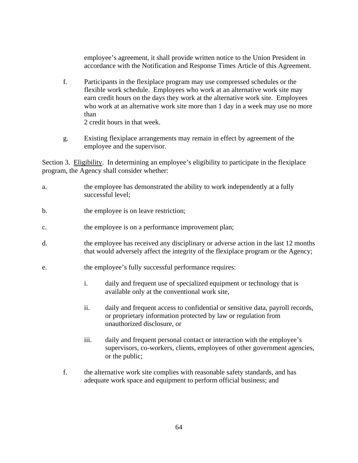employee's agreement, it shall provide written notice to the Union President in accordance with the Notification and Response Times Article of this Agreement.

- f. Participants in the flexiplace program may use compressed schedules or the flexible work schedule. Employees who work at an alternative work site may earn credit hours on the days they work at the alternative work site. Employees who work at an alternative work site more than 1 day in a week may use no more than 2 credit hours in that week.
- g. Existing flexiplace arrangements may remain in effect by agreement of the employee and the supervisor.

Section 3. Eligibility. In determining an employee's eligibility to participate in the flexiplace program, the Agency shall consider whether:

- a. the employee has demonstrated the ability to work independently at a fully successful level;
- b. the employee is on leave restriction;
- c. the employee is on a performance improvement plan;
- d. the employee has received any disciplinary or adverse action in the last 12 months that would adversely affect the integrity of the flexiplace program or the Agency;
- e. the employee's fully successful performance requires:
	- i. daily and frequent use of specialized equipment or technology that is available only at the conventional work site,
	- ii. daily and frequent access to confidential or sensitive data, payroll records, or proprietary information protected by law or regulation from unauthorized disclosure, or
	- iii. daily and frequent personal contact or interaction with the employee's supervisors, co-workers, clients, employees of other government agencies, or the public;
	- f. the alternative work site complies with reasonable safety standards, and has adequate work space and equipment to perform official business; and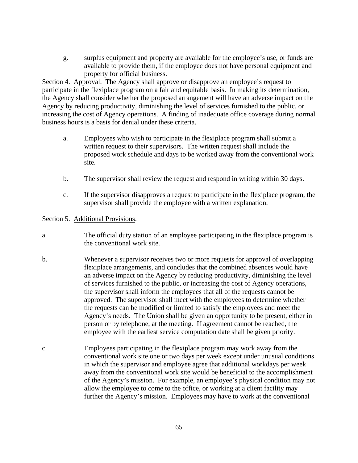g. surplus equipment and property are available for the employee's use, or funds are available to provide them, if the employee does not have personal equipment and property for official business.

Section 4. Approval. The Agency shall approve or disapprove an employee's request to participate in the flexiplace program on a fair and equitable basis. In making its determination, the Agency shall consider whether the proposed arrangement will have an adverse impact on the Agency by reducing productivity, diminishing the level of services furnished to the public, or increasing the cost of Agency operations. A finding of inadequate office coverage during normal business hours is a basis for denial under these criteria.

- a. Employees who wish to participate in the flexiplace program shall submit a written request to their supervisors. The written request shall include the proposed work schedule and days to be worked away from the conventional work site.
- b. The supervisor shall review the request and respond in writing within 30 days.
- c. If the supervisor disapproves a request to participate in the flexiplace program, the supervisor shall provide the employee with a written explanation.

Section 5. Additional Provisions.

- a. The official duty station of an employee participating in the flexiplace program is the conventional work site.
- b. Whenever a supervisor receives two or more requests for approval of overlapping flexiplace arrangements, and concludes that the combined absences would have an adverse impact on the Agency by reducing productivity, diminishing the level of services furnished to the public, or increasing the cost of Agency operations, the supervisor shall inform the employees that all of the requests cannot be approved. The supervisor shall meet with the employees to determine whether the requests can be modified or limited to satisfy the employees and meet the Agency's needs. The Union shall be given an opportunity to be present, either in person or by telephone, at the meeting. If agreement cannot be reached, the employee with the earliest service computation date shall be given priority.
- c. Employees participating in the flexiplace program may work away from the conventional work site one or two days per week except under unusual conditions in which the supervisor and employee agree that additional workdays per week away from the conventional work site would be beneficial to the accomplishment of the Agency's mission. For example, an employee's physical condition may not allow the employee to come to the office, or working at a client facility may further the Agency's mission. Employees may have to work at the conventional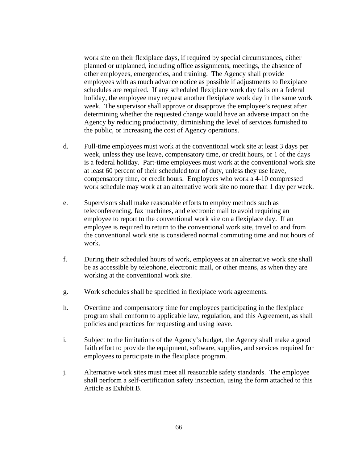work site on their flexiplace days, if required by special circumstances, either planned or unplanned, including office assignments, meetings, the absence of other employees, emergencies, and training. The Agency shall provide employees with as much advance notice as possible if adjustments to flexiplace schedules are required. If any scheduled flexiplace work day falls on a federal holiday, the employee may request another flexiplace work day in the same work week. The supervisor shall approve or disapprove the employee's request after determining whether the requested change would have an adverse impact on the Agency by reducing productivity, diminishing the level of services furnished to the public, or increasing the cost of Agency operations.

- d. Full-time employees must work at the conventional work site at least 3 days per week, unless they use leave, compensatory time, or credit hours, or 1 of the days is a federal holiday. Part-time employees must work at the conventional work site at least 60 percent of their scheduled tour of duty, unless they use leave, compensatory time, or credit hours. Employees who work a 4-10 compressed work schedule may work at an alternative work site no more than 1 day per week.
- e. Supervisors shall make reasonable efforts to employ methods such as teleconferencing, fax machines, and electronic mail to avoid requiring an employee to report to the conventional work site on a flexiplace day. If an employee is required to return to the conventional work site, travel to and from the conventional work site is considered normal commuting time and not hours of work.
- f. During their scheduled hours of work, employees at an alternative work site shall be as accessible by telephone, electronic mail, or other means, as when they are working at the conventional work site.
- g. Work schedules shall be specified in flexiplace work agreements.
- h. Overtime and compensatory time for employees participating in the flexiplace program shall conform to applicable law, regulation, and this Agreement, as shall policies and practices for requesting and using leave.
- i. Subject to the limitations of the Agency's budget, the Agency shall make a good faith effort to provide the equipment, software, supplies, and services required for employees to participate in the flexiplace program.
- j. Alternative work sites must meet all reasonable safety standards. The employee shall perform a self-certification safety inspection, using the form attached to this Article as Exhibit B.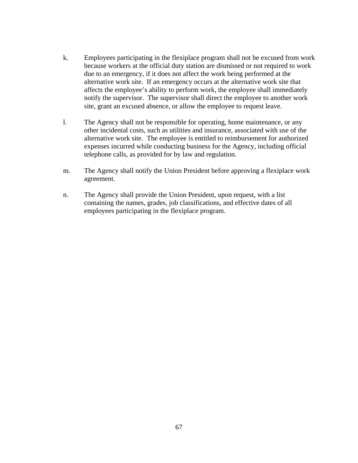- k. Employees participating in the flexiplace program shall not be excused from work because workers at the official duty station are dismissed or not required to work due to an emergency, if it does not affect the work being performed at the alternative work site. If an emergency occurs at the alternative work site that affects the employee's ability to perform work, the employee shall immediately notify the supervisor. The supervisor shall direct the employee to another work site, grant an excused absence, or allow the employee to request leave.
- l. The Agency shall not be responsible for operating, home maintenance, or any other incidental costs, such as utilities and insurance, associated with use of the alternative work site. The employee is entitled to reimbursement for authorized expenses incurred while conducting business for the Agency, including official telephone calls, as provided for by law and regulation.
- m. The Agency shall notify the Union President before approving a flexiplace work agreement.
- n. The Agency shall provide the Union President, upon request, with a list containing the names, grades, job classifications, and effective dates of all employees participating in the flexiplace program.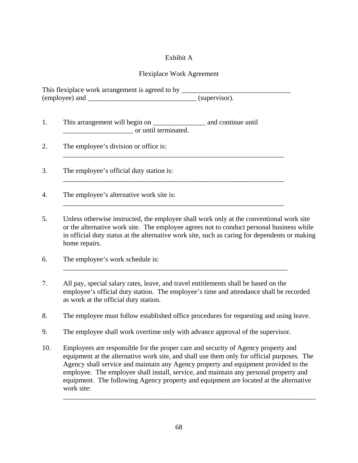# Exhibit A

# Flexiplace Work Agreement

This flexiplace work arrangement is agreed to by \_\_\_\_\_\_\_\_\_\_\_\_\_\_\_\_\_\_\_\_\_\_\_\_\_\_\_\_\_\_\_ (employee) and \_\_\_\_\_\_\_\_\_\_\_\_\_\_\_\_\_\_\_\_\_\_\_\_\_\_\_\_\_\_\_ (supervisor).

- 1. This arrangement will begin on \_\_\_\_\_\_\_\_\_\_\_\_\_\_\_ and continue until \_\_\_\_\_\_\_\_\_\_\_\_\_\_\_\_\_\_\_\_ or until terminated.
- 2. The employee's division or office is:

3. The employee's official duty station is:

4. The employee's alternative work site is:

5. Unless otherwise instructed, the employee shall work only at the conventional work site or the alternative work site. The employee agrees not to conduct personal business while in official duty status at the alternative work site, such as caring for dependents or making home repairs.

\_\_\_\_\_\_\_\_\_\_\_\_\_\_\_\_\_\_\_\_\_\_\_\_\_\_\_\_\_\_\_\_\_\_\_\_\_\_\_\_\_\_\_\_\_\_\_\_\_\_\_\_\_\_\_\_\_\_\_\_\_\_\_

\_\_\_\_\_\_\_\_\_\_\_\_\_\_\_\_\_\_\_\_\_\_\_\_\_\_\_\_\_\_\_\_\_\_\_\_\_\_\_\_\_\_\_\_\_\_\_\_\_\_\_\_\_\_\_\_\_\_\_\_\_\_\_

\_\_\_\_\_\_\_\_\_\_\_\_\_\_\_\_\_\_\_\_\_\_\_\_\_\_\_\_\_\_\_\_\_\_\_\_\_\_\_\_\_\_\_\_\_\_\_\_\_\_\_\_\_\_\_\_\_\_\_\_\_\_\_

- 6. The employee's work schedule is:
- 7. All pay, special salary rates, leave, and travel entitlements shall be based on the employee's official duty station. The employee's time and attendance shall be recorded as work at the official duty station.

\_\_\_\_\_\_\_\_\_\_\_\_\_\_\_\_\_\_\_\_\_\_\_\_\_\_\_\_\_\_\_\_\_\_\_\_\_\_\_\_\_\_\_\_\_\_\_\_\_\_\_\_\_\_\_\_\_\_\_\_\_\_\_\_

- 8. The employee must follow established office procedures for requesting and using leave.
- 9. The employee shall work overtime only with advance approval of the supervisor.
- 10. Employees are responsible for the proper care and security of Agency property and equipment at the alternative work site, and shall use them only for official purposes. The Agency shall service and maintain any Agency property and equipment provided to the employee. The employee shall install, service, and maintain any personal property and equipment. The following Agency property and equipment are located at the alternative work site:

\_\_\_\_\_\_\_\_\_\_\_\_\_\_\_\_\_\_\_\_\_\_\_\_\_\_\_\_\_\_\_\_\_\_\_\_\_\_\_\_\_\_\_\_\_\_\_\_\_\_\_\_\_\_\_\_\_\_\_\_\_\_\_\_\_\_\_\_\_\_\_\_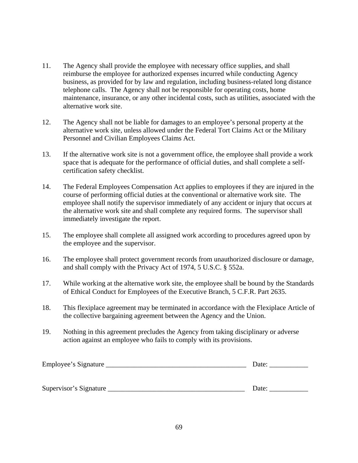- 11. The Agency shall provide the employee with necessary office supplies, and shall reimburse the employee for authorized expenses incurred while conducting Agency business, as provided for by law and regulation, including business-related long distance telephone calls. The Agency shall not be responsible for operating costs, home maintenance, insurance, or any other incidental costs, such as utilities, associated with the alternative work site.
- 12. The Agency shall not be liable for damages to an employee's personal property at the alternative work site, unless allowed under the Federal Tort Claims Act or the Military Personnel and Civilian Employees Claims Act.
- 13. If the alternative work site is not a government office, the employee shall provide a work space that is adequate for the performance of official duties, and shall complete a selfcertification safety checklist.
- 14. The Federal Employees Compensation Act applies to employees if they are injured in the course of performing official duties at the conventional or alternative work site. The employee shall notify the supervisor immediately of any accident or injury that occurs at the alternative work site and shall complete any required forms. The supervisor shall immediately investigate the report.
- 15. The employee shall complete all assigned work according to procedures agreed upon by the employee and the supervisor.
- 16. The employee shall protect government records from unauthorized disclosure or damage, and shall comply with the Privacy Act of 1974, 5 U.S.C. § 552a.
- 17. While working at the alternative work site, the employee shall be bound by the Standards of Ethical Conduct for Employees of the Executive Branch, 5 C.F.R. Part 2635.
- 18. This flexiplace agreement may be terminated in accordance with the Flexiplace Article of the collective bargaining agreement between the Agency and the Union.
- 19. Nothing in this agreement precludes the Agency from taking disciplinary or adverse action against an employee who fails to comply with its provisions.

| Employee's Signature   | Date: |
|------------------------|-------|
|                        |       |
| Supervisor's Signature | Date: |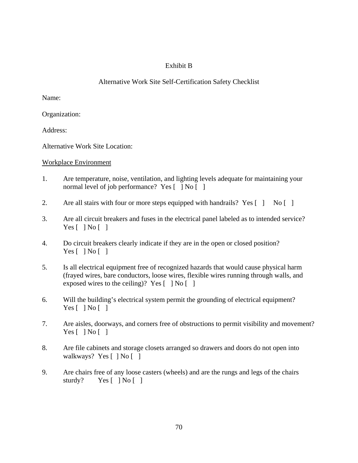# Exhibit B

# Alternative Work Site Self-Certification Safety Checklist

Name:

Organization:

Address:

Alternative Work Site Location:

Workplace Environment

- 1. Are temperature, noise, ventilation, and lighting levels adequate for maintaining your normal level of job performance? Yes  $\lceil \cdot \rceil$  No  $\lceil \cdot \rceil$
- 2. Are all stairs with four or more steps equipped with handrails? Yes [ ] No [ ]
- 3. Are all circuit breakers and fuses in the electrical panel labeled as to intended service? Yes  $[ \ ]$  No  $[ \ ]$
- 4. Do circuit breakers clearly indicate if they are in the open or closed position? Yes  $\lceil$   $\rceil$  No  $\lceil$   $\rceil$
- 5. Is all electrical equipment free of recognized hazards that would cause physical harm (frayed wires, bare conductors, loose wires, flexible wires running through walls, and exposed wires to the ceiling)? Yes  $\lceil \cdot \rceil$  No  $\lceil \cdot \rceil$
- 6. Will the building's electrical system permit the grounding of electrical equipment? Yes  $[ \ ]$  No  $[ \ ]$
- 7. Are aisles, doorways, and corners free of obstructions to permit visibility and movement? Yes  $[ \ ]$  No  $[ \ ]$
- 8. Are file cabinets and storage closets arranged so drawers and doors do not open into walkways? Yes [ ] No [ ]
- 9. Are chairs free of any loose casters (wheels) and are the rungs and legs of the chairs sturdy? Yes [ ] No [ ]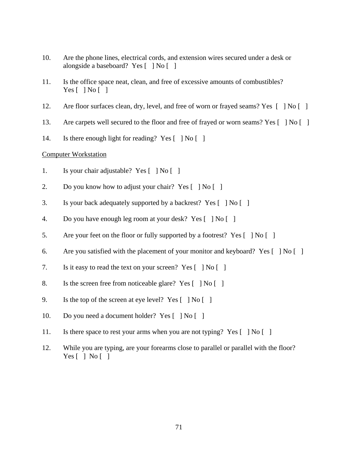- 10. Are the phone lines, electrical cords, and extension wires secured under a desk or alongside a baseboard? Yes [ ] No [ ]
- 11. Is the office space neat, clean, and free of excessive amounts of combustibles? Yes  $\lceil \; \rceil$  No  $\lceil \; \rceil$
- 12. Are floor surfaces clean, dry, level, and free of worn or frayed seams? Yes [ ] No [ ]
- 13. Are carpets well secured to the floor and free of frayed or worn seams? Yes [ ] No [ ]
- 14. Is there enough light for reading? Yes  $\lceil \cdot \rceil$  No  $\lceil \cdot \rceil$

### Computer Workstation

- 1. Is your chair adjustable? Yes [ ] No [ ]
- 2. Do you know how to adjust your chair? Yes  $\lceil \cdot \rceil \text{No } \lceil \cdot \rceil$
- 3. Is your back adequately supported by a backrest? Yes [ ] No [ ]
- 4. Do you have enough leg room at your desk? Yes [ ] No [ ]
- 5. Are your feet on the floor or fully supported by a footrest? Yes  $\lceil \cdot \rceil$  No  $\lceil \cdot \rceil$
- 6. Are you satisfied with the placement of your monitor and keyboard? Yes  $\lceil \cdot \rceil$  No  $\lceil \cdot \rceil$
- 7. Is it easy to read the text on your screen? Yes [ ] No [ ]
- 8. Is the screen free from noticeable glare? Yes [ ] No [ ]
- 9. Is the top of the screen at eye level? Yes  $\lceil \cdot \rceil \text{No} \lceil \cdot \rceil$
- 10. Do you need a document holder? Yes [ ] No [ ]
- 11. Is there space to rest your arms when you are not typing? Yes [ ] No [ ]
- 12. While you are typing, are your forearms close to parallel or parallel with the floor? Yes  $\lceil$   $\rceil$  No  $\lceil$   $\rceil$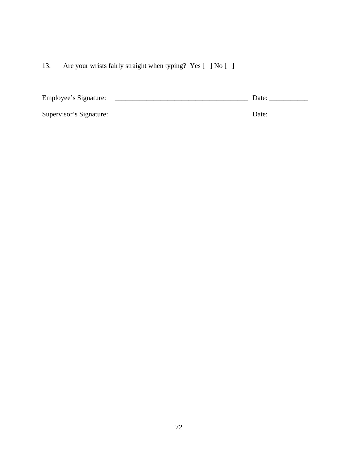13. Are your wrists fairly straight when typing? Yes [ ] No [ ]

| Employee's Signature:   | Date: |
|-------------------------|-------|
| Supervisor's Signature: | Date: |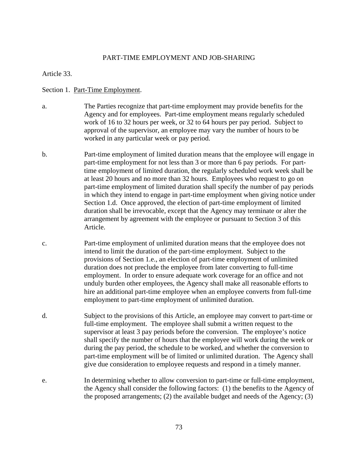### PART-TIME EMPLOYMENT AND JOB-SHARING

Article 33.

#### Section 1. Part-Time Employment.

- a. The Parties recognize that part-time employment may provide benefits for the Agency and for employees. Part-time employment means regularly scheduled work of 16 to 32 hours per week, or 32 to 64 hours per pay period. Subject to approval of the supervisor, an employee may vary the number of hours to be worked in any particular week or pay period.
- b. Part-time employment of limited duration means that the employee will engage in part-time employment for not less than 3 or more than 6 pay periods. For parttime employment of limited duration, the regularly scheduled work week shall be at least 20 hours and no more than 32 hours. Employees who request to go on part-time employment of limited duration shall specify the number of pay periods in which they intend to engage in part-time employment when giving notice under Section 1.d.Once approved, the election of part-time employment of limited duration shall be irrevocable, except that the Agency may terminate or alter the arrangement by agreement with the employee or pursuant to Section 3 of this Article.
- c. Part-time employment of unlimited duration means that the employee does not intend to limit the duration of the part-time employment. Subject to the provisions of Section 1.e., an election of part-time employment of unlimited duration does not preclude the employee from later converting to full-time employment. In order to ensure adequate work coverage for an office and not unduly burden other employees, the Agency shall make all reasonable efforts to hire an additional part-time employee when an employee converts from full-time employment to part-time employment of unlimited duration.
- d. Subject to the provisions of this Article, an employee may convert to part-time or full-time employment. The employee shall submit a written request to the supervisor at least 3 pay periods before the conversion. The employee's notice shall specify the number of hours that the employee will work during the week or during the pay period, the schedule to be worked, and whether the conversion to part-time employment will be of limited or unlimited duration. The Agency shall give due consideration to employee requests and respond in a timely manner.
- e. In determining whether to allow conversion to part-time or full-time employment, the Agency shall consider the following factors: (1) the benefits to the Agency of the proposed arrangements; (2) the available budget and needs of the Agency; (3)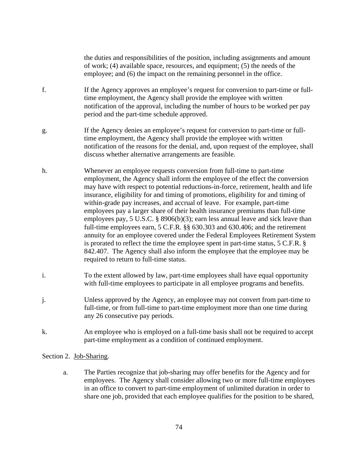the duties and responsibilities of the position, including assignments and amount of work; (4) available space, resources, and equipment; (5) the needs of the employee; and (6) the impact on the remaining personnel in the office. f. If the Agency approves an employee's request for conversion to part-time or fulltime employment, the Agency shall provide the employee with written notification of the approval, including the number of hours to be worked per pay period and the part-time schedule approved. g. If the Agency denies an employee's request for conversion to part-time or fulltime employment, the Agency shall provide the employee with written notification of the reasons for the denial, and, upon request of the employee, shall discuss whether alternative arrangements are feasible. h. Whenever an employee requests conversion from full-time to part-time employment, the Agency shall inform the employee of the effect the conversion may have with respect to potential reductions-in-force, retirement, health and life insurance, eligibility for and timing of promotions, eligibility for and timing of within-grade pay increases, and accrual of leave. For example, part-time employees pay a larger share of their health insurance premiums than full-time employees pay, 5 U.S.C. § 8906(b)(3); earn less annual leave and sick leave than full-time employees earn, 5 C.F.R. §§ 630.303 and 630.406; and the retirement

- annuity for an employee covered under the Federal Employees Retirement System is prorated to reflect the time the employee spent in part-time status, 5 C.F.R. § 842.407. The Agency shall also inform the employee that the employee may be required to return to full-time status.
- i. To the extent allowed by law, part-time employees shall have equal opportunity with full-time employees to participate in all employee programs and benefits.
- j. Unless approved by the Agency, an employee may not convert from part-time to full-time, or from full-time to part-time employment more than one time during any 26 consecutive pay periods.
- k. An employee who is employed on a full-time basis shall not be required to accept part-time employment as a condition of continued employment.

### Section 2. Job-Sharing.

 a. The Parties recognize that job-sharing may offer benefits for the Agency and for employees. The Agency shall consider allowing two or more full-time employees in an office to convert to part-time employment of unlimited duration in order to share one job, provided that each employee qualifies for the position to be shared,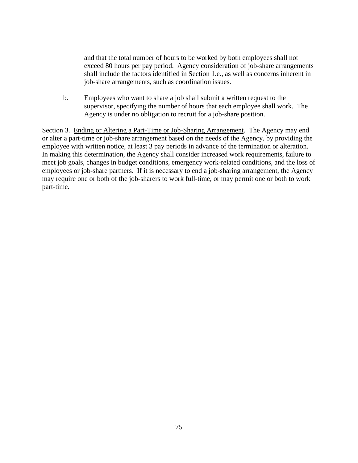and that the total number of hours to be worked by both employees shall not exceed 80 hours per pay period. Agency consideration of job-share arrangements shall include the factors identified in Section 1.e., as well as concerns inherent in job-share arrangements, such as coordination issues.

 b. Employees who want to share a job shall submit a written request to the supervisor, specifying the number of hours that each employee shall work. The Agency is under no obligation to recruit for a job-share position.

Section 3. Ending or Altering a Part-Time or Job-Sharing Arrangement. The Agency may end or alter a part-time or job-share arrangement based on the needs of the Agency, by providing the employee with written notice, at least 3 pay periods in advance of the termination or alteration. In making this determination, the Agency shall consider increased work requirements, failure to meet job goals, changes in budget conditions, emergency work-related conditions, and the loss of employees or job-share partners. If it is necessary to end a job-sharing arrangement, the Agency may require one or both of the job-sharers to work full-time, or may permit one or both to work part-time.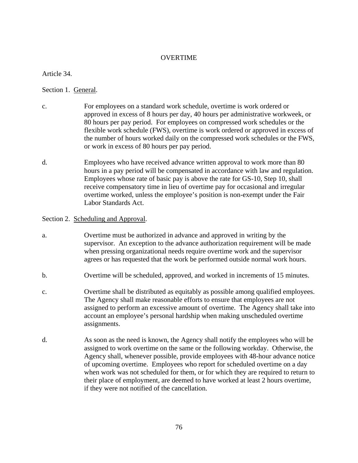### OVERTIME

Article 34.

Section 1. General.

- c. For employees on a standard work schedule, overtime is work ordered or approved in excess of 8 hours per day, 40 hours per administrative workweek, or 80 hours per pay period. For employees on compressed work schedules or the flexible work schedule (FWS), overtime is work ordered or approved in excess of the number of hours worked daily on the compressed work schedules or the FWS, or work in excess of 80 hours per pay period.
- d. Employees who have received advance written approval to work more than 80 hours in a pay period will be compensated in accordance with law and regulation. Employees whose rate of basic pay is above the rate for GS-10, Step 10, shall receive compensatory time in lieu of overtime pay for occasional and irregular overtime worked, unless the employee's position is non-exempt under the Fair Labor Standards Act.

#### Section 2. Scheduling and Approval.

- a. Overtime must be authorized in advance and approved in writing by the supervisor. An exception to the advance authorization requirement will be made when pressing organizational needs require overtime work and the supervisor agrees or has requested that the work be performed outside normal work hours.
- b. Overtime will be scheduled, approved, and worked in increments of 15 minutes.
- c. Overtime shall be distributed as equitably as possible among qualified employees. The Agency shall make reasonable efforts to ensure that employees are not assigned to perform an excessive amount of overtime. The Agency shall take into account an employee's personal hardship when making unscheduled overtime assignments.
- d. As soon as the need is known, the Agency shall notify the employees who will be assigned to work overtime on the same or the following workday. Otherwise, the Agency shall, whenever possible, provide employees with 48-hour advance notice of upcoming overtime. Employees who report for scheduled overtime on a day when work was not scheduled for them, or for which they are required to return to their place of employment, are deemed to have worked at least 2 hours overtime, if they were not notified of the cancellation.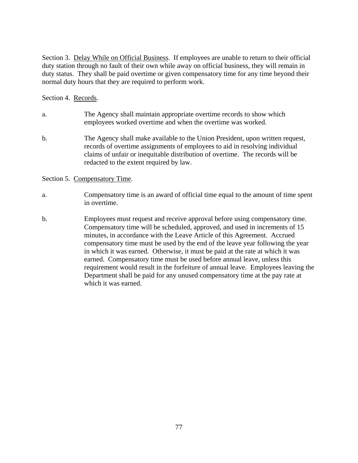Section 3. Delay While on Official Business. If employees are unable to return to their official duty station through no fault of their own while away on official business, they will remain in duty status. They shall be paid overtime or given compensatory time for any time beyond their normal duty hours that they are required to perform work.

Section 4. Records.

- a. The Agency shall maintain appropriate overtime records to show which employees worked overtime and when the overtime was worked.
- b. The Agency shall make available to the Union President, upon written request, records of overtime assignments of employees to aid in resolving individual claims of unfair or inequitable distribution of overtime. The records will be redacted to the extent required by law.

Section 5. Compensatory Time.

- a. Compensatory time is an award of official time equal to the amount of time spent in overtime.
- b. Employees must request and receive approval before using compensatory time. Compensatory time will be scheduled, approved, and used in increments of 15 minutes, in accordance with the Leave Article of this Agreement. Accrued compensatory time must be used by the end of the leave year following the year in which it was earned. Otherwise, it must be paid at the rate at which it was earned. Compensatory time must be used before annual leave, unless this requirement would result in the forfeiture of annual leave. Employees leaving the Department shall be paid for any unused compensatory time at the pay rate at which it was earned.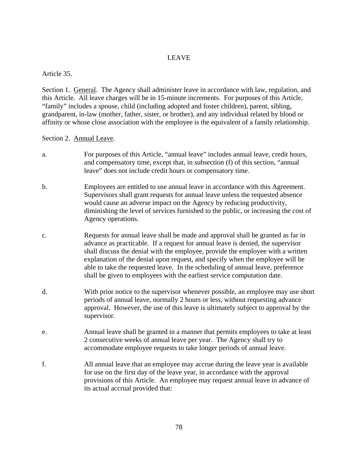# LEAVE

### Article 35.

Section 1. General. The Agency shall administer leave in accordance with law, regulation, and this Article. All leave charges will be in 15-minute increments. For purposes of this Article, "family" includes a spouse, child (including adopted and foster children), parent, sibling, grandparent, in-law (mother, father, sister, or brother), and any individual related by blood or affinity or whose close association with the employee is the equivalent of a family relationship.

### Section 2. Annual Leave.

- a. For purposes of this Article, "annual leave" includes annual leave, credit hours, and compensatory time, except that, in subsection (f) of this section, "annual leave" does not include credit hours or compensatory time.
- b. Employees are entitled to use annual leave in accordance with this Agreement. Supervisors shall grant requests for annual leave unless the requested absence would cause an adverse impact on the Agency by reducing productivity, diminishing the level of services furnished to the public, or increasing the cost of Agency operations.
- c. Requests for annual leave shall be made and approval shall be granted as far in advance as practicable. If a request for annual leave is denied, the supervisor shall discuss the denial with the employee, provide the employee with a written explanation of the denial upon request, and specify when the employee will be able to take the requested leave. In the scheduling of annual leave, preference shall be given to employees with the earliest service computation date.
- d. With prior notice to the supervisor whenever possible, an employee may use short periods of annual leave, normally 2 hours or less, without requesting advance approval. However, the use of this leave is ultimately subject to approval by the supervisor.
- e. Annual leave shall be granted in a manner that permits employees to take at least 2 consecutive weeks of annual leave per year. The Agency shall try to accommodate employee requests to take longer periods of annual leave.
- f. All annual leave that an employee may accrue during the leave year is available for use on the first day of the leave year, in accordance with the approval provisions of this Article. An employee may request annual leave in advance of its actual accrual provided that: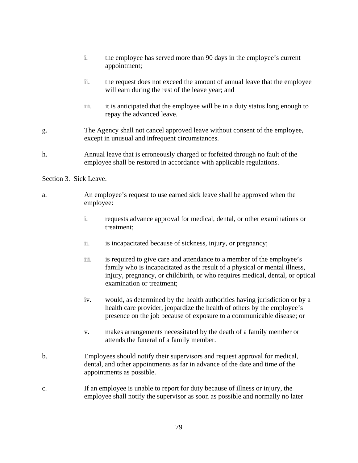- i. the employee has served more than 90 days in the employee's current appointment;
- ii. the request does not exceed the amount of annual leave that the employee will earn during the rest of the leave year; and
- iii. it is anticipated that the employee will be in a duty status long enough to repay the advanced leave.
- g. The Agency shall not cancel approved leave without consent of the employee, except in unusual and infrequent circumstances.
- h. Annual leave that is erroneously charged or forfeited through no fault of the employee shall be restored in accordance with applicable regulations.

#### Section 3. Sick Leave.

- a. An employee's request to use earned sick leave shall be approved when the employee:
	- i. requests advance approval for medical, dental, or other examinations or treatment;
	- ii. is incapacitated because of sickness, injury, or pregnancy;
	- iii. is required to give care and attendance to a member of the employee's family who is incapacitated as the result of a physical or mental illness, injury, pregnancy, or childbirth, or who requires medical, dental, or optical examination or treatment;
	- iv. would, as determined by the health authorities having jurisdiction or by a health care provider, jeopardize the health of others by the employee's presence on the job because of exposure to a communicable disease; or
	- v. makes arrangements necessitated by the death of a family member or attends the funeral of a family member.
- b. Employees should notify their supervisors and request approval for medical, dental, and other appointments as far in advance of the date and time of the appointments as possible.
- c. If an employee is unable to report for duty because of illness or injury, the employee shall notify the supervisor as soon as possible and normally no later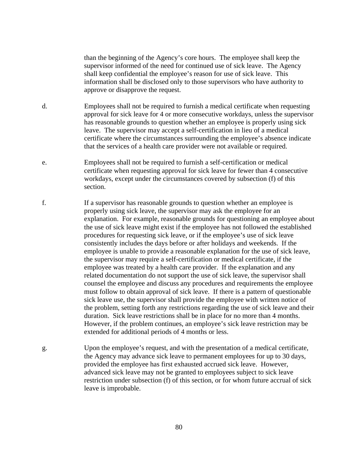than the beginning of the Agency's core hours. The employee shall keep the supervisor informed of the need for continued use of sick leave. The Agency shall keep confidential the employee's reason for use of sick leave. This information shall be disclosed only to those supervisors who have authority to approve or disapprove the request.

- d. Employees shall not be required to furnish a medical certificate when requesting approval for sick leave for 4 or more consecutive workdays, unless the supervisor has reasonable grounds to question whether an employee is properly using sick leave. The supervisor may accept a self-certification in lieu of a medical certificate where the circumstances surrounding the employee's absence indicate that the services of a health care provider were not available or required.
- e. Employees shall not be required to furnish a self-certification or medical certificate when requesting approval for sick leave for fewer than 4 consecutive workdays, except under the circumstances covered by subsection (f) of this section.
- f. If a supervisor has reasonable grounds to question whether an employee is properly using sick leave, the supervisor may ask the employee for an explanation. For example, reasonable grounds for questioning an employee about the use of sick leave might exist if the employee has not followed the established procedures for requesting sick leave, or if the employee's use of sick leave consistently includes the days before or after holidays and weekends. If the employee is unable to provide a reasonable explanation for the use of sick leave, the supervisor may require a self-certification or medical certificate, if the employee was treated by a health care provider. If the explanation and any related documentation do not support the use of sick leave, the supervisor shall counsel the employee and discuss any procedures and requirements the employee must follow to obtain approval of sick leave. If there is a pattern of questionable sick leave use, the supervisor shall provide the employee with written notice of the problem, setting forth any restrictions regarding the use of sick leave and their duration. Sick leave restrictions shall be in place for no more than 4 months. However, if the problem continues, an employee's sick leave restriction may be extended for additional periods of 4 months or less.
- g. Upon the employee's request, and with the presentation of a medical certificate, the Agency may advance sick leave to permanent employees for up to 30 days, provided the employee has first exhausted accrued sick leave. However, advanced sick leave may not be granted to employees subject to sick leave restriction under subsection (f) of this section, or for whom future accrual of sick leave is improbable.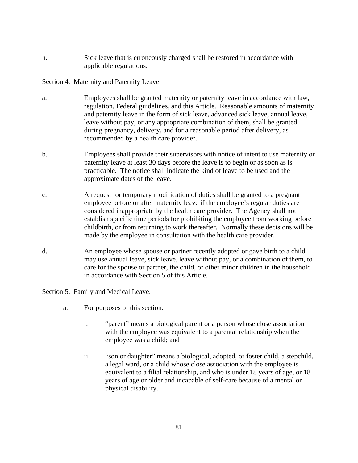h. Sick leave that is erroneously charged shall be restored in accordance with applicable regulations.

# Section 4. Maternity and Paternity Leave.

- a. Employees shall be granted maternity or paternity leave in accordance with law, regulation, Federal guidelines, and this Article. Reasonable amounts of maternity and paternity leave in the form of sick leave, advanced sick leave, annual leave, leave without pay, or any appropriate combination of them, shall be granted during pregnancy, delivery, and for a reasonable period after delivery, as recommended by a health care provider.
- b. Employees shall provide their supervisors with notice of intent to use maternity or paternity leave at least 30 days before the leave is to begin or as soon as is practicable. The notice shall indicate the kind of leave to be used and the approximate dates of the leave.
- c. A request for temporary modification of duties shall be granted to a pregnant employee before or after maternity leave if the employee's regular duties are considered inappropriate by the health care provider. The Agency shall not establish specific time periods for prohibiting the employee from working before childbirth, or from returning to work thereafter. Normally these decisions will be made by the employee in consultation with the health care provider.
- d. An employee whose spouse or partner recently adopted or gave birth to a child may use annual leave, sick leave, leave without pay, or a combination of them, to care for the spouse or partner, the child, or other minor children in the household in accordance with Section 5 of this Article.

### Section 5. Family and Medical Leave.

- a. For purposes of this section:
	- i. "parent" means a biological parent or a person whose close association with the employee was equivalent to a parental relationship when the employee was a child; and
	- ii. "son or daughter" means a biological, adopted, or foster child, a stepchild, a legal ward, or a child whose close association with the employee is equivalent to a filial relationship, and who is under 18 years of age, or 18 years of age or older and incapable of self-care because of a mental or physical disability.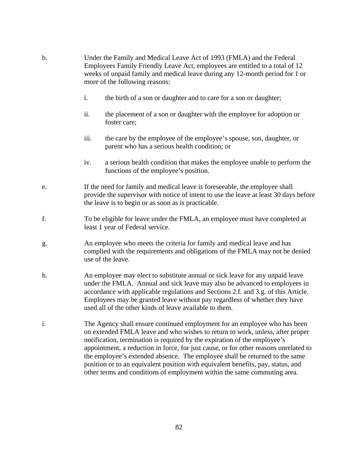- b. Under the Family and Medical Leave Act of 1993 (FMLA) and the Federal Employees Family Friendly Leave Act, employees are entitled to a total of 12 weeks of unpaid family and medical leave during any 12-month period for 1 or more of the following reasons:
	- i. the birth of a son or daughter and to care for a son or daughter;
	- ii. the placement of a son or daughter with the employee for adoption or foster care;
	- iii. the care by the employee of the employee's spouse, son, daughter, or parent who has a serious health condition; or
	- iv. a serious health condition that makes the employee unable to perform the functions of the employee's position.
- e. If the need for family and medical leave is foreseeable, the employee shall provide the supervisor with notice of intent to use the leave at least 30 days before the leave is to begin or as soon as is practicable.
- f. To be eligible for leave under the FMLA, an employee must have completed at least 1 year of Federal service.
- g. An employee who meets the criteria for family and medical leave and has complied with the requirements and obligations of the FMLA may not be denied use of the leave.
- h. An employee may elect to substitute annual or sick leave for any unpaid leave under the FMLA. Annual and sick leave may also be advanced to employees in accordance with applicable regulations and Sections 2.f. and 3.g. of this Article. Employees may be granted leave without pay regardless of whether they have used all of the other kinds of leave available to them.
- i. The Agency shall ensure continued employment for an employee who has been on extended FMLA leave and who wishes to return to work, unless, after proper notification, termination is required by the expiration of the employee's appointment, a reduction in force, for just cause, or for other reasons unrelated to the employee's extended absence. The employee shall be returned to the same position or to an equivalent position with equivalent benefits, pay, status, and other terms and conditions of employment within the same commuting area.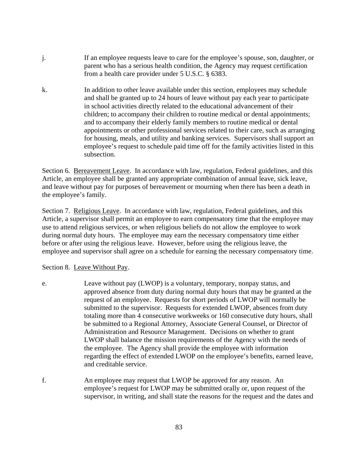- j. If an employee requests leave to care for the employee's spouse, son, daughter, or parent who has a serious health condition, the Agency may request certification from a health care provider under 5 U.S.C. § 6383.
- k. In addition to other leave available under this section, employees may schedule and shall be granted up to 24 hours of leave without pay each year to participate in school activities directly related to the educational advancement of their children; to accompany their children to routine medical or dental appointments; and to accompany their elderly family members to routine medical or dental appointments or other professional services related to their care, such as arranging for housing, meals, and utility and banking services. Supervisors shall support an employee's request to schedule paid time off for the family activities listed in this subsection.

Section 6. Bereavement Leave. In accordance with law, regulation, Federal guidelines, and this Article, an employee shall be granted any appropriate combination of annual leave, sick leave, and leave without pay for purposes of bereavement or mourning when there has been a death in the employee's family.

Section 7. Religious Leave. In accordance with law, regulation, Federal guidelines, and this Article, a supervisor shall permit an employee to earn compensatory time that the employee may use to attend religious services, or when religious beliefs do not allow the employee to work during normal duty hours. The employee may earn the necessary compensatory time either before or after using the religious leave. However, before using the religious leave, the employee and supervisor shall agree on a schedule for earning the necessary compensatory time.

Section 8. Leave Without Pay.

- e. Leave without pay (LWOP) is a voluntary, temporary, nonpay status, and approved absence from duty during normal duty hours that may be granted at the request of an employee. Requests for short periods of LWOP will normally be submitted to the supervisor. Requests for extended LWOP, absences from duty totaling more than 4 consecutive workweeks or 160 consecutive duty hours, shall be submitted to a Regional Attorney, Associate General Counsel, or Director of Administration and Resource Management. Decisions on whether to grant LWOP shall balance the mission requirements of the Agency with the needs of the employee. The Agency shall provide the employee with information regarding the effect of extended LWOP on the employee's benefits, earned leave, and creditable service.
- f. An employee may request that LWOP be approved for any reason. An employee's request for LWOP may be submitted orally or, upon request of the supervisor, in writing, and shall state the reasons for the request and the dates and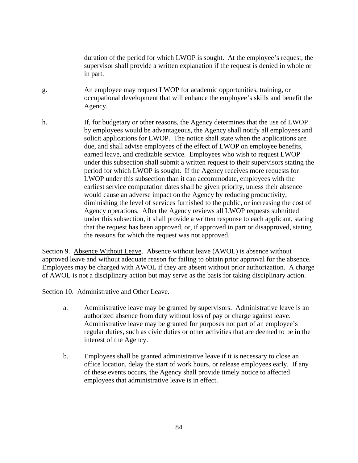duration of the period for which LWOP is sought. At the employee's request, the supervisor shall provide a written explanation if the request is denied in whole or in part.

- g. An employee may request LWOP for academic opportunities, training, or occupational development that will enhance the employee's skills and benefit the Agency.
- h. If, for budgetary or other reasons, the Agency determines that the use of LWOP by employees would be advantageous, the Agency shall notify all employees and solicit applications for LWOP. The notice shall state when the applications are due, and shall advise employees of the effect of LWOP on employee benefits, earned leave, and creditable service. Employees who wish to request LWOP under this subsection shall submit a written request to their supervisors stating the period for which LWOP is sought. If the Agency receives more requests for LWOP under this subsection than it can accommodate, employees with the earliest service computation dates shall be given priority, unless their absence would cause an adverse impact on the Agency by reducing productivity, diminishing the level of services furnished to the public, or increasing the cost of Agency operations. After the Agency reviews all LWOP requests submitted under this subsection, it shall provide a written response to each applicant, stating that the request has been approved, or, if approved in part or disapproved, stating the reasons for which the request was not approved.

Section 9. Absence Without Leave. Absence without leave (AWOL) is absence without approved leave and without adequate reason for failing to obtain prior approval for the absence. Employees may be charged with AWOL if they are absent without prior authorization. A charge of AWOL is not a disciplinary action but may serve as the basis for taking disciplinary action.

Section 10. Administrative and Other Leave.

- a. Administrative leave may be granted by supervisors. Administrative leave is an authorized absence from duty without loss of pay or charge against leave. Administrative leave may be granted for purposes not part of an employee's regular duties, such as civic duties or other activities that are deemed to be in the interest of the Agency.
- b. Employees shall be granted administrative leave if it is necessary to close an office location, delay the start of work hours, or release employees early. If any of these events occurs, the Agency shall provide timely notice to affected employees that administrative leave is in effect.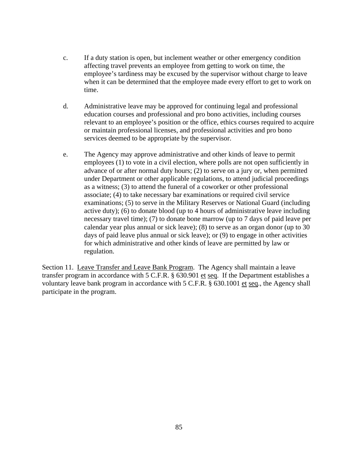- c. If a duty station is open, but inclement weather or other emergency condition affecting travel prevents an employee from getting to work on time, the employee's tardiness may be excused by the supervisor without charge to leave when it can be determined that the employee made every effort to get to work on time.
- d. Administrative leave may be approved for continuing legal and professional education courses and professional and pro bono activities, including courses relevant to an employee's position or the office, ethics courses required to acquire or maintain professional licenses, and professional activities and pro bono services deemed to be appropriate by the supervisor.
- e. The Agency may approve administrative and other kinds of leave to permit employees (1) to vote in a civil election, where polls are not open sufficiently in advance of or after normal duty hours; (2) to serve on a jury or, when permitted under Department or other applicable regulations, to attend judicial proceedings as a witness; (3) to attend the funeral of a coworker or other professional associate; (4) to take necessary bar examinations or required civil service examinations; (5) to serve in the Military Reserves or National Guard (including active duty); (6) to donate blood (up to 4 hours of administrative leave including necessary travel time); (7) to donate bone marrow (up to 7 days of paid leave per calendar year plus annual or sick leave); (8) to serve as an organ donor (up to 30 days of paid leave plus annual or sick leave); or (9) to engage in other activities for which administrative and other kinds of leave are permitted by law or regulation.

Section 11. Leave Transfer and Leave Bank Program. The Agency shall maintain a leave transfer program in accordance with 5 C.F.R. § 630.901 et seq. If the Department establishes a voluntary leave bank program in accordance with 5 C.F.R. § 630.1001 et seq., the Agency shall participate in the program.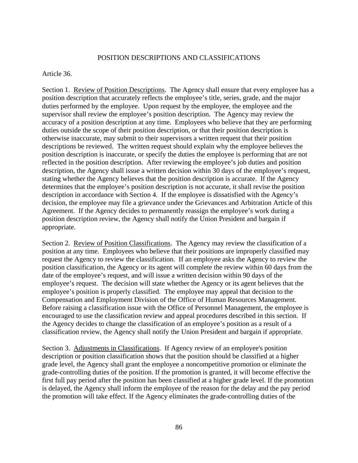### POSITION DESCRIPTIONS AND CLASSIFICATIONS

#### Article 36.

Section 1. Review of Position Descriptions.The Agency shall ensure that every employee has a position description that accurately reflects the employee's title, series, grade, and the major duties performed by the employee. Upon request by the employee, the employee and the supervisor shall review the employee's position description. The Agency may review the accuracy of a position description at any time. Employees who believe that they are performing duties outside the scope of their position description, or that their position description is otherwise inaccurate, may submit to their supervisors a written request that their position descriptions be reviewed. The written request should explain why the employee believes the position description is inaccurate, or specify the duties the employee is performing that are not reflected in the position description. After reviewing the employee's job duties and position description, the Agency shall issue a written decision within 30 days of the employee's request, stating whether the Agency believes that the position description is accurate. If the Agency determines that the employee's position description is not accurate, it shall revise the position description in accordance with Section 4. If the employee is dissatisfied with the Agency's decision, the employee may file a grievance under the Grievances and Arbitration Article of this Agreement. If the Agency decides to permanently reassign the employee's work during a position description review, the Agency shall notify the Union President and bargain if appropriate.

Section 2. Review of Position Classifications. The Agency may review the classification of a position at any time. Employees who believe that their positions are improperly classified may request the Agency to review the classification. If an employee asks the Agency to review the position classification, the Agency or its agent will complete the review within 60 days from the date of the employee's request, and will issue a written decision within 90 days of the employee's request. The decision will state whether the Agency or its agent believes that the employee's position is properly classified. The employee may appeal that decision to the Compensation and Employment Division of the Office of Human Resources Management. Before raising a classification issue with the Office of Personnel Management, the employee is encouraged to use the classification review and appeal procedures described in this section. If the Agency decides to change the classification of an employee's position as a result of a classification review, the Agency shall notify the Union President and bargain if appropriate.

Section 3. Adjustments in Classifications.If Agency review of an employee's position description or position classification shows that the position should be classified at a higher grade level, the Agency shall grant the employee a noncompetitive promotion or eliminate the grade-controlling duties of the position. If the promotion is granted, it will become effective the first full pay period after the position has been classified at a higher grade level. If the promotion is delayed, the Agency shall inform the employee of the reason for the delay and the pay period the promotion will take effect. If the Agency eliminates the grade-controlling duties of the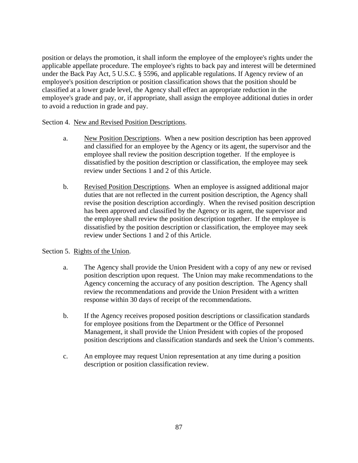position or delays the promotion, it shall inform the employee of the employee's rights under the applicable appellate procedure. The employee's rights to back pay and interest will be determined under the Back Pay Act, 5 U.S.C. § 5596, and applicable regulations. If Agency review of an employee's position description or position classification shows that the position should be classified at a lower grade level, the Agency shall effect an appropriate reduction in the employee's grade and pay, or, if appropriate, shall assign the employee additional duties in order to avoid a reduction in grade and pay.

## Section 4. New and Revised Position Descriptions.

- a. New Position Descriptions. When a new position description has been approved and classified for an employee by the Agency or its agent, the supervisor and the employee shall review the position description together. If the employee is dissatisfied by the position description or classification, the employee may seek review under Sections 1 and 2 of this Article.
- b. Revised Position Descriptions. When an employee is assigned additional major duties that are not reflected in the current position description, the Agency shall revise the position description accordingly. When the revised position description has been approved and classified by the Agency or its agent, the supervisor and the employee shall review the position description together. If the employee is dissatisfied by the position description or classification, the employee may seek review under Sections 1 and 2 of this Article.

# Section 5. Rights of the Union.

- a. The Agency shall provide the Union President with a copy of any new or revised position description upon request. The Union may make recommendations to the Agency concerning the accuracy of any position description. The Agency shall review the recommendations and provide the Union President with a written response within 30 days of receipt of the recommendations.
- b. If the Agency receives proposed position descriptions or classification standards for employee positions from the Department or the Office of Personnel Management, it shall provide the Union President with copies of the proposed position descriptions and classification standards and seek the Union's comments.
- c. An employee may request Union representation at any time during a position description or position classification review.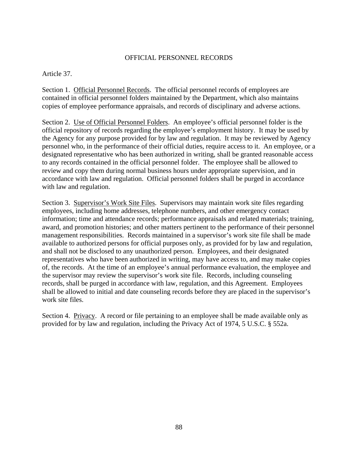### OFFICIAL PERSONNEL RECORDS

### Article 37.

Section 1. Official Personnel Records. The official personnel records of employees are contained in official personnel folders maintained by the Department, which also maintains copies of employee performance appraisals, and records of disciplinary and adverse actions.

Section 2. Use of Official Personnel Folders. An employee's official personnel folder is the official repository of records regarding the employee's employment history. It may be used by the Agency for any purpose provided for by law and regulation. It may be reviewed by Agency personnel who, in the performance of their official duties, require access to it. An employee, or a designated representative who has been authorized in writing, shall be granted reasonable access to any records contained in the official personnel folder. The employee shall be allowed to review and copy them during normal business hours under appropriate supervision, and in accordance with law and regulation. Official personnel folders shall be purged in accordance with law and regulation.

Section 3. Supervisor's Work Site Files. Supervisors may maintain work site files regarding employees, including home addresses, telephone numbers, and other emergency contact information; time and attendance records; performance appraisals and related materials; training, award, and promotion histories; and other matters pertinent to the performance of their personnel management responsibilities. Records maintained in a supervisor's work site file shall be made available to authorized persons for official purposes only, as provided for by law and regulation, and shall not be disclosed to any unauthorized person. Employees, and their designated representatives who have been authorized in writing, may have access to, and may make copies of, the records. At the time of an employee's annual performance evaluation, the employee and the supervisor may review the supervisor's work site file. Records, including counseling records, shall be purged in accordance with law, regulation, and this Agreement. Employees shall be allowed to initial and date counseling records before they are placed in the supervisor's work site files.

Section 4. Privacy. A record or file pertaining to an employee shall be made available only as provided for by law and regulation, including the Privacy Act of 1974, 5 U.S.C. § 552a.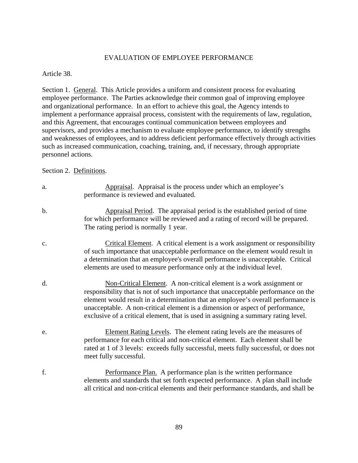### EVALUATION OF EMPLOYEE PERFORMANCE

Article 38.

Section 1. General. This Article provides a uniform and consistent process for evaluating employee performance. The Parties acknowledge their common goal of improving employee and organizational performance. In an effort to achieve this goal, the Agency intends to implement a performance appraisal process, consistent with the requirements of law, regulation, and this Agreement, that encourages continual communication between employees and supervisors, and provides a mechanism to evaluate employee performance, to identify strengths and weaknesses of employees, and to address deficient performance effectively through activities such as increased communication, coaching, training, and, if necessary, through appropriate personnel actions.

Section 2. Definitions.

- a. Appraisal. Appraisal is the process under which an employee's performance is reviewed and evaluated. b. Appraisal Period. The appraisal period is the established period of time for which performance will be reviewed and a rating of record will be prepared. The rating period is normally 1 year. c. Critical Element. A critical element is a work assignment or responsibility of such importance that unacceptable performance on the element would result in a determination that an employee's overall performance is unacceptable. Critical elements are used to measure performance only at the individual level.
- d. Non-Critical Element. A non-critical element is a work assignment or responsibility that is not of such importance that unacceptable performance on the element would result in a determination that an employee's overall performance is unacceptable. A non-critical element is a dimension or aspect of performance, exclusive of a critical element, that is used in assigning a summary rating level.
- e. Element Rating Levels. The element rating levels are the measures of performance for each critical and non-critical element. Each element shall be rated at 1 of 3 levels: exceeds fully successful, meets fully successful, or does not meet fully successful.
- f. Performance Plan. A performance plan is the written performance elements and standards that set forth expected performance. A plan shall include all critical and non-critical elements and their performance standards, and shall be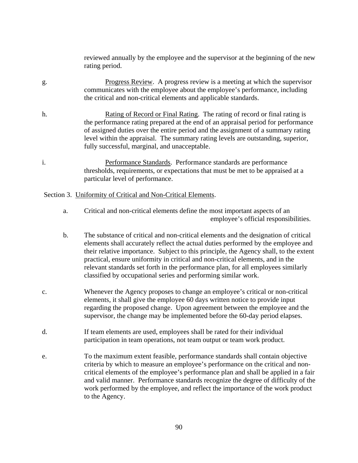reviewed annually by the employee and the supervisor at the beginning of the new rating period.

- g. Progress Review. A progress review is a meeting at which the supervisor communicates with the employee about the employee's performance, including the critical and non-critical elements and applicable standards.
- h. Rating of Record or Final Rating. The rating of record or final rating is the performance rating prepared at the end of an appraisal period for performance of assigned duties over the entire period and the assignment of a summary rating level within the appraisal. The summary rating levels are outstanding, superior, fully successful, marginal, and unacceptable.
- i. Performance Standards. Performance standards are performance thresholds, requirements, or expectations that must be met to be appraised at a particular level of performance.

#### Section 3. Uniformity of Critical and Non-Critical Elements.

- a. Critical and non-critical elements define the most important aspects of an employee's official responsibilities.
- b. The substance of critical and non-critical elements and the designation of critical elements shall accurately reflect the actual duties performed by the employee and their relative importance. Subject to this principle, the Agency shall, to the extent practical, ensure uniformity in critical and non-critical elements, and in the relevant standards set forth in the performance plan, for all employees similarly classified by occupational series and performing similar work.
- c. Whenever the Agency proposes to change an employee's critical or non-critical elements, it shall give the employee 60 days written notice to provide input regarding the proposed change. Upon agreement between the employee and the supervisor, the change may be implemented before the 60-day period elapses.
- d. If team elements are used, employees shall be rated for their individual participation in team operations, not team output or team work product.
- e. To the maximum extent feasible, performance standards shall contain objective criteria by which to measure an employee's performance on the critical and noncritical elements of the employee's performance plan and shall be applied in a fair and valid manner. Performance standards recognize the degree of difficulty of the work performed by the employee, and reflect the importance of the work product to the Agency.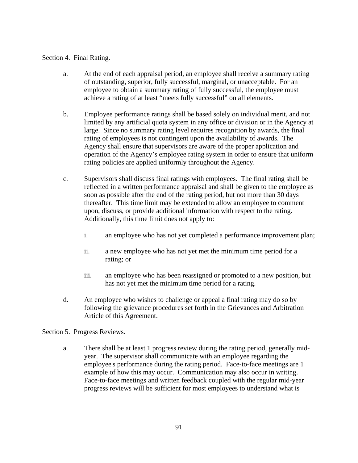## Section 4. Final Rating.

- a. At the end of each appraisal period, an employee shall receive a summary rating of outstanding, superior, fully successful, marginal, or unacceptable. For an employee to obtain a summary rating of fully successful, the employee must achieve a rating of at least "meets fully successful" on all elements.
- b. Employee performance ratings shall be based solely on individual merit, and not limited by any artificial quota system in any office or division or in the Agency at large. Since no summary rating level requires recognition by awards, the final rating of employees is not contingent upon the availability of awards. The Agency shall ensure that supervisors are aware of the proper application and operation of the Agency's employee rating system in order to ensure that uniform rating policies are applied uniformly throughout the Agency.
- c. Supervisors shall discuss final ratings with employees. The final rating shall be reflected in a written performance appraisal and shall be given to the employee as soon as possible after the end of the rating period, but not more than 30 days thereafter. This time limit may be extended to allow an employee to comment upon, discuss, or provide additional information with respect to the rating. Additionally, this time limit does not apply to:
	- i. an employee who has not yet completed a performance improvement plan;
	- ii. a new employee who has not yet met the minimum time period for a rating; or
	- iii. an employee who has been reassigned or promoted to a new position, but has not yet met the minimum time period for a rating.
- d. An employee who wishes to challenge or appeal a final rating may do so by following the grievance procedures set forth in the Grievances and Arbitration Article of this Agreement.

### Section 5. Progress Reviews.

 a. There shall be at least 1 progress review during the rating period, generally midyear. The supervisor shall communicate with an employee regarding the employee's performance during the rating period. Face-to-face meetings are 1 example of how this may occur. Communication may also occur in writing. Face-to-face meetings and written feedback coupled with the regular mid-year progress reviews will be sufficient for most employees to understand what is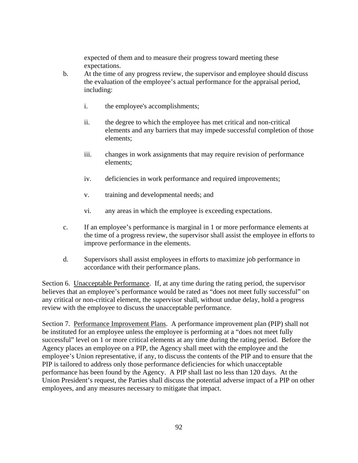expected of them and to measure their progress toward meeting these expectations.

- b. At the time of any progress review, the supervisor and employee should discuss the evaluation of the employee's actual performance for the appraisal period, including:
	- i. the employee's accomplishments;
	- ii. the degree to which the employee has met critical and non-critical elements and any barriers that may impede successful completion of those elements;
	- iii. changes in work assignments that may require revision of performance elements;
	- iv. deficiencies in work performance and required improvements;
	- v. training and developmental needs; and
	- vi. any areas in which the employee is exceeding expectations.
- c. If an employee's performance is marginal in 1 or more performance elements at the time of a progress review, the supervisor shall assist the employee in efforts to improve performance in the elements.
- d. Supervisors shall assist employees in efforts to maximize job performance in accordance with their performance plans.

Section 6. Unacceptable Performance. If, at any time during the rating period, the supervisor believes that an employee's performance would be rated as "does not meet fully successful" on any critical or non-critical element, the supervisor shall, without undue delay, hold a progress review with the employee to discuss the unacceptable performance.

Section 7. Performance Improvement Plans. A performance improvement plan (PIP) shall not be instituted for an employee unless the employee is performing at a "does not meet fully successful" level on 1 or more critical elements at any time during the rating period. Before the Agency places an employee on a PIP, the Agency shall meet with the employee and the employee's Union representative, if any, to discuss the contents of the PIP and to ensure that the PIP is tailored to address only those performance deficiencies for which unacceptable performance has been found by the Agency. A PIP shall last no less than 120 days. At the Union President's request, the Parties shall discuss the potential adverse impact of a PIP on other employees, and any measures necessary to mitigate that impact.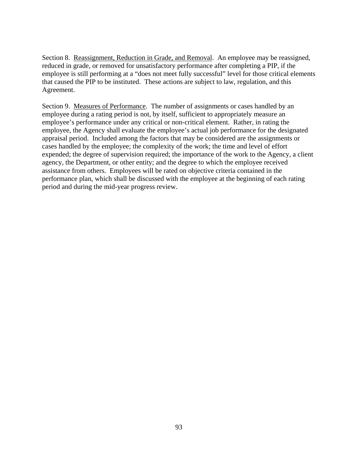Section 8. Reassignment, Reduction in Grade, and Removal. An employee may be reassigned, reduced in grade, or removed for unsatisfactory performance after completing a PIP, if the employee is still performing at a "does not meet fully successful" level for those critical elements that caused the PIP to be instituted. These actions are subject to law, regulation, and this Agreement.

Section 9. Measures of Performance. The number of assignments or cases handled by an employee during a rating period is not, by itself, sufficient to appropriately measure an employee's performance under any critical or non-critical element. Rather, in rating the employee, the Agency shall evaluate the employee's actual job performance for the designated appraisal period. Included among the factors that may be considered are the assignments or cases handled by the employee; the complexity of the work; the time and level of effort expended; the degree of supervision required; the importance of the work to the Agency, a client agency, the Department, or other entity; and the degree to which the employee received assistance from others. Employees will be rated on objective criteria contained in the performance plan, which shall be discussed with the employee at the beginning of each rating period and during the mid-year progress review.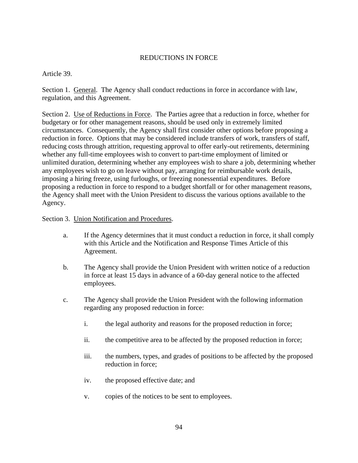# REDUCTIONS IN FORCE

Article 39.

Section 1. General. The Agency shall conduct reductions in force in accordance with law, regulation, and this Agreement.

Section 2. Use of Reductions in Force. The Parties agree that a reduction in force, whether for budgetary or for other management reasons, should be used only in extremely limited circumstances. Consequently, the Agency shall first consider other options before proposing a reduction in force. Options that may be considered include transfers of work, transfers of staff, reducing costs through attrition, requesting approval to offer early-out retirements, determining whether any full-time employees wish to convert to part-time employment of limited or unlimited duration, determining whether any employees wish to share a job, determining whether any employees wish to go on leave without pay, arranging for reimbursable work details, imposing a hiring freeze, using furloughs, or freezing nonessential expenditures. Before proposing a reduction in force to respond to a budget shortfall or for other management reasons, the Agency shall meet with the Union President to discuss the various options available to the Agency.

Section 3. Union Notification and Procedures.

- a. If the Agency determines that it must conduct a reduction in force, it shall comply with this Article and the Notification and Response Times Article of this Agreement.
- b. The Agency shall provide the Union President with written notice of a reduction in force at least 15 days in advance of a 60-day general notice to the affected employees.
- c. The Agency shall provide the Union President with the following information regarding any proposed reduction in force:
	- i. the legal authority and reasons for the proposed reduction in force;
	- ii. the competitive area to be affected by the proposed reduction in force;
	- iii. the numbers, types, and grades of positions to be affected by the proposed reduction in force;
	- iv. the proposed effective date; and
	- v. copies of the notices to be sent to employees.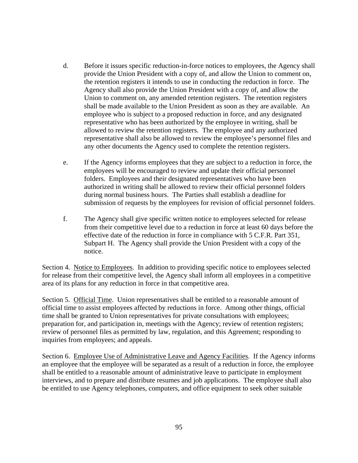- d. Before it issues specific reduction-in-force notices to employees, the Agency shall provide the Union President with a copy of, and allow the Union to comment on, the retention registers it intends to use in conducting the reduction in force. The Agency shall also provide the Union President with a copy of, and allow the Union to comment on, any amended retention registers. The retention registers shall be made available to the Union President as soon as they are available. An employee who is subject to a proposed reduction in force, and any designated representative who has been authorized by the employee in writing, shall be allowed to review the retention registers. The employee and any authorized representative shall also be allowed to review the employee's personnel files and any other documents the Agency used to complete the retention registers.
- e. If the Agency informs employees that they are subject to a reduction in force, the employees will be encouraged to review and update their official personnel folders. Employees and their designated representatives who have been authorized in writing shall be allowed to review their official personnel folders during normal business hours. The Parties shall establish a deadline for submission of requests by the employees for revision of official personnel folders.
- f. The Agency shall give specific written notice to employees selected for release from their competitive level due to a reduction in force at least 60 days before the effective date of the reduction in force in compliance with 5 C.F.R. Part 351, Subpart H. The Agency shall provide the Union President with a copy of the notice.

Section 4. Notice to Employees. In addition to providing specific notice to employees selected for release from their competitive level, the Agency shall inform all employees in a competitive area of its plans for any reduction in force in that competitive area.

Section 5. Official Time. Union representatives shall be entitled to a reasonable amount of official time to assist employees affected by reductions in force. Among other things, official time shall be granted to Union representatives for private consultations with employees; preparation for, and participation in, meetings with the Agency; review of retention registers; review of personnel files as permitted by law, regulation, and this Agreement; responding to inquiries from employees; and appeals.

Section 6. Employee Use of Administrative Leave and Agency Facilities. If the Agency informs an employee that the employee will be separated as a result of a reduction in force, the employee shall be entitled to a reasonable amount of administrative leave to participate in employment interviews, and to prepare and distribute resumes and job applications. The employee shall also be entitled to use Agency telephones, computers, and office equipment to seek other suitable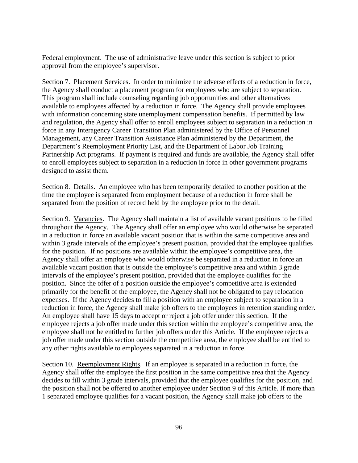Federal employment. The use of administrative leave under this section is subject to prior approval from the employee's supervisor.

Section 7. Placement Services. In order to minimize the adverse effects of a reduction in force, the Agency shall conduct a placement program for employees who are subject to separation. This program shall include counseling regarding job opportunities and other alternatives available to employees affected by a reduction in force. The Agency shall provide employees with information concerning state unemployment compensation benefits. If permitted by law and regulation, the Agency shall offer to enroll employees subject to separation in a reduction in force in any Interagency Career Transition Plan administered by the Office of Personnel Management, any Career Transition Assistance Plan administered by the Department, the Department's Reemployment Priority List, and the Department of Labor Job Training Partnership Act programs. If payment is required and funds are available, the Agency shall offer to enroll employees subject to separation in a reduction in force in other government programs designed to assist them.

Section 8. Details. An employee who has been temporarily detailed to another position at the time the employee is separated from employment because of a reduction in force shall be separated from the position of record held by the employee prior to the detail.

Section 9. Vacancies. The Agency shall maintain a list of available vacant positions to be filled throughout the Agency. The Agency shall offer an employee who would otherwise be separated in a reduction in force an available vacant position that is within the same competitive area and within 3 grade intervals of the employee's present position, provided that the employee qualifies for the position. If no positions are available within the employee's competitive area, the Agency shall offer an employee who would otherwise be separated in a reduction in force an available vacant position that is outside the employee's competitive area and within 3 grade intervals of the employee's present position, provided that the employee qualifies for the position. Since the offer of a position outside the employee's competitive area is extended primarily for the benefit of the employee, the Agency shall not be obligated to pay relocation expenses. If the Agency decides to fill a position with an employee subject to separation in a reduction in force, the Agency shall make job offers to the employees in retention standing order. An employee shall have 15 days to accept or reject a job offer under this section. If the employee rejects a job offer made under this section within the employee's competitive area, the employee shall not be entitled to further job offers under this Article. If the employee rejects a job offer made under this section outside the competitive area, the employee shall be entitled to any other rights available to employees separated in a reduction in force.

Section 10. Reemployment Rights. If an employee is separated in a reduction in force, the Agency shall offer the employee the first position in the same competitive area that the Agency decides to fill within 3 grade intervals, provided that the employee qualifies for the position, and the position shall not be offered to another employee under Section 9 of this Article. If more than 1 separated employee qualifies for a vacant position, the Agency shall make job offers to the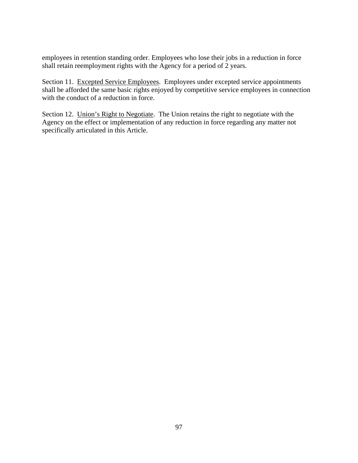employees in retention standing order. Employees who lose their jobs in a reduction in force shall retain reemployment rights with the Agency for a period of 2 years.

Section 11. Excepted Service Employees. Employees under excepted service appointments shall be afforded the same basic rights enjoyed by competitive service employees in connection with the conduct of a reduction in force.

Section 12. Union's Right to Negotiate. The Union retains the right to negotiate with the Agency on the effect or implementation of any reduction in force regarding any matter not specifically articulated in this Article.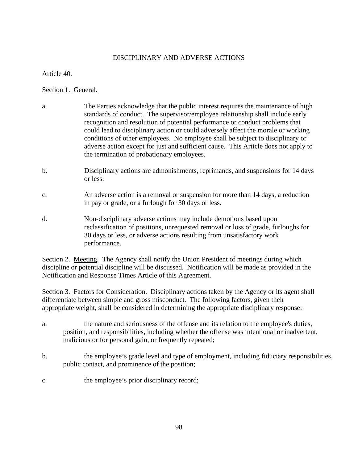# DISCIPLINARY AND ADVERSE ACTIONS

Article 40.

Section 1. General.

- a. The Parties acknowledge that the public interest requires the maintenance of high standards of conduct. The supervisor/employee relationship shall include early recognition and resolution of potential performance or conduct problems that could lead to disciplinary action or could adversely affect the morale or working conditions of other employees. No employee shall be subject to disciplinary or adverse action except for just and sufficient cause. This Article does not apply to the termination of probationary employees.
- b. Disciplinary actions are admonishments, reprimands, and suspensions for 14 days or less.
- c. An adverse action is a removal or suspension for more than 14 days, a reduction in pay or grade, or a furlough for 30 days or less.
- d. Non-disciplinary adverse actions may include demotions based upon reclassification of positions, unrequested removal or loss of grade, furloughs for 30 days or less, or adverse actions resulting from unsatisfactory work performance.

Section 2. Meeting. The Agency shall notify the Union President of meetings during which discipline or potential discipline will be discussed. Notification will be made as provided in the Notification and Response Times Article of this Agreement.

Section 3. Factors for Consideration. Disciplinary actions taken by the Agency or its agent shall differentiate between simple and gross misconduct. The following factors, given their appropriate weight, shall be considered in determining the appropriate disciplinary response:

- a. the nature and seriousness of the offense and its relation to the employee's duties, position, and responsibilities, including whether the offense was intentional or inadvertent, malicious or for personal gain, or frequently repeated;
- b. the employee's grade level and type of employment, including fiduciary responsibilities, public contact, and prominence of the position;
- c. the employee's prior disciplinary record;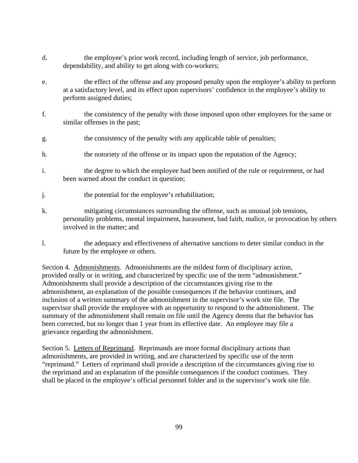- d. the employee's prior work record, including length of service, job performance, dependability, and ability to get along with co-workers;
- e. the effect of the offense and any proposed penalty upon the employee's ability to perform at a satisfactory level, and its effect upon supervisors' confidence in the employee's ability to perform assigned duties;
- f. the consistency of the penalty with those imposed upon other employees for the same or similar offenses in the past;
- g. the consistency of the penalty with any applicable table of penalties;
- h. the notoriety of the offense or its impact upon the reputation of the Agency;
- i. the degree to which the employee had been notified of the rule or requirement, or had been warned about the conduct in question;
- j. the potential for the employee's rehabilitation;
- k. mitigating circumstances surrounding the offense, such as unusual job tensions, personality problems, mental impairment, harassment, bad faith, malice, or provocation by others involved in the matter; and
- l. the adequacy and effectiveness of alternative sanctions to deter similar conduct in the future by the employee or others.

Section 4. Admonishments. Admonishments are the mildest form of disciplinary action, provided orally or in writing, and characterized by specific use of the term "admonishment." Admonishments shall provide a description of the circumstances giving rise to the admonishment, an explanation of the possible consequences if the behavior continues, and inclusion of a written summary of the admonishment in the supervisor's work site file. The supervisor shall provide the employee with an opportunity to respond to the admonishment. The summary of the admonishment shall remain on file until the Agency deems that the behavior has been corrected, but no longer than 1 year from its effective date. An employee may file a grievance regarding the admonishment.

Section 5. Letters of Reprimand. Reprimands are more formal disciplinary actions than admonishments, are provided in writing, and are characterized by specific use of the term "reprimand." Letters of reprimand shall provide a description of the circumstances giving rise to the reprimand and an explanation of the possible consequences if the conduct continues. They shall be placed in the employee's official personnel folder and in the supervisor's work site file.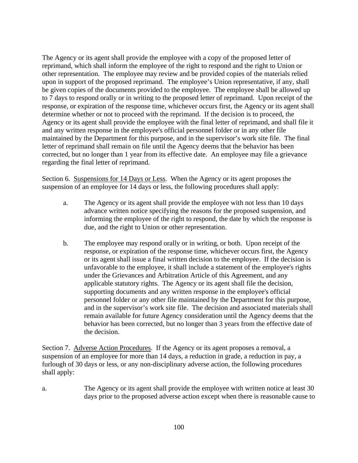The Agency or its agent shall provide the employee with a copy of the proposed letter of reprimand, which shall inform the employee of the right to respond and the right to Union or other representation. The employee may review and be provided copies of the materials relied upon in support of the proposed reprimand. The employee's Union representative, if any, shall be given copies of the documents provided to the employee. The employee shall be allowed up to 7 days to respond orally or in writing to the proposed letter of reprimand. Upon receipt of the response, or expiration of the response time, whichever occurs first, the Agency or its agent shall determine whether or not to proceed with the reprimand. If the decision is to proceed, the Agency or its agent shall provide the employee with the final letter of reprimand, and shall file it and any written response in the employee's official personnel folder or in any other file maintained by the Department for this purpose, and in the supervisor's work site file. The final letter of reprimand shall remain on file until the Agency deems that the behavior has been corrected, but no longer than 1 year from its effective date. An employee may file a grievance regarding the final letter of reprimand.

Section 6. Suspensions for 14 Days or Less. When the Agency or its agent proposes the suspension of an employee for 14 days or less, the following procedures shall apply:

- a. The Agency or its agent shall provide the employee with not less than 10 days advance written notice specifying the reasons for the proposed suspension, and informing the employee of the right to respond, the date by which the response is due, and the right to Union or other representation.
- b. The employee may respond orally or in writing, or both. Upon receipt of the response, or expiration of the response time, whichever occurs first, the Agency or its agent shall issue a final written decision to the employee. If the decision is unfavorable to the employee, it shall include a statement of the employee's rights under the Grievances and Arbitration Article of this Agreement, and any applicable statutory rights. The Agency or its agent shall file the decision, supporting documents and any written response in the employee's official personnel folder or any other file maintained by the Department for this purpose, and in the supervisor's work site file. The decision and associated materials shall remain available for future Agency consideration until the Agency deems that the behavior has been corrected, but no longer than 3 years from the effective date of the decision.

Section 7. Adverse Action Procedures. If the Agency or its agent proposes a removal, a suspension of an employee for more than 14 days, a reduction in grade, a reduction in pay, a furlough of 30 days or less, or any non-disciplinary adverse action, the following procedures shall apply:

a. The Agency or its agent shall provide the employee with written notice at least 30 days prior to the proposed adverse action except when there is reasonable cause to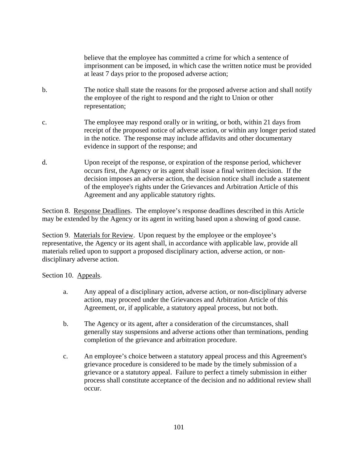believe that the employee has committed a crime for which a sentence of imprisonment can be imposed, in which case the written notice must be provided at least 7 days prior to the proposed adverse action;

- b. The notice shall state the reasons for the proposed adverse action and shall notify the employee of the right to respond and the right to Union or other representation;
- c. The employee may respond orally or in writing, or both, within 21 days from receipt of the proposed notice of adverse action, or within any longer period stated in the notice. The response may include affidavits and other documentary evidence in support of the response; and
- d. Upon receipt of the response, or expiration of the response period, whichever occurs first, the Agency or its agent shall issue a final written decision. If the decision imposes an adverse action, the decision notice shall include a statement of the employee's rights under the Grievances and Arbitration Article of this Agreement and any applicable statutory rights.

Section 8. Response Deadlines. The employee's response deadlines described in this Article may be extended by the Agency or its agent in writing based upon a showing of good cause.

Section 9. Materials for Review. Upon request by the employee or the employee's representative, the Agency or its agent shall, in accordance with applicable law, provide all materials relied upon to support a proposed disciplinary action, adverse action, or nondisciplinary adverse action.

Section 10. Appeals.

- a. Any appeal of a disciplinary action, adverse action, or non-disciplinary adverse action, may proceed under the Grievances and Arbitration Article of this Agreement, or, if applicable, a statutory appeal process, but not both.
- b. The Agency or its agent, after a consideration of the circumstances, shall generally stay suspensions and adverse actions other than terminations, pending completion of the grievance and arbitration procedure.
- c. An employee's choice between a statutory appeal process and this Agreement's grievance procedure is considered to be made by the timely submission of a grievance or a statutory appeal. Failure to perfect a timely submission in either process shall constitute acceptance of the decision and no additional review shall occur.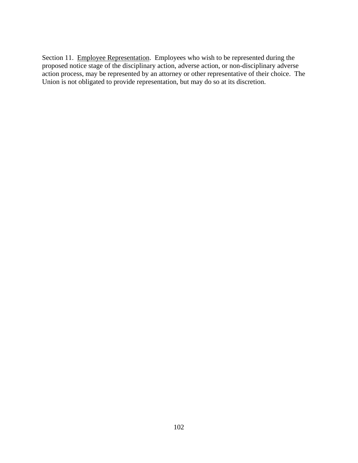Section 11. Employee Representation. Employees who wish to be represented during the proposed notice stage of the disciplinary action, adverse action, or non-disciplinary adverse action process, may be represented by an attorney or other representative of their choice. The Union is not obligated to provide representation, but may do so at its discretion.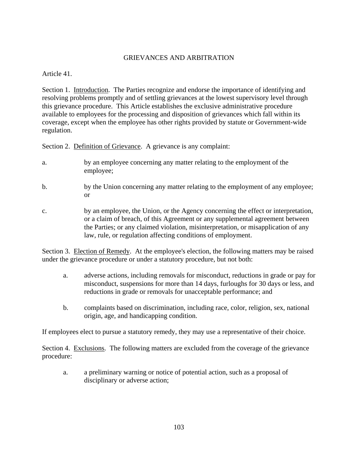# GRIEVANCES AND ARBITRATION

Article 41.

Section 1. Introduction. The Parties recognize and endorse the importance of identifying and resolving problems promptly and of settling grievances at the lowest supervisory level through this grievance procedure. This Article establishes the exclusive administrative procedure available to employees for the processing and disposition of grievances which fall within its coverage, except when the employee has other rights provided by statute or Government-wide regulation.

Section 2. Definition of Grievance. A grievance is any complaint:

- a. by an employee concerning any matter relating to the employment of the employee;
- b. by the Union concerning any matter relating to the employment of any employee; or
- c. by an employee, the Union, or the Agency concerning the effect or interpretation, or a claim of breach, of this Agreement or any supplemental agreement between the Parties; or any claimed violation, misinterpretation, or misapplication of any law, rule, or regulation affecting conditions of employment.

Section 3. Election of Remedy. At the employee's election, the following matters may be raised under the grievance procedure or under a statutory procedure, but not both:

- a. adverse actions, including removals for misconduct, reductions in grade or pay for misconduct, suspensions for more than 14 days, furloughs for 30 days or less, and reductions in grade or removals for unacceptable performance; and
- b. complaints based on discrimination, including race, color, religion, sex, national origin, age, and handicapping condition.

If employees elect to pursue a statutory remedy, they may use a representative of their choice.

Section 4. Exclusions. The following matters are excluded from the coverage of the grievance procedure:

 a. a preliminary warning or notice of potential action, such as a proposal of disciplinary or adverse action;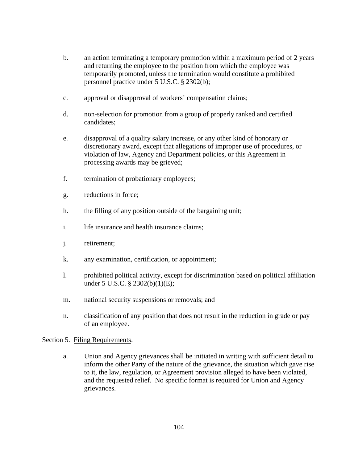- b. an action terminating a temporary promotion within a maximum period of 2 years and returning the employee to the position from which the employee was temporarily promoted, unless the termination would constitute a prohibited personnel practice under 5 U.S.C. § 2302(b);
- c. approval or disapproval of workers' compensation claims;
- d. non-selection for promotion from a group of properly ranked and certified candidates;
- e. disapproval of a quality salary increase, or any other kind of honorary or discretionary award, except that allegations of improper use of procedures, or violation of law, Agency and Department policies, or this Agreement in processing awards may be grieved;
- f. termination of probationary employees;
- g. reductions in force;
- h. the filling of any position outside of the bargaining unit;
- i. life insurance and health insurance claims;
- j. retirement;
- k. any examination, certification, or appointment;
- l. prohibited political activity, except for discrimination based on political affiliation under 5 U.S.C. § 2302(b)(1)(E);
- m. national security suspensions or removals; and
- n. classification of any position that does not result in the reduction in grade or pay of an employee.

### Section 5. Filing Requirements.

 a. Union and Agency grievances shall be initiated in writing with sufficient detail to inform the other Party of the nature of the grievance, the situation which gave rise to it, the law, regulation, or Agreement provision alleged to have been violated, and the requested relief. No specific format is required for Union and Agency grievances.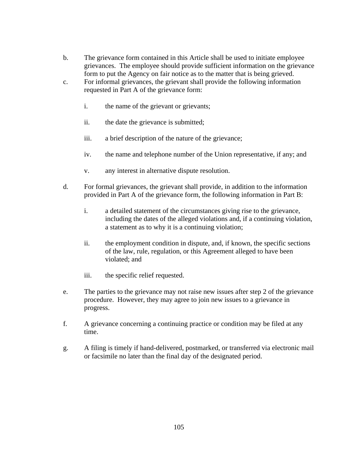- b. The grievance form contained in this Article shall be used to initiate employee grievances. The employee should provide sufficient information on the grievance form to put the Agency on fair notice as to the matter that is being grieved.
- c. For informal grievances, the grievant shall provide the following information requested in Part A of the grievance form:
	- i. the name of the grievant or grievants;
	- ii. the date the grievance is submitted;
	- iii. a brief description of the nature of the grievance;
	- iv. the name and telephone number of the Union representative, if any; and
	- v. any interest in alternative dispute resolution.
- d. For formal grievances, the grievant shall provide, in addition to the information provided in Part A of the grievance form, the following information in Part B:
	- i. a detailed statement of the circumstances giving rise to the grievance, including the dates of the alleged violations and, if a continuing violation, a statement as to why it is a continuing violation;
	- ii. the employment condition in dispute, and, if known, the specific sections of the law, rule, regulation, or this Agreement alleged to have been violated; and
	- iii. the specific relief requested.
- e. The parties to the grievance may not raise new issues after step 2 of the grievance procedure. However, they may agree to join new issues to a grievance in progress.
- f. A grievance concerning a continuing practice or condition may be filed at any time.
- g. A filing is timely if hand-delivered, postmarked, or transferred via electronic mail or facsimile no later than the final day of the designated period.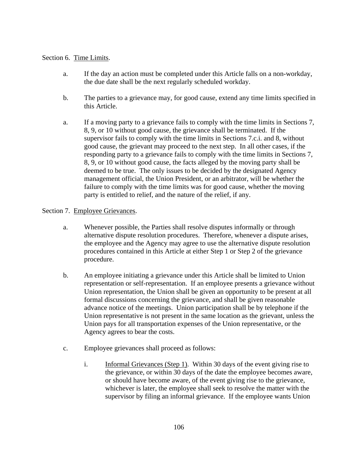# Section 6. Time Limits.

- a. If the day an action must be completed under this Article falls on a non-workday, the due date shall be the next regularly scheduled workday.
- b. The parties to a grievance may, for good cause, extend any time limits specified in this Article.
- a. If a moving party to a grievance fails to comply with the time limits in Sections 7, 8, 9, or 10 without good cause, the grievance shall be terminated. If the supervisor fails to comply with the time limits in Sections 7.c.i. and 8, without good cause, the grievant may proceed to the next step. In all other cases, if the responding party to a grievance fails to comply with the time limits in Sections 7, 8, 9, or 10 without good cause, the facts alleged by the moving party shall be deemed to be true. The only issues to be decided by the designated Agency management official, the Union President, or an arbitrator, will be whether the failure to comply with the time limits was for good cause, whether the moving party is entitled to relief, and the nature of the relief, if any.

## Section 7. Employee Grievances.

- a. Whenever possible, the Parties shall resolve disputes informally or through alternative dispute resolution procedures. Therefore, whenever a dispute arises, the employee and the Agency may agree to use the alternative dispute resolution procedures contained in this Article at either Step 1 or Step 2 of the grievance procedure.
- b. An employee initiating a grievance under this Article shall be limited to Union representation or self-representation. If an employee presents a grievance without Union representation, the Union shall be given an opportunity to be present at all formal discussions concerning the grievance, and shall be given reasonable advance notice of the meetings. Union participation shall be by telephone if the Union representative is not present in the same location as the grievant, unless the Union pays for all transportation expenses of the Union representative, or the Agency agrees to bear the costs.
- c. Employee grievances shall proceed as follows:
	- i. Informal Grievances (Step 1). Within 30 days of the event giving rise to the grievance, or within 30 days of the date the employee becomes aware, or should have become aware, of the event giving rise to the grievance, whichever is later, the employee shall seek to resolve the matter with the supervisor by filing an informal grievance. If the employee wants Union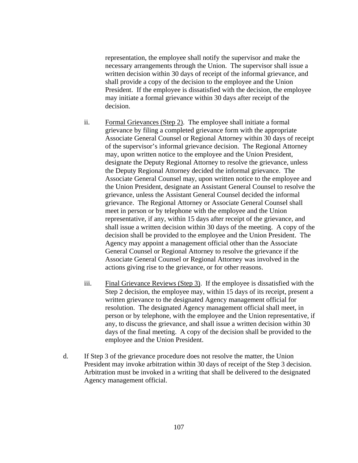representation, the employee shall notify the supervisor and make the necessary arrangements through the Union. The supervisor shall issue a written decision within 30 days of receipt of the informal grievance, and shall provide a copy of the decision to the employee and the Union President. If the employee is dissatisfied with the decision, the employee may initiate a formal grievance within 30 days after receipt of the decision.

- ii. Formal Grievances (Step 2). The employee shall initiate a formal grievance by filing a completed grievance form with the appropriate Associate General Counsel or Regional Attorney within 30 days of receipt of the supervisor's informal grievance decision. The Regional Attorney may, upon written notice to the employee and the Union President, designate the Deputy Regional Attorney to resolve the grievance, unless the Deputy Regional Attorney decided the informal grievance. The Associate General Counsel may, upon written notice to the employee and the Union President, designate an Assistant General Counsel to resolve the grievance, unless the Assistant General Counsel decided the informal grievance. The Regional Attorney or Associate General Counsel shall meet in person or by telephone with the employee and the Union representative, if any, within 15 days after receipt of the grievance, and shall issue a written decision within 30 days of the meeting. A copy of the decision shall be provided to the employee and the Union President. The Agency may appoint a management official other than the Associate General Counsel or Regional Attorney to resolve the grievance if the Associate General Counsel or Regional Attorney was involved in the actions giving rise to the grievance, or for other reasons.
- iii. Final Grievance Reviews (Step 3). If the employee is dissatisfied with the Step 2 decision, the employee may, within 15 days of its receipt, present a written grievance to the designated Agency management official for resolution. The designated Agency management official shall meet, in person or by telephone, with the employee and the Union representative, if any, to discuss the grievance, and shall issue a written decision within 30 days of the final meeting. A copy of the decision shall be provided to the employee and the Union President.
- d. If Step 3 of the grievance procedure does not resolve the matter, the Union President may invoke arbitration within 30 days of receipt of the Step 3 decision. Arbitration must be invoked in a writing that shall be delivered to the designated Agency management official.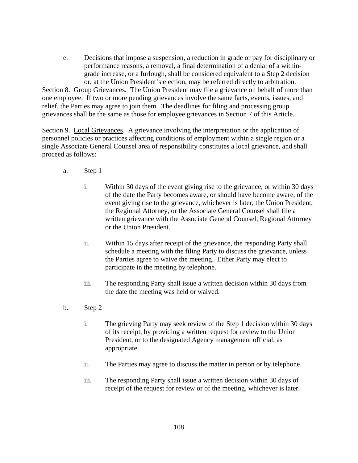e. Decisions that impose a suspension, a reduction in grade or pay for disciplinary or performance reasons, a removal, a final determination of a denial of a withingrade increase, or a furlough, shall be considered equivalent to a Step 2 decision or, at the Union President's election, may be referred directly to arbitration.

Section 8. Group Grievances. The Union President may file a grievance on behalf of more than one employee. If two or more pending grievances involve the same facts, events, issues, and relief, the Parties may agree to join them. The deadlines for filing and processing group grievances shall be the same as those for employee grievances in Section 7 of this Article.

Section 9. Local Grievances. A grievance involving the interpretation or the application of personnel policies or practices affecting conditions of employment within a single region or a single Associate General Counsel area of responsibility constitutes a local grievance, and shall proceed as follows:

- a. Step 1
	- i. Within 30 days of the event giving rise to the grievance, or within 30 days of the date the Party becomes aware, or should have become aware, of the event giving rise to the grievance, whichever is later, the Union President, the Regional Attorney, or the Associate General Counsel shall file a written grievance with the Associate General Counsel, Regional Attorney or the Union President.
	- ii. Within 15 days after receipt of the grievance, the responding Party shall schedule a meeting with the filing Party to discuss the grievance, unless the Parties agree to waive the meeting. Either Party may elect to participate in the meeting by telephone.
	- iii. The responding Party shall issue a written decision within 30 days from the date the meeting was held or waived.
- b. Step 2
	- i. The grieving Party may seek review of the Step 1 decision within 30 days of its receipt, by providing a written request for review to the Union President, or to the designated Agency management official, as appropriate.
	- ii. The Parties may agree to discuss the matter in person or by telephone.
	- iii. The responding Party shall issue a written decision within 30 days of receipt of the request for review or of the meeting, whichever is later.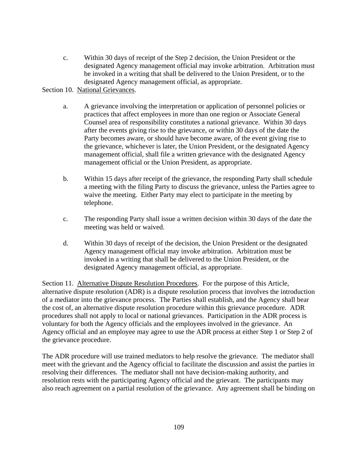c. Within 30 days of receipt of the Step 2 decision, the Union President or the designated Agency management official may invoke arbitration. Arbitration must be invoked in a writing that shall be delivered to the Union President, or to the designated Agency management official, as appropriate.

Section 10. National Grievances.

- a. A grievance involving the interpretation or application of personnel policies or practices that affect employees in more than one region or Associate General Counsel area of responsibility constitutes a national grievance. Within 30 days after the events giving rise to the grievance, or within 30 days of the date the Party becomes aware, or should have become aware, of the event giving rise to the grievance, whichever is later, the Union President, or the designated Agency management official, shall file a written grievance with the designated Agency management official or the Union President, as appropriate.
- b. Within 15 days after receipt of the grievance, the responding Party shall schedule a meeting with the filing Party to discuss the grievance, unless the Parties agree to waive the meeting. Either Party may elect to participate in the meeting by telephone.
- c. The responding Party shall issue a written decision within 30 days of the date the meeting was held or waived.
- d. Within 30 days of receipt of the decision, the Union President or the designated Agency management official may invoke arbitration. Arbitration must be invoked in a writing that shall be delivered to the Union President, or the designated Agency management official, as appropriate.

Section 11. Alternative Dispute Resolution Procedures. For the purpose of this Article, alternative dispute resolution (ADR) is a dispute resolution process that involves the introduction of a mediator into the grievance process. The Parties shall establish, and the Agency shall bear the cost of, an alternative dispute resolution procedure within this grievance procedure. ADR procedures shall not apply to local or national grievances. Participation in the ADR process is voluntary for both the Agency officials and the employees involved in the grievance. An Agency official and an employee may agree to use the ADR process at either Step 1 or Step 2 of the grievance procedure.

The ADR procedure will use trained mediators to help resolve the grievance. The mediator shall meet with the grievant and the Agency official to facilitate the discussion and assist the parties in resolving their differences. The mediator shall not have decision-making authority, and resolution rests with the participating Agency official and the grievant. The participants may also reach agreement on a partial resolution of the grievance. Any agreement shall be binding on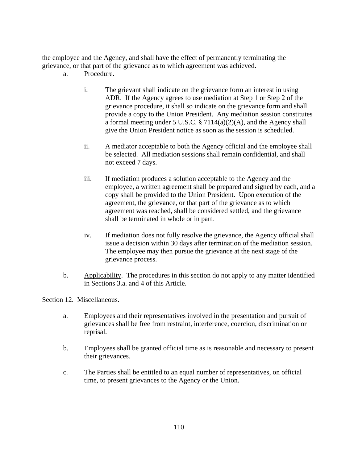the employee and the Agency, and shall have the effect of permanently terminating the grievance, or that part of the grievance as to which agreement was achieved.

- a. Procedure.
	- i. The grievant shall indicate on the grievance form an interest in using ADR. If the Agency agrees to use mediation at Step 1 or Step 2 of the grievance procedure, it shall so indicate on the grievance form and shall provide a copy to the Union President. Any mediation session constitutes a formal meeting under 5 U.S.C. § 7114(a)(2)(A), and the Agency shall give the Union President notice as soon as the session is scheduled.
	- ii. A mediator acceptable to both the Agency official and the employee shall be selected. All mediation sessions shall remain confidential, and shall not exceed 7 days.
	- iii. If mediation produces a solution acceptable to the Agency and the employee, a written agreement shall be prepared and signed by each, and a copy shall be provided to the Union President. Upon execution of the agreement, the grievance, or that part of the grievance as to which agreement was reached, shall be considered settled, and the grievance shall be terminated in whole or in part.
	- iv. If mediation does not fully resolve the grievance, the Agency official shall issue a decision within 30 days after termination of the mediation session. The employee may then pursue the grievance at the next stage of the grievance process.
- b. Applicability. The procedures in this section do not apply to any matter identified in Sections 3.a. and 4 of this Article.

#### Section 12. Miscellaneous.

- a. Employees and their representatives involved in the presentation and pursuit of grievances shall be free from restraint, interference, coercion, discrimination or reprisal.
- b. Employees shall be granted official time as is reasonable and necessary to present their grievances.
- c. The Parties shall be entitled to an equal number of representatives, on official time, to present grievances to the Agency or the Union.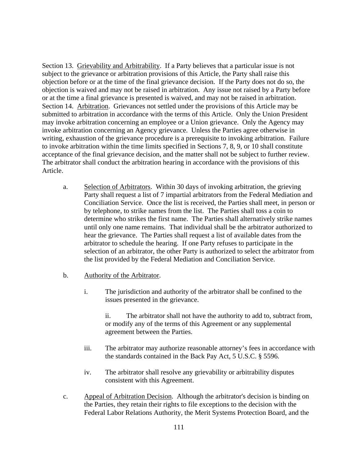Section 13. Grievability and Arbitrability. If a Party believes that a particular issue is not subject to the grievance or arbitration provisions of this Article, the Party shall raise this objection before or at the time of the final grievance decision. If the Party does not do so, the objection is waived and may not be raised in arbitration. Any issue not raised by a Party before or at the time a final grievance is presented is waived, and may not be raised in arbitration. Section 14. Arbitration. Grievances not settled under the provisions of this Article may be submitted to arbitration in accordance with the terms of this Article. Only the Union President may invoke arbitration concerning an employee or a Union grievance. Only the Agency may invoke arbitration concerning an Agency grievance. Unless the Parties agree otherwise in writing, exhaustion of the grievance procedure is a prerequisite to invoking arbitration. Failure to invoke arbitration within the time limits specified in Sections 7, 8, 9, or 10 shall constitute acceptance of the final grievance decision, and the matter shall not be subject to further review. The arbitrator shall conduct the arbitration hearing in accordance with the provisions of this Article.

- a. Selection of Arbitrators. Within 30 days of invoking arbitration, the grieving Party shall request a list of 7 impartial arbitrators from the Federal Mediation and Conciliation Service. Once the list is received, the Parties shall meet, in person or by telephone, to strike names from the list. The Parties shall toss a coin to determine who strikes the first name. The Parties shall alternatively strike names until only one name remains. That individual shall be the arbitrator authorized to hear the grievance. The Parties shall request a list of available dates from the arbitrator to schedule the hearing. If one Party refuses to participate in the selection of an arbitrator, the other Party is authorized to select the arbitrator from the list provided by the Federal Mediation and Conciliation Service.
- b. Authority of the Arbitrator.
	- i. The jurisdiction and authority of the arbitrator shall be confined to the issues presented in the grievance.

 ii. The arbitrator shall not have the authority to add to, subtract from, or modify any of the terms of this Agreement or any supplemental agreement between the Parties.

- iii. The arbitrator may authorize reasonable attorney's fees in accordance with the standards contained in the Back Pay Act, 5 U.S.C. § 5596.
- iv. The arbitrator shall resolve any grievability or arbitrability disputes consistent with this Agreement.
- c. Appeal of Arbitration Decision. Although the arbitrator's decision is binding on the Parties, they retain their rights to file exceptions to the decision with the Federal Labor Relations Authority, the Merit Systems Protection Board, and the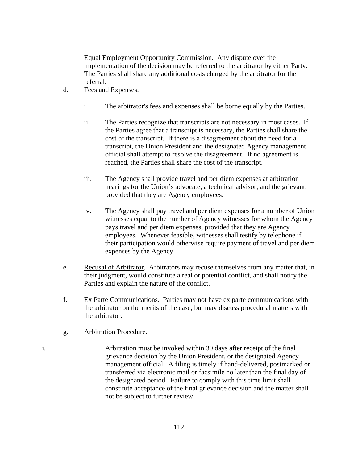Equal Employment Opportunity Commission. Any dispute over the implementation of the decision may be referred to the arbitrator by either Party. The Parties shall share any additional costs charged by the arbitrator for the referral.

- d. Fees and Expenses.
	- i. The arbitrator's fees and expenses shall be borne equally by the Parties.
	- ii. The Parties recognize that transcripts are not necessary in most cases. If the Parties agree that a transcript is necessary, the Parties shall share the cost of the transcript. If there is a disagreement about the need for a transcript, the Union President and the designated Agency management official shall attempt to resolve the disagreement. If no agreement is reached, the Parties shall share the cost of the transcript.
	- iii. The Agency shall provide travel and per diem expenses at arbitration hearings for the Union's advocate, a technical advisor, and the grievant, provided that they are Agency employees.
	- iv. The Agency shall pay travel and per diem expenses for a number of Union witnesses equal to the number of Agency witnesses for whom the Agency pays travel and per diem expenses, provided that they are Agency employees. Whenever feasible, witnesses shall testify by telephone if their participation would otherwise require payment of travel and per diem expenses by the Agency.
- e. Recusal of Arbitrator. Arbitrators may recuse themselves from any matter that, in their judgment, would constitute a real or potential conflict, and shall notify the Parties and explain the nature of the conflict.
- f. Ex Parte Communications. Parties may not have ex parte communications with the arbitrator on the merits of the case, but may discuss procedural matters with the arbitrator.
- g. Arbitration Procedure.
- i. Arbitration must be invoked within 30 days after receipt of the final grievance decision by the Union President, or the designated Agency management official. A filing is timely if hand-delivered, postmarked or transferred via electronic mail or facsimile no later than the final day of the designated period. Failure to comply with this time limit shall constitute acceptance of the final grievance decision and the matter shall not be subject to further review.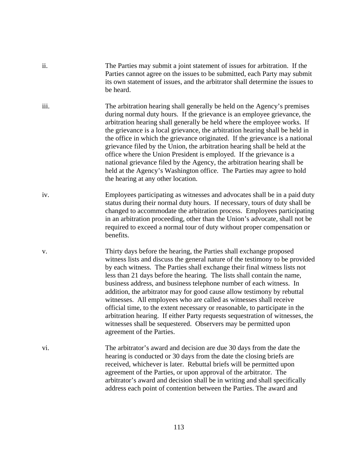| ii.  | The Parties may submit a joint statement of issues for arbitration. If the<br>Parties cannot agree on the issues to be submitted, each Party may submit<br>its own statement of issues, and the arbitrator shall determine the issues to<br>be heard.                                                                                                                                                                                                                                                                                                                                                                                                                                                                                                                                               |
|------|-----------------------------------------------------------------------------------------------------------------------------------------------------------------------------------------------------------------------------------------------------------------------------------------------------------------------------------------------------------------------------------------------------------------------------------------------------------------------------------------------------------------------------------------------------------------------------------------------------------------------------------------------------------------------------------------------------------------------------------------------------------------------------------------------------|
| iii. | The arbitration hearing shall generally be held on the Agency's premises<br>during normal duty hours. If the grievance is an employee grievance, the<br>arbitration hearing shall generally be held where the employee works. If<br>the grievance is a local grievance, the arbitration hearing shall be held in<br>the office in which the grievance originated. If the grievance is a national<br>grievance filed by the Union, the arbitration hearing shall be held at the<br>office where the Union President is employed. If the grievance is a<br>national grievance filed by the Agency, the arbitration hearing shall be<br>held at the Agency's Washington office. The Parties may agree to hold<br>the hearing at any other location.                                                    |
| iv.  | Employees participating as witnesses and advocates shall be in a paid duty<br>status during their normal duty hours. If necessary, tours of duty shall be<br>changed to accommodate the arbitration process. Employees participating<br>in an arbitration proceeding, other than the Union's advocate, shall not be<br>required to exceed a normal tour of duty without proper compensation or<br>benefits.                                                                                                                                                                                                                                                                                                                                                                                         |
| V.   | Thirty days before the hearing, the Parties shall exchange proposed<br>witness lists and discuss the general nature of the testimony to be provided<br>by each witness. The Parties shall exchange their final witness lists not<br>less than 21 days before the hearing. The lists shall contain the name,<br>business address, and business telephone number of each witness. In<br>addition, the arbitrator may for good cause allow testimony by rebuttal<br>witnesses. All employees who are called as witnesses shall receive<br>official time, to the extent necessary or reasonable, to participate in the<br>arbitration hearing. If either Party requests sequestration of witnesses, the<br>witnesses shall be sequestered. Observers may be permitted upon<br>agreement of the Parties. |
| vi.  | The arbitrator's award and decision are due 30 days from the date the<br>hearing is conducted or 30 days from the date the closing briefs are<br>received, whichever is later. Rebuttal briefs will be permitted upon<br>agreement of the Parties, or upon approval of the arbitrator. The<br>arbitrator's award and decision shall be in writing and shall specifically<br>address each point of contention between the Parties. The award and                                                                                                                                                                                                                                                                                                                                                     |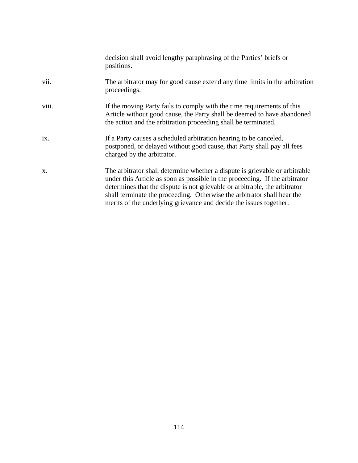|       | decision shall avoid lengthy paraphrasing of the Parties' briefs or<br>positions.                                                                                                                                                                                                                                                                                                         |
|-------|-------------------------------------------------------------------------------------------------------------------------------------------------------------------------------------------------------------------------------------------------------------------------------------------------------------------------------------------------------------------------------------------|
| vii.  | The arbitrator may for good cause extend any time limits in the arbitration<br>proceedings.                                                                                                                                                                                                                                                                                               |
| viii. | If the moving Party fails to comply with the time requirements of this<br>Article without good cause, the Party shall be deemed to have abandoned<br>the action and the arbitration proceeding shall be terminated.                                                                                                                                                                       |
| ix.   | If a Party causes a scheduled arbitration hearing to be canceled,<br>postponed, or delayed without good cause, that Party shall pay all fees<br>charged by the arbitrator.                                                                                                                                                                                                                |
| X.    | The arbitrator shall determine whether a dispute is grievable or arbitrable<br>under this Article as soon as possible in the proceeding. If the arbitrator<br>determines that the dispute is not grievable or arbitrable, the arbitrator<br>shall terminate the proceeding. Otherwise the arbitrator shall hear the<br>merits of the underlying grievance and decide the issues together. |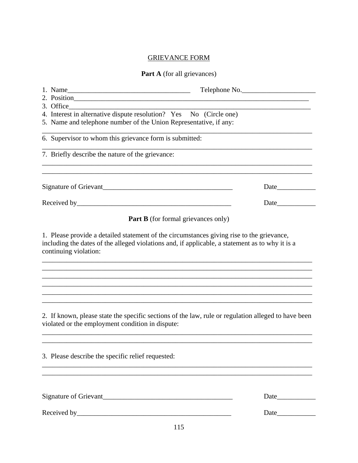# GRIEVANCE FORM

# Part A (for all grievances)

|                                                                    | Telephone No.                                                                                                                                                                                |
|--------------------------------------------------------------------|----------------------------------------------------------------------------------------------------------------------------------------------------------------------------------------------|
| 2. Position                                                        |                                                                                                                                                                                              |
| 3. Office                                                          |                                                                                                                                                                                              |
| 4. Interest in alternative dispute resolution? Yes No (Circle one) |                                                                                                                                                                                              |
| 5. Name and telephone number of the Union Representative, if any:  |                                                                                                                                                                                              |
| 6. Supervisor to whom this grievance form is submitted:            |                                                                                                                                                                                              |
| 7. Briefly describe the nature of the grievance:                   |                                                                                                                                                                                              |
| Signature of Grievant                                              |                                                                                                                                                                                              |
|                                                                    |                                                                                                                                                                                              |
|                                                                    | <b>Part B</b> (for formal grievances only)                                                                                                                                                   |
| continuing violation:                                              | 1. Please provide a detailed statement of the circumstances giving rise to the grievance,<br>including the dates of the alleged violations and, if applicable, a statement as to why it is a |
|                                                                    |                                                                                                                                                                                              |
| violated or the employment condition in dispute:                   | 2. If known, please state the specific sections of the law, rule or regulation alleged to have been                                                                                          |
| 3. Please describe the specific relief requested:                  |                                                                                                                                                                                              |
|                                                                    |                                                                                                                                                                                              |
|                                                                    |                                                                                                                                                                                              |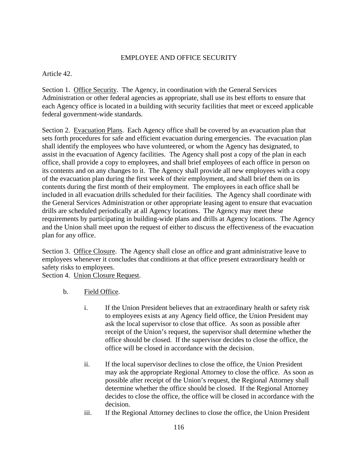# EMPLOYEE AND OFFICE SECURITY

# Article 42.

Section 1. Office Security. The Agency, in coordination with the General Services Administration or other federal agencies as appropriate, shall use its best efforts to ensure that each Agency office is located in a building with security facilities that meet or exceed applicable federal government-wide standards.

Section 2. Evacuation Plans. Each Agency office shall be covered by an evacuation plan that sets forth procedures for safe and efficient evacuation during emergencies. The evacuation plan shall identify the employees who have volunteered, or whom the Agency has designated, to assist in the evacuation of Agency facilities. The Agency shall post a copy of the plan in each office, shall provide a copy to employees, and shall brief employees of each office in person on its contents and on any changes to it. The Agency shall provide all new employees with a copy of the evacuation plan during the first week of their employment, and shall brief them on its contents during the first month of their employment. The employees in each office shall be included in all evacuation drills scheduled for their facilities. The Agency shall coordinate with the General Services Administration or other appropriate leasing agent to ensure that evacuation drills are scheduled periodically at all Agency locations. The Agency may meet these requirements by participating in building-wide plans and drills at Agency locations. The Agency and the Union shall meet upon the request of either to discuss the effectiveness of the evacuation plan for any office.

Section 3. Office Closure. The Agency shall close an office and grant administrative leave to employees whenever it concludes that conditions at that office present extraordinary health or safety risks to employees.

Section 4. Union Closure Request.

- b. Field Office.
	- i. If the Union President believes that an extraordinary health or safety risk to employees exists at any Agency field office, the Union President may ask the local supervisor to close that office. As soon as possible after receipt of the Union's request, the supervisor shall determine whether the office should be closed. If the supervisor decides to close the office, the office will be closed in accordance with the decision.
	- ii. If the local supervisor declines to close the office, the Union President may ask the appropriate Regional Attorney to close the office. As soon as possible after receipt of the Union's request, the Regional Attorney shall determine whether the office should be closed. If the Regional Attorney decides to close the office, the office will be closed in accordance with the decision.
	- iii. If the Regional Attorney declines to close the office, the Union President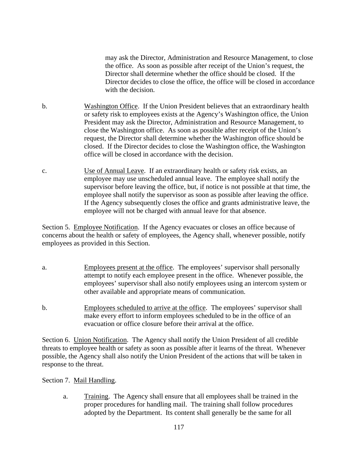may ask the Director, Administration and Resource Management, to close the office. As soon as possible after receipt of the Union's request, the Director shall determine whether the office should be closed. If the Director decides to close the office, the office will be closed in accordance with the decision.

- b. Washington Office. If the Union President believes that an extraordinary health or safety risk to employees exists at the Agency's Washington office, the Union President may ask the Director, Administration and Resource Management, to close the Washington office. As soon as possible after receipt of the Union's request, the Director shall determine whether the Washington office should be closed. If the Director decides to close the Washington office, the Washington office will be closed in accordance with the decision.
- c. Use of Annual Leave. If an extraordinary health or safety risk exists, an employee may use unscheduled annual leave. The employee shall notify the supervisor before leaving the office, but, if notice is not possible at that time, the employee shall notify the supervisor as soon as possible after leaving the office. If the Agency subsequently closes the office and grants administrative leave, the employee will not be charged with annual leave for that absence.

Section 5. Employee Notification. If the Agency evacuates or closes an office because of concerns about the health or safety of employees, the Agency shall, whenever possible, notify employees as provided in this Section.

- a. Employees present at the office. The employees' supervisor shall personally attempt to notify each employee present in the office. Whenever possible, the employees' supervisor shall also notify employees using an intercom system or other available and appropriate means of communication.
- b. Employees scheduled to arrive at the office. The employees' supervisor shall make every effort to inform employees scheduled to be in the office of an evacuation or office closure before their arrival at the office.

Section 6. Union Notification. The Agency shall notify the Union President of all credible threats to employee health or safety as soon as possible after it learns of the threat. Whenever possible, the Agency shall also notify the Union President of the actions that will be taken in response to the threat.

#### Section 7. Mail Handling.

 a. Training. The Agency shall ensure that all employees shall be trained in the proper procedures for handling mail. The training shall follow procedures adopted by the Department. Its content shall generally be the same for all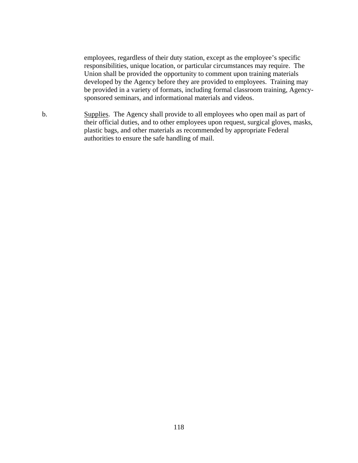employees, regardless of their duty station, except as the employee's specific responsibilities, unique location, or particular circumstances may require. The Union shall be provided the opportunity to comment upon training materials developed by the Agency before they are provided to employees. Training may be provided in a variety of formats, including formal classroom training, Agencysponsored seminars, and informational materials and videos.

b. Supplies. The Agency shall provide to all employees who open mail as part of their official duties, and to other employees upon request, surgical gloves, masks, plastic bags, and other materials as recommended by appropriate Federal authorities to ensure the safe handling of mail.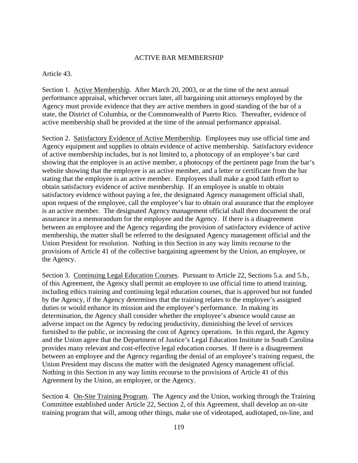## ACTIVE BAR MEMBERSHIP

#### Article 43.

Section 1. Active Membership. After March 20, 2003, or at the time of the next annual performance appraisal, whichever occurs later, all bargaining unit attorneys employed by the Agency must provide evidence that they are active members in good standing of the bar of a state, the District of Columbia, or the Commonwealth of Puerto Rico. Thereafter, evidence of active membership shall be provided at the time of the annual performance appraisal.

Section 2. Satisfactory Evidence of Active Membership. Employees may use official time and Agency equipment and supplies to obtain evidence of active membership. Satisfactory evidence of active membership includes, but is not limited to, a photocopy of an employee's bar card showing that the employee is an active member, a photocopy of the pertinent page from the bar's website showing that the employee is an active member, and a letter or certificate from the bar stating that the employee is an active member. Employees shall make a good faith effort to obtain satisfactory evidence of active membership. If an employee is unable to obtain satisfactory evidence without paying a fee, the designated Agency management official shall, upon request of the employee, call the employee's bar to obtain oral assurance that the employee is an active member. The designated Agency management official shall then document the oral assurance in a memorandum for the employee and the Agency. If there is a disagreement between an employee and the Agency regarding the provision of satisfactory evidence of active membership, the matter shall be referred to the designated Agency management official and the Union President for resolution. Nothing in this Section in any way limits recourse to the provisions of Article 41 of the collective bargaining agreement by the Union, an employee, or the Agency.

Section 3. Continuing Legal Education Courses. Pursuant to Article 22, Sections 5.a. and 5.b., of this Agreement, the Agency shall permit an employee to use official time to attend training, including ethics training and continuing legal education courses, that is approved but not funded by the Agency, if the Agency determines that the training relates to the employee's assigned duties or would enhance its mission and the employee's performance. In making its determination, the Agency shall consider whether the employee's absence would cause an adverse impact on the Agency by reducing productivity, diminishing the level of services furnished to the public, or increasing the cost of Agency operations. In this regard, the Agency and the Union agree that the Department of Justice's Legal Education Institute in South Carolina provides many relevant and cost-effective legal education courses. If there is a disagreement between an employee and the Agency regarding the denial of an employee's training request, the Union President may discuss the matter with the designated Agency management official. Nothing in this Section in any way limits recourse to the provisions of Article 41 of this Agreement by the Union, an employee, or the Agency.

Section 4. On-Site Training Program. The Agency and the Union, working through the Training Committee established under Article 22, Section 2, of this Agreement, shall develop an on-site training program that will, among other things, make use of videotaped, audiotaped, on-line, and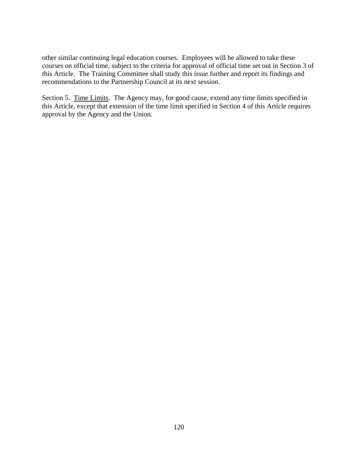other similar continuing legal education courses. Employees will be allowed to take these courses on official time, subject to the criteria for approval of official time set out in Section 3 of this Article. The Training Committee shall study this issue further and report its findings and recommendations to the Partnership Council at its next session.

Section 5. Time Limits. The Agency may, for good cause, extend any time limits specified in this Article, except that extension of the time limit specified in Section 4 of this Article requires approval by the Agency and the Union.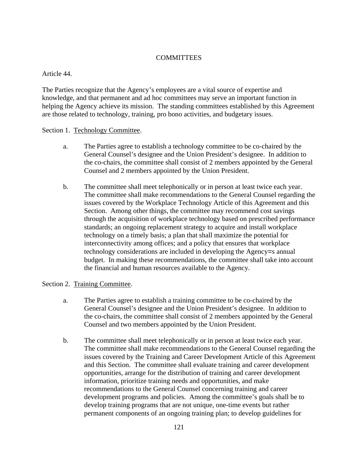# **COMMITTEES**

### Article 44.

The Parties recognize that the Agency's employees are a vital source of expertise and knowledge, and that permanent and ad hoc committees may serve an important function in helping the Agency achieve its mission. The standing committees established by this Agreement are those related to technology, training, pro bono activities, and budgetary issues.

#### Section 1. Technology Committee.

- a. The Parties agree to establish a technology committee to be co-chaired by the General Counsel's designee and the Union President's designee. In addition to the co-chairs, the committee shall consist of 2 members appointed by the General Counsel and 2 members appointed by the Union President.
- b. The committee shall meet telephonically or in person at least twice each year. The committee shall make recommendations to the General Counsel regarding the issues covered by the Workplace Technology Article of this Agreement and this Section. Among other things, the committee may recommend cost savings through the acquisition of workplace technology based on prescribed performance standards; an ongoing replacement strategy to acquire and install workplace technology on a timely basis; a plan that shall maximize the potential for interconnectivity among offices; and a policy that ensures that workplace technology considerations are included in developing the Agency=s annual budget. In making these recommendations, the committee shall take into account the financial and human resources available to the Agency.

#### Section 2. Training Committee.

- a. The Parties agree to establish a training committee to be co-chaired by the General Counsel's designee and the Union President's designee. In addition to the co-chairs, the committee shall consist of 2 members appointed by the General Counsel and two members appointed by the Union President.
- b. The committee shall meet telephonically or in person at least twice each year. The committee shall make recommendations to the General Counsel regarding the issues covered by the Training and Career Development Article of this Agreement and this Section. The committee shall evaluate training and career development opportunities, arrange for the distribution of training and career development information, prioritize training needs and opportunities, and make recommendations to the General Counsel concerning training and career development programs and policies. Among the committee's goals shall be to develop training programs that are not unique, one-time events but rather permanent components of an ongoing training plan; to develop guidelines for